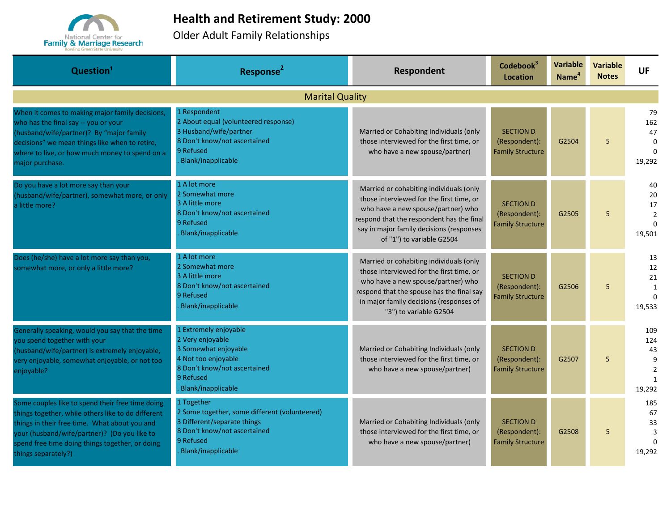

## **Health and Retirement Study: 2000**

Older Adult Family Relationships

| Question <sup>1</sup>                                                                                                                                                                                                                                                             | Response <sup>2</sup>                                                                                                                                         | Respondent                                                                                                                                                                                                                                      | Codebook <sup>3</sup><br>Location                            | <b>Variable</b><br>Name <sup>4</sup> | <b>Variable</b><br><b>Notes</b> | <b>UF</b>                                                         |  |  |  |
|-----------------------------------------------------------------------------------------------------------------------------------------------------------------------------------------------------------------------------------------------------------------------------------|---------------------------------------------------------------------------------------------------------------------------------------------------------------|-------------------------------------------------------------------------------------------------------------------------------------------------------------------------------------------------------------------------------------------------|--------------------------------------------------------------|--------------------------------------|---------------------------------|-------------------------------------------------------------------|--|--|--|
| <b>Marital Quality</b>                                                                                                                                                                                                                                                            |                                                                                                                                                               |                                                                                                                                                                                                                                                 |                                                              |                                      |                                 |                                                                   |  |  |  |
| When it comes to making major family decisions,<br>who has the final say -- you or your<br>(husband/wife/partner)? By "major family<br>decisions" we mean things like when to retire,<br>where to live, or how much money to spend on a<br>major purchase.                        | 1 Respondent<br>2 About equal (volunteered response)<br>3 Husband/wife/partner<br>8 Don't know/not ascertained<br>9 Refused<br>Blank/inapplicable             | Married or Cohabiting Individuals (only<br>those interviewed for the first time, or<br>who have a new spouse/partner)                                                                                                                           | <b>SECTION D</b><br>(Respondent):<br><b>Family Structure</b> | G2504                                | 5                               | 79<br>162<br>47<br>$\Omega$<br>$\Omega$<br>19,292                 |  |  |  |
| Do you have a lot more say than your<br>(husband/wife/partner), somewhat more, or only<br>a little more?                                                                                                                                                                          | 1 A lot more<br>2 Somewhat more<br>3 A little more<br>8 Don't know/not ascertained<br>9 Refused<br>Blank/inapplicable                                         | Married or cohabiting individuals (only<br>those interviewed for the first time, or<br>who have a new spouse/partner) who<br>respond that the respondent has the final<br>say in major family decisions (responses<br>of "1") to variable G2504 | <b>SECTION D</b><br>(Respondent):<br><b>Family Structure</b> | G2505                                | 5                               | 40<br>20<br>17<br>$\overline{2}$<br>$\Omega$<br>19,501            |  |  |  |
| Does (he/she) have a lot more say than you,<br>somewhat more, or only a little more?                                                                                                                                                                                              | 1 A lot more<br>2 Somewhat more<br>3 A little more<br>8 Don't know/not ascertained<br>9 Refused<br>Blank/inapplicable                                         | Married or cohabiting individuals (only<br>those interviewed for the first time, or<br>who have a new spouse/partner) who<br>respond that the spouse has the final say<br>in major family decisions (responses of<br>"3") to variable G2504     | <b>SECTION D</b><br>(Respondent):<br><b>Family Structure</b> | G2506                                | 5                               | 13<br>12<br>21<br>$\mathbf{1}$<br>$\Omega$<br>19,533              |  |  |  |
| Generally speaking, would you say that the time<br>you spend together with your<br>(husband/wife/partner) is extremely enjoyable,<br>very enjoyable, somewhat enjoyable, or not too<br>enjoyable?                                                                                 | 1 Extremely enjoyable<br>2 Very enjoyable<br>3 Somewhat enjoyable<br>4 Not too enjoyable<br>8 Don't know/not ascertained<br>9 Refused<br>Blank/inapplicable   | Married or Cohabiting Individuals (only<br>those interviewed for the first time, or<br>who have a new spouse/partner)                                                                                                                           | <b>SECTION D</b><br>(Respondent):<br><b>Family Structure</b> | G2507                                | 5                               | 109<br>124<br>43<br>9<br>$\overline{2}$<br>$\mathbf{1}$<br>19,292 |  |  |  |
| Some couples like to spend their free time doing<br>things together, while others like to do different<br>things in their free time. What about you and<br>your (husband/wife/partner)? (Do you like to<br>spend free time doing things together, or doing<br>things separately?) | 1 Together<br>2 Some together, some different (volunteered)<br>3 Different/separate things<br>8 Don't know/not ascertained<br>9 Refused<br>Blank/inapplicable | Married or Cohabiting Individuals (only<br>those interviewed for the first time, or<br>who have a new spouse/partner)                                                                                                                           | <b>SECTION D</b><br>(Respondent):<br><b>Family Structure</b> | G2508                                | 5                               | 185<br>67<br>33<br>3<br>$\Omega$<br>19,292                        |  |  |  |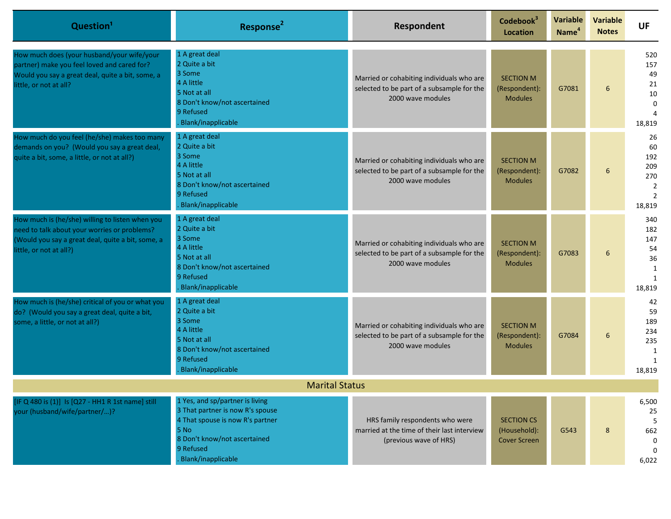| Question <sup>1</sup>                                                                                                                                                           | Response <sup>2</sup>                                                                                                                                                              | Respondent                                                                                                   | Codebook <sup>3</sup><br><b>Location</b>                 | Variable<br>Name <sup>4</sup> | <b>Variable</b><br><b>Notes</b> | <b>UF</b>                                                                   |
|---------------------------------------------------------------------------------------------------------------------------------------------------------------------------------|------------------------------------------------------------------------------------------------------------------------------------------------------------------------------------|--------------------------------------------------------------------------------------------------------------|----------------------------------------------------------|-------------------------------|---------------------------------|-----------------------------------------------------------------------------|
| How much does (your husband/your wife/your<br>partner) make you feel loved and cared for?<br>Would you say a great deal, quite a bit, some, a<br>little, or not at all?         | 1 A great deal<br>2 Quite a bit<br>3 Some<br>4 A little<br>5 Not at all<br>8 Don't know/not ascertained<br>9 Refused<br>Blank/inapplicable                                         | Married or cohabiting individuals who are<br>selected to be part of a subsample for the<br>2000 wave modules | <b>SECTION M</b><br>(Respondent):<br><b>Modules</b>      | G7081                         | 6                               | 520<br>157<br>49<br>21<br>10<br>$\mathbf 0$<br>18,819                       |
| How much do you feel (he/she) makes too many<br>demands on you? (Would you say a great deal,<br>quite a bit, some, a little, or not at all?)                                    | 1 A great deal<br>2 Quite a bit<br>3 Some<br>4 A little<br>5 Not at all<br>8 Don't know/not ascertained<br>9 Refused<br>Blank/inapplicable                                         | Married or cohabiting individuals who are<br>selected to be part of a subsample for the<br>2000 wave modules | <b>SECTION M</b><br>(Respondent):<br><b>Modules</b>      | G7082                         | 6                               | 26<br>60<br>192<br>209<br>270<br>$\overline{2}$<br>$\overline{2}$<br>18,819 |
| How much is (he/she) willing to listen when you<br>need to talk about your worries or problems?<br>(Would you say a great deal, quite a bit, some, a<br>little, or not at all?) | 1 A great deal<br>2 Quite a bit<br>3 Some<br>4 A little<br>5 Not at all<br>8 Don't know/not ascertained<br>9 Refused<br>Blank/inapplicable                                         | Married or cohabiting individuals who are<br>selected to be part of a subsample for the<br>2000 wave modules | <b>SECTION M</b><br>(Respondent):<br><b>Modules</b>      | G7083                         | 6                               | 340<br>182<br>147<br>54<br>36<br>$\mathbf{1}$<br>$\mathbf{1}$<br>18,819     |
| How much is (he/she) critical of you or what you<br>do? (Would you say a great deal, quite a bit,<br>some, a little, or not at all?)                                            | 1 A great deal<br>2 Quite a bit<br>3 Some<br>4 A little<br>5 Not at all<br>8 Don't know/not ascertained<br>9 Refused<br>Blank/inapplicable                                         | Married or cohabiting individuals who are<br>selected to be part of a subsample for the<br>2000 wave modules | <b>SECTION M</b><br>(Respondent):<br><b>Modules</b>      | G7084                         | 6                               | 42<br>59<br>189<br>234<br>235<br>$\mathbf{1}$<br>1<br>18,819                |
|                                                                                                                                                                                 | <b>Marital Status</b>                                                                                                                                                              |                                                                                                              |                                                          |                               |                                 |                                                                             |
| [IF Q 480 is (1)] Is [Q27 - HH1 R 1st name] still<br>your (husband/wife/partner/)?                                                                                              | 1 Yes, and sp/partner is living<br>3 That partner is now R's spouse<br>4 That spouse is now R's partner<br>5 No<br>8 Don't know/not ascertained<br>9 Refused<br>Blank/inapplicable | HRS family respondents who were<br>married at the time of their last interview<br>(previous wave of HRS)     | <b>SECTION CS</b><br>(Household):<br><b>Cover Screen</b> | G543                          | 8                               | 6,500<br>25<br>662<br>0<br>$\Omega$<br>6,022                                |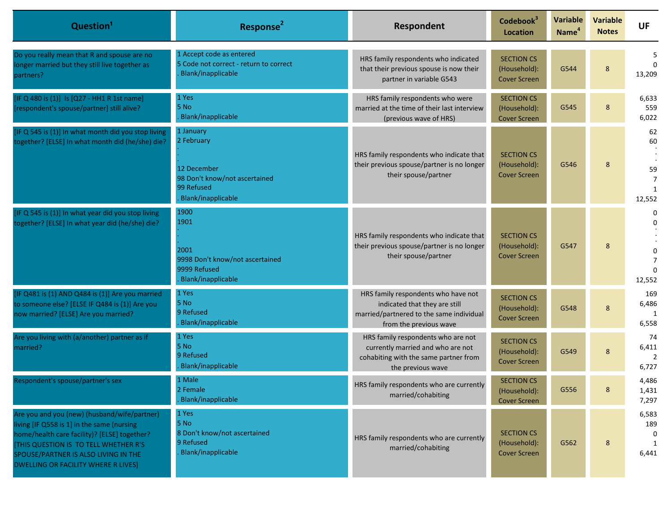| Question <sup>1</sup>                                                                                                                                                                                                                                                            | Response <sup>2</sup>                                                                                       | Respondent                                                                                                                                 | Codebook <sup>3</sup><br><b>Location</b>                 | <b>Variable</b><br>Name <sup>4</sup> | <b>Variable</b><br><b>Notes</b> | <b>UF</b>                                  |
|----------------------------------------------------------------------------------------------------------------------------------------------------------------------------------------------------------------------------------------------------------------------------------|-------------------------------------------------------------------------------------------------------------|--------------------------------------------------------------------------------------------------------------------------------------------|----------------------------------------------------------|--------------------------------------|---------------------------------|--------------------------------------------|
| Do you really mean that R and spouse are no<br>onger married but they still live together as<br>partners?                                                                                                                                                                        | 1 Accept code as entered<br>5 Code not correct - return to correct<br>Blank/inapplicable                    | HRS family respondents who indicated<br>that their previous spouse is now their<br>partner in variable G543                                | <b>SECTION CS</b><br>(Household):<br><b>Cover Screen</b> | G544                                 | 8                               | 5<br>$\Omega$<br>13,209                    |
| IF Q 480 is (1)] Is [Q27 - HH1 R 1st name]<br>respondent's spouse/partner] still alive?                                                                                                                                                                                          | 1 Yes<br>5 No<br>Blank/inapplicable                                                                         | HRS family respondents who were<br>married at the time of their last interview<br>(previous wave of HRS)                                   | <b>SECTION CS</b><br>(Household):<br><b>Cover Screen</b> | G545                                 | 8                               | 6,633<br>559<br>6,022                      |
| IF Q 545 is (1)] In what month did you stop living<br>together? [ELSE] In what month did (he/she) die?                                                                                                                                                                           | 1 January<br>2 February<br>12 December<br>98 Don't know/not ascertained<br>99 Refused<br>Blank/inapplicable | HRS family respondents who indicate that<br>their previous spouse/partner is no longer<br>their spouse/partner                             | <b>SECTION CS</b><br>(Household):<br><b>Cover Screen</b> | G546                                 | 8                               | 62<br>60<br>59<br>$\overline{7}$<br>12,552 |
| IF Q 545 is (1)] In what year did you stop living<br>together? [ELSE] In what year did (he/she) die?                                                                                                                                                                             | 1900<br>1901<br>2001<br>9998 Don't know/not ascertained<br>9999 Refused<br>Blank/inapplicable               | HRS family respondents who indicate that<br>their previous spouse/partner is no longer<br>their spouse/partner                             | <b>SECTION CS</b><br>(Household):<br><b>Cover Screen</b> | G547                                 | 8                               | 0<br>0<br>$\Omega$<br>12,552               |
| IF Q481 is (1) AND Q484 is (1)] Are you married<br>to someone else? [ELSE IF Q484 is (1)] Are you<br>now married? [ELSE] Are you married?                                                                                                                                        | 1 Yes<br>5 No<br>9 Refused<br>Blank/inapplicable                                                            | HRS family respondents who have not<br>indicated that they are still<br>married/partnered to the same individual<br>from the previous wave | <b>SECTION CS</b><br>(Household):<br><b>Cover Screen</b> | G548                                 | 8                               | 169<br>6,486<br>6,558                      |
| Are you living with (a/another) partner as if<br>married?                                                                                                                                                                                                                        | 1 Yes<br>5 No<br>9 Refused<br>Blank/inapplicable                                                            | HRS family respondents who are not<br>currently married and who are not<br>cohabiting with the same partner from<br>the previous wave      | <b>SECTION CS</b><br>(Household):<br><b>Cover Screen</b> | G549                                 | 8                               | 74<br>6,411<br>$\overline{2}$<br>6,727     |
| Respondent's spouse/partner's sex                                                                                                                                                                                                                                                | 1 Male<br>2 Female<br>Blank/inapplicable                                                                    | HRS family respondents who are currently<br>married/cohabiting                                                                             | <b>SECTION CS</b><br>(Household):<br><b>Cover Screen</b> | G556                                 | 8                               | 4,486<br>1,431<br>7,297                    |
| Are you and you (new) (husband/wife/partner)<br>living [IF Q558 is 1] in the same (nursing<br>home/health care facility)? [ELSE] together?<br><b>[THIS QUESTION IS TO TELL WHETHER R'S</b><br>SPOUSE/PARTNER IS ALSO LIVING IN THE<br><b>DWELLING OR FACILITY WHERE R LIVES]</b> | 1 Yes<br>5 No<br>8 Don't know/not ascertained<br>9 Refused<br>Blank/inapplicable                            | HRS family respondents who are currently<br>married/cohabiting                                                                             | <b>SECTION CS</b><br>(Household):<br><b>Cover Screen</b> | G562                                 | 8                               | 6,583<br>189<br>6,441                      |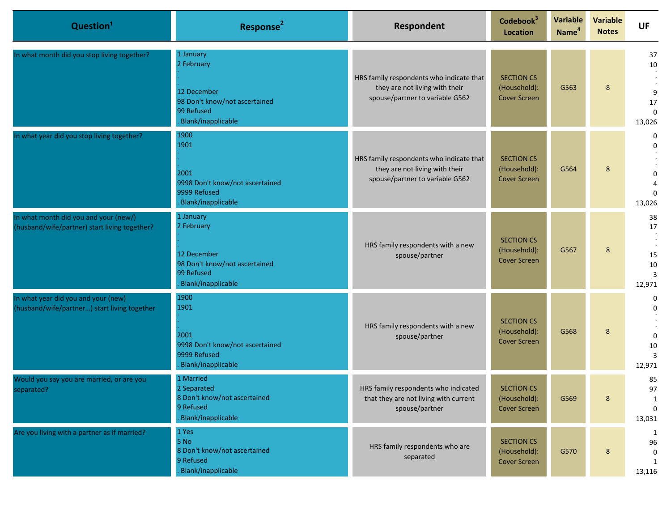| Question <sup>1</sup>                                                                  | Response <sup>2</sup>                                                                                       | Respondent                                                                                                    | Codebook <sup>3</sup><br><b>Location</b>                 | Variable<br>Name <sup>4</sup> | <b>Variable</b><br><b>Notes</b> | <b>UF</b>                                          |
|----------------------------------------------------------------------------------------|-------------------------------------------------------------------------------------------------------------|---------------------------------------------------------------------------------------------------------------|----------------------------------------------------------|-------------------------------|---------------------------------|----------------------------------------------------|
| In what month did you stop living together?                                            | 1 January<br>2 February<br>12 December<br>98 Don't know/not ascertained<br>99 Refused<br>Blank/inapplicable | HRS family respondents who indicate that<br>they are not living with their<br>spouse/partner to variable G562 | <b>SECTION CS</b><br>(Household):<br><b>Cover Screen</b> | G563                          | 8                               | 37<br>10<br>9<br>17<br>$\Omega$<br>13,026          |
| In what year did you stop living together?                                             | 1900<br>1901<br>2001<br>9998 Don't know/not ascertained<br>9999 Refused<br>Blank/inapplicable               | HRS family respondents who indicate that<br>they are not living with their<br>spouse/partner to variable G562 | <b>SECTION CS</b><br>(Household):<br><b>Cover Screen</b> | G564                          | 8                               | 0<br>$\Omega$<br>$\mathbf 0$<br>$\Omega$<br>13,026 |
| In what month did you and your (new/)<br>(husband/wife/partner) start living together? | 1 January<br>2 February<br>12 December<br>98 Don't know/not ascertained<br>99 Refused<br>Blank/inapplicable | HRS family respondents with a new<br>spouse/partner                                                           | <b>SECTION CS</b><br>(Household):<br><b>Cover Screen</b> | G567                          | 8                               | 38<br>17<br>15<br>10<br>3<br>12,971                |
| In what year did you and your (new)<br>(husband/wife/partner) start living together    | 1900<br>1901<br>2001<br>9998 Don't know/not ascertained<br>9999 Refused<br>Blank/inapplicable               | HRS family respondents with a new<br>spouse/partner                                                           | <b>SECTION CS</b><br>(Household):<br><b>Cover Screen</b> | G568                          | 8                               | 0<br>$\Omega$<br>$\mathbf 0$<br>10<br>3<br>12,971  |
| Would you say you are married, or are you<br>separated?                                | 1 Married<br>2 Separated<br>8 Don't know/not ascertained<br>9 Refused<br>Blank/inapplicable                 | HRS family respondents who indicated<br>that they are not living with current<br>spouse/partner               | <b>SECTION CS</b><br>(Household):<br>Cover Screen        | G569                          | 8                               | 85<br>97<br>$\mathbf{1}$<br>$\mathbf 0$<br>13,031  |
| Are you living with a partner as if married?                                           | 1 Yes<br>5 N <sub>o</sub><br>8 Don't know/not ascertained<br>9 Refused<br>Blank/inapplicable                | HRS family respondents who are<br>separated                                                                   | <b>SECTION CS</b><br>(Household):<br><b>Cover Screen</b> | G570                          | 8                               | 1<br>96<br>0<br>1<br>13,116                        |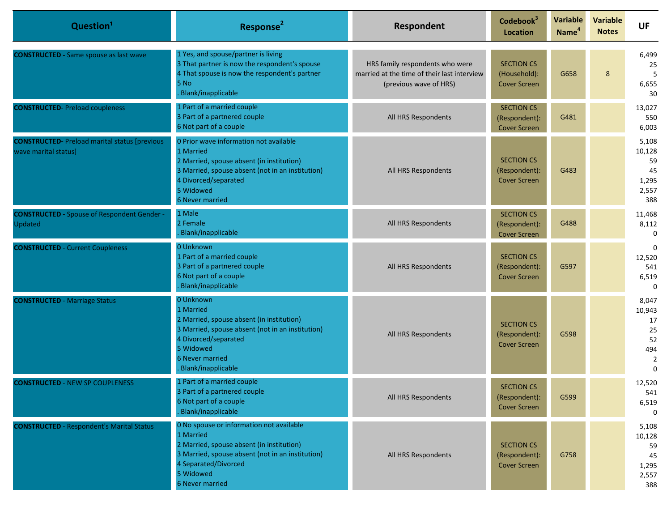| Question <sup>1</sup>                                                         | Response <sup>2</sup>                                                                                                                                                                                                 | <b>Respondent</b>                                                                                        | Codebook <sup>3</sup><br><b>Location</b>                  | <b>Variable</b><br>Name <sup>4</sup> | <b>Variable</b><br><b>Notes</b> | <b>UF</b>                                                    |
|-------------------------------------------------------------------------------|-----------------------------------------------------------------------------------------------------------------------------------------------------------------------------------------------------------------------|----------------------------------------------------------------------------------------------------------|-----------------------------------------------------------|--------------------------------------|---------------------------------|--------------------------------------------------------------|
| <b>CONSTRUCTED - Same spouse as last wave</b>                                 | 1 Yes, and spouse/partner is living<br>3 That partner is now the respondent's spouse<br>4 That spouse is now the respondent's partner<br>5 No<br>Blank/inapplicable                                                   | HRS family respondents who were<br>married at the time of their last interview<br>(previous wave of HRS) | <b>SECTION CS</b><br>(Household):<br><b>Cover Screen</b>  | G658                                 | 8                               | 6,499<br>25<br>5<br>6,655<br>30                              |
| <b>CONSTRUCTED-Preload coupleness</b>                                         | 1 Part of a married couple<br>3 Part of a partnered couple<br>6 Not part of a couple                                                                                                                                  | All HRS Respondents                                                                                      | <b>SECTION CS</b><br>(Respondent):<br><b>Cover Screen</b> | G481                                 |                                 | 13,027<br>550<br>6,003                                       |
| <b>CONSTRUCTED-</b> Preload marital status [previous]<br>wave marital status] | 0 Prior wave information not available<br>1 Married<br>2 Married, spouse absent (in institution)<br>3 Married, spouse absent (not in an institution)<br>4 Divorced/separated<br>5 Widowed<br>6 Never married          | All HRS Respondents                                                                                      | <b>SECTION CS</b><br>(Respondent):<br><b>Cover Screen</b> | G483                                 |                                 | 5,108<br>10,128<br>59<br>45<br>1,295<br>2,557<br>388         |
| <b>CONSTRUCTED - Spouse of Respondent Gender -</b><br>Updated                 | 1 Male<br>2 Female<br>Blank/inapplicable                                                                                                                                                                              | All HRS Respondents                                                                                      | <b>SECTION CS</b><br>(Respondent):<br><b>Cover Screen</b> | G488                                 |                                 | 11,468<br>8,112<br>$\Omega$                                  |
| <b>CONSTRUCTED - Current Coupleness</b>                                       | 0 Unknown<br>1 Part of a married couple<br>3 Part of a partnered couple<br>6 Not part of a couple<br>Blank/inapplicable                                                                                               | All HRS Respondents                                                                                      | <b>SECTION CS</b><br>(Respondent):<br><b>Cover Screen</b> | G597                                 |                                 | $\Omega$<br>12,520<br>541<br>6,519<br>$\Omega$               |
| <b>CONSTRUCTED - Marriage Status</b>                                          | 0 Unknown<br>1 Married<br>2 Married, spouse absent (in institution)<br>3 Married, spouse absent (not in an institution)<br>4 Divorced/separated<br>5 Widowed<br><b>6 Never married</b><br>Blank/inapplicable          | All HRS Respondents                                                                                      | <b>SECTION CS</b><br>(Respondent):<br><b>Cover Screen</b> | G598                                 |                                 | 8,047<br>10,943<br>17<br>25<br>52<br>494<br>2<br>$\mathbf 0$ |
| <b>CONSTRUCTED - NEW SP COUPLENESS</b>                                        | 1 Part of a married couple<br>3 Part of a partnered couple<br>6 Not part of a couple<br>Blank/inapplicable                                                                                                            | All HRS Respondents                                                                                      | <b>SECTION CS</b><br>(Respondent):<br><b>Cover Screen</b> | G599                                 |                                 | 12,520<br>541<br>6,519<br>$\Omega$                           |
| <b>CONSTRUCTED</b> - Respondent's Marital Status                              | 0 No spouse or information not available<br>1 Married<br>2 Married, spouse absent (in institution)<br>3 Married, spouse absent (not in an institution)<br>4 Separated/Divorced<br>5 Widowed<br><b>6 Never married</b> | All HRS Respondents                                                                                      | <b>SECTION CS</b><br>(Respondent):<br><b>Cover Screen</b> | G758                                 |                                 | 5,108<br>10,128<br>59<br>45<br>1,295<br>2,557<br>388         |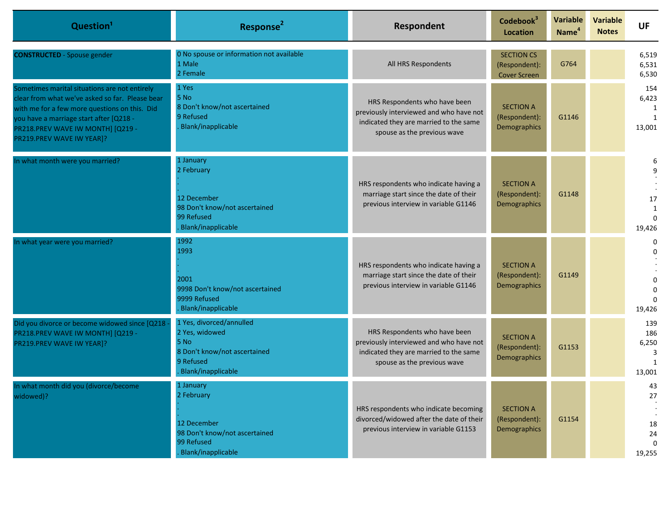| Question <sup>1</sup>                                                                                                                                                                                                                                         | Response <sup>2</sup>                                                                                                 | Respondent                                                                                                                                        | Codebook <sup>3</sup><br><b>Location</b>                  | Variable<br>Name <sup>4</sup> | <b>Variable</b><br><b>Notes</b> | <b>UF</b>                                  |
|---------------------------------------------------------------------------------------------------------------------------------------------------------------------------------------------------------------------------------------------------------------|-----------------------------------------------------------------------------------------------------------------------|---------------------------------------------------------------------------------------------------------------------------------------------------|-----------------------------------------------------------|-------------------------------|---------------------------------|--------------------------------------------|
| <b>CONSTRUCTED</b> - Spouse gender                                                                                                                                                                                                                            | 0 No spouse or information not available<br>1 Male<br>2 Female                                                        | All HRS Respondents                                                                                                                               | <b>SECTION CS</b><br>(Respondent):<br><b>Cover Screen</b> | G764                          |                                 | 6,519<br>6,531<br>6,530                    |
| Sometimes marital situations are not entirely<br>clear from what we've asked so far. Please bear<br>with me for a few more questions on this. Did<br>ou have a marriage start after [Q218 -<br>PR218.PREV WAVE IW MONTH] [Q219 -<br>PR219.PREV WAVE IW YEAR]? | 1 Yes<br>5 No<br>8 Don't know/not ascertained<br>9 Refused<br>Blank/inapplicable                                      | HRS Respondents who have been<br>previously interviewed and who have not<br>indicated they are married to the same<br>spouse as the previous wave | <b>SECTION A</b><br>(Respondent):<br>Demographics         | G1146                         |                                 | 154<br>6,423<br>13,001                     |
| In what month were you married?                                                                                                                                                                                                                               | 1 January<br>2 February<br>12 December<br>98 Don't know/not ascertained<br>99 Refused<br>Blank/inapplicable           | HRS respondents who indicate having a<br>marriage start since the date of their<br>previous interview in variable G1146                           | <b>SECTION A</b><br>(Respondent):<br>Demographics         | G1148                         |                                 | 6<br>9<br>17<br>1<br>$\Omega$<br>19,426    |
| In what year were you married?                                                                                                                                                                                                                                | 1992<br>1993<br>2001<br>9998 Don't know/not ascertained<br>9999 Refused<br>Blank/inapplicable                         | HRS respondents who indicate having a<br>marriage start since the date of their<br>previous interview in variable G1146                           | <b>SECTION A</b><br>(Respondent):<br>Demographics         | G1149                         |                                 | 0<br>19,426                                |
| Did you divorce or become widowed since [Q218<br>PR218.PREV WAVE IW MONTH] [Q219 -<br>PR219.PREV WAVE IW YEAR]?                                                                                                                                               | 1 Yes, divorced/annulled<br>2 Yes, widowed<br>5 No<br>8 Don't know/not ascertained<br>9 Refused<br>Blank/inapplicable | HRS Respondents who have been<br>previously interviewed and who have not<br>indicated they are married to the same<br>spouse as the previous wave | <b>SECTION A</b><br>(Respondent):<br>Demographics         | G1153                         |                                 | 139<br>186<br>6,250<br>3<br>13,001         |
| In what month did you (divorce/become<br>widowed)?                                                                                                                                                                                                            | 1 January<br>2 February<br>12 December<br>98 Don't know/not ascertained<br>99 Refused<br>Blank/inapplicable           | HRS respondents who indicate becoming<br>divorced/widowed after the date of their<br>previous interview in variable G1153                         | <b>SECTION A</b><br>(Respondent):<br>Demographics         | G1154                         |                                 | 43<br>27<br>18<br>24<br>$\Omega$<br>19,255 |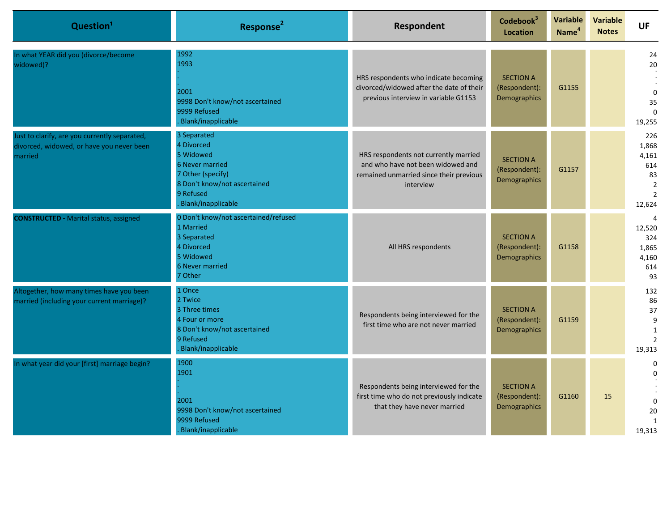| Question <sup>1</sup>                                                                                 | Response <sup>2</sup>                                                                                                                                    | Respondent                                                                                                                         | Codebook <sup>3</sup><br><b>Location</b>          | Variable<br>Name <sup>4</sup> | <b>Variable</b><br><b>Notes</b> | <b>UF</b>                                                                        |
|-------------------------------------------------------------------------------------------------------|----------------------------------------------------------------------------------------------------------------------------------------------------------|------------------------------------------------------------------------------------------------------------------------------------|---------------------------------------------------|-------------------------------|---------------------------------|----------------------------------------------------------------------------------|
| In what YEAR did you (divorce/become<br>widowed)?                                                     | 1992<br>1993<br>2001<br>9998 Don't know/not ascertained<br>9999 Refused<br>Blank/inapplicable                                                            | HRS respondents who indicate becoming<br>divorced/widowed after the date of their<br>previous interview in variable G1153          | <b>SECTION A</b><br>(Respondent):<br>Demographics | G1155                         |                                 | 24<br>20<br>$\Omega$<br>35<br>$\Omega$<br>19,255                                 |
| Just to clarify, are you currently separated,<br>divorced, widowed, or have you never been<br>married | 3 Separated<br>4 Divorced<br>5 Widowed<br><b>6 Never married</b><br>7 Other (specify)<br>8 Don't know/not ascertained<br>9 Refused<br>Blank/inapplicable | HRS respondents not currently married<br>and who have not been widowed and<br>remained unmarried since their previous<br>interview | <b>SECTION A</b><br>(Respondent):<br>Demographics | G1157                         |                                 | 226<br>1,868<br>4,161<br>614<br>83<br>$\overline{2}$<br>$\overline{2}$<br>12,624 |
| <b>CONSTRUCTED - Marital status, assigned</b>                                                         | 0 Don't know/not ascertained/refused<br>1 Married<br>3 Separated<br>4 Divorced<br>5 Widowed<br><b>6 Never married</b><br>7 Other                         | All HRS respondents                                                                                                                | <b>SECTION A</b><br>(Respondent):<br>Demographics | G1158                         |                                 | 4<br>12,520<br>324<br>1,865<br>4,160<br>614<br>93                                |
| Altogether, how many times have you been<br>married (including your current marriage)?                | 1 Once<br>2 Twice<br>3 Three times<br>4 Four or more<br>8 Don't know/not ascertained<br>9 Refused<br>Blank/inapplicable                                  | Respondents being interviewed for the<br>first time who are not never married                                                      | <b>SECTION A</b><br>(Respondent):<br>Demographics | G1159                         |                                 | 132<br>86<br>37<br>9<br>$\mathbf{1}$<br>$\overline{2}$<br>19,313                 |
| In what year did your [first] marriage begin?                                                         | 1900<br>1901<br>2001<br>9998 Don't know/not ascertained<br>9999 Refused<br>Blank/inapplicable                                                            | Respondents being interviewed for the<br>first time who do not previously indicate<br>that they have never married                 | <b>SECTION A</b><br>(Respondent):<br>Demographics | G1160                         | 15                              | 0<br>$\Omega$<br>$\Omega$<br>20<br>$\mathbf{1}$<br>19,313                        |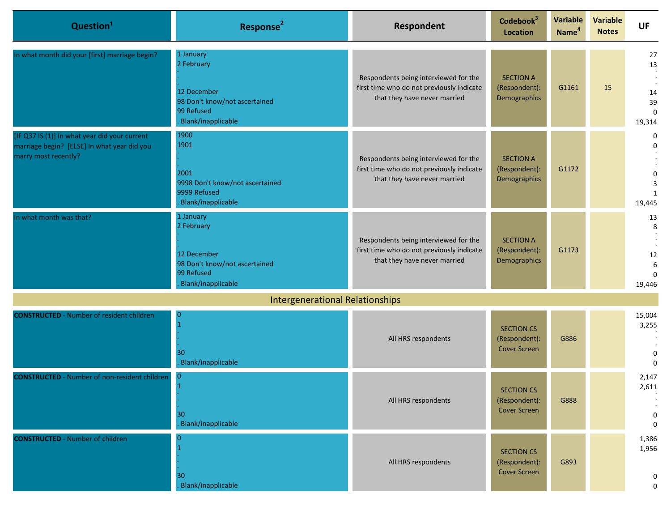| Question <sup>1</sup>                                                                                                | Response <sup>2</sup>                                                                                       | Respondent                                                                                                         | Codebook <sup>3</sup><br><b>Location</b>                  | Variable<br>Name <sup>4</sup> | <b>Variable</b><br><b>Notes</b> | <b>UF</b>                                                  |
|----------------------------------------------------------------------------------------------------------------------|-------------------------------------------------------------------------------------------------------------|--------------------------------------------------------------------------------------------------------------------|-----------------------------------------------------------|-------------------------------|---------------------------------|------------------------------------------------------------|
| In what month did your [first] marriage begin?                                                                       | 1 January<br>2 February<br>12 December<br>98 Don't know/not ascertained<br>99 Refused<br>Blank/inapplicable | Respondents being interviewed for the<br>first time who do not previously indicate<br>that they have never married | <b>SECTION A</b><br>(Respondent):<br>Demographics         | G1161                         | 15                              | 27<br>13<br>14<br>39<br>$\Omega$<br>19,314                 |
| [IF Q37 IS (1)] In what year did your current<br>marriage begin? [ELSE] In what year did you<br>marry most recently? | 1900<br>1901<br>2001<br>9998 Don't know/not ascertained<br>9999 Refused<br>Blank/inapplicable               | Respondents being interviewed for the<br>first time who do not previously indicate<br>that they have never married | <b>SECTION A</b><br>(Respondent):<br>Demographics         | G1172                         |                                 | $\mathbf 0$<br>$\mathbf 0$<br>$\Omega$<br>3<br>1<br>19,445 |
| In what month was that?                                                                                              | 1 January<br>2 February<br>12 December<br>98 Don't know/not ascertained<br>99 Refused<br>Blank/inapplicable | Respondents being interviewed for the<br>first time who do not previously indicate<br>that they have never married | <b>SECTION A</b><br>(Respondent):<br>Demographics         | G1173                         |                                 | 13<br>8<br>12<br>6<br>$\Omega$<br>19,446                   |
|                                                                                                                      | <b>Intergenerational Relationships</b>                                                                      |                                                                                                                    |                                                           |                               |                                 |                                                            |
| <b>CONSTRUCTED</b> - Number of resident children                                                                     | $\overline{0}$<br>30<br>Blank/inapplicable                                                                  | All HRS respondents                                                                                                | <b>SECTION CS</b><br>(Respondent):<br><b>Cover Screen</b> | G886                          |                                 | 15,004<br>3,255<br>0<br>$\Omega$                           |
| <b>CONSTRUCTED</b> - Number of non-resident children                                                                 | $\overline{0}$<br>$\mathbf{1}$<br>30<br>Blank/inapplicable                                                  | All HRS respondents                                                                                                | <b>SECTION CS</b><br>(Respondent):<br><b>Cover Screen</b> | G888                          |                                 | 2,147<br>2,611<br>$\mathbf 0$<br>$\mathbf 0$               |
| <b>CONSTRUCTED - Number of children</b>                                                                              | O<br>30<br>Blank/inapplicable                                                                               | All HRS respondents                                                                                                | <b>SECTION CS</b><br>(Respondent):<br><b>Cover Screen</b> | G893                          |                                 | 1,386<br>1,956<br>$\mathbf 0$<br>0                         |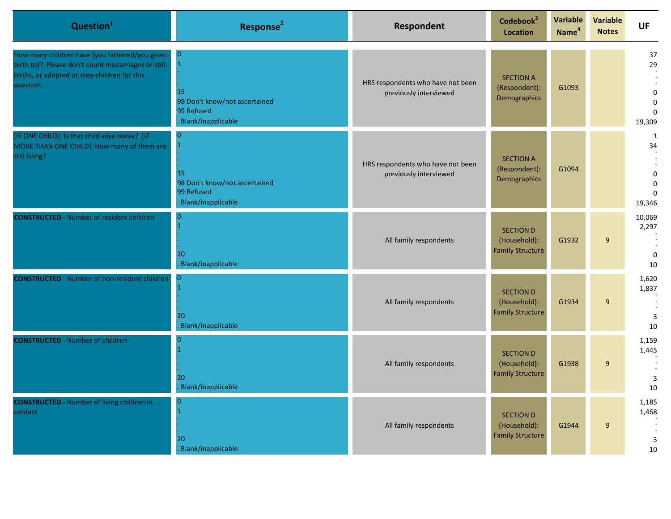| Question <sup>1</sup>                                                                                                                                               | Response <sup>2</sup>                                                                       | Respondent                                                  | Codebook <sup>3</sup><br>Location                           | <b>Variable</b><br>Name <sup>4</sup> | <b>Variable</b><br><b>Notes</b> | <b>UF</b>                                                 |
|---------------------------------------------------------------------------------------------------------------------------------------------------------------------|---------------------------------------------------------------------------------------------|-------------------------------------------------------------|-------------------------------------------------------------|--------------------------------------|---------------------------------|-----------------------------------------------------------|
| How many children have [you fathered/you given<br>birth to]? Please don't count miscarriages or still-<br>births, or adopted or step-children for this<br>question. | $\mathbf{0}$<br>15<br>98 Don't know/not ascertained<br>99 Refused<br>Blank/inapplicable     | HRS respondents who have not been<br>previously interviewed | <b>SECTION A</b><br>(Respondent):<br>Demographics           | G1093                                |                                 | 37<br>29<br>$\mathbf 0$<br>$\Omega$<br>$\Omega$<br>19,309 |
| [IF ONE CHILD]: Is that child alive today? [IF<br>MORE THAN ONE CHILD]: How many of them are<br>still living?                                                       | 0<br>$\mathbf 1$<br>15<br>98 Don't know/not ascertained<br>99 Refused<br>Blank/inapplicable | HRS respondents who have not been<br>previously interviewed | <b>SECTION A</b><br>(Respondent):<br>Demographics           | G1094                                |                                 | 1<br>34<br>$\mathbf 0$<br>$\Omega$<br>$\Omega$<br>19,346  |
| <b>CONSTRUCTED</b> - Number of resident children                                                                                                                    | 20<br>Blank/inapplicable                                                                    | All family respondents                                      | <b>SECTION D</b><br>(Household):<br><b>Family Structure</b> | G1932                                | 9                               | 10,069<br>2,297<br>$\mathbf 0$<br>10                      |
| <b>CONSTRUCTED</b> - Number of non-resident children                                                                                                                | <b>O</b><br>20<br>Blank/inapplicable                                                        | All family respondents                                      | <b>SECTION D</b><br>(Household):<br><b>Family Structure</b> | G1934                                | 9                               | 1,620<br>1,837<br>3<br>10                                 |
| <b>CONSTRUCTED - Number of children</b>                                                                                                                             | 20<br>Blank/inapplicable                                                                    | All family respondents                                      | <b>SECTION D</b><br>(Household):<br><b>Family Structure</b> | G1938                                | 9                               | 1,159<br>1,445<br>3<br>10                                 |
| <b>CONSTRUCTED - Number of living children in</b><br>contact                                                                                                        | 20<br>Blank/inapplicable                                                                    | All family respondents                                      | <b>SECTION D</b><br>(Household):<br><b>Family Structure</b> | G1944                                | 9                               | 1,185<br>1,468<br>3<br>10                                 |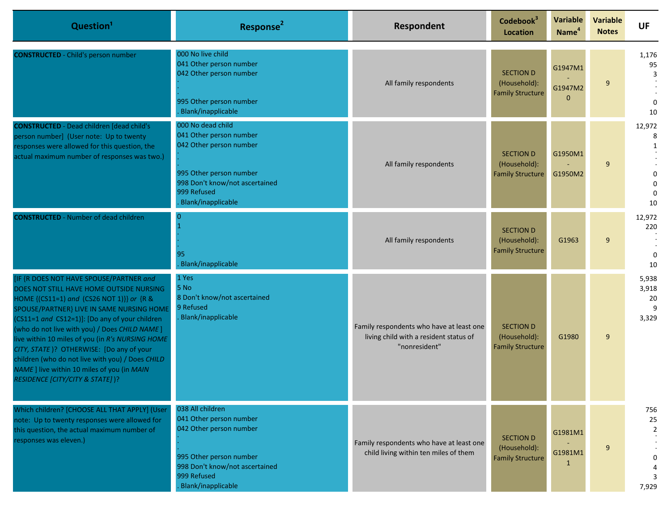| Question <sup>1</sup>                                                                                                                                                                                                                                                                                                                                                                                                                                                                                                  | Response <sup>2</sup>                                                                                                                                                     | Respondent                                                                                          | Codebook <sup>3</sup><br><b>Location</b>                    | Variable<br>Name <sup>4</sup>  | <b>Variable</b><br><b>Notes</b> | UF                                                    |
|------------------------------------------------------------------------------------------------------------------------------------------------------------------------------------------------------------------------------------------------------------------------------------------------------------------------------------------------------------------------------------------------------------------------------------------------------------------------------------------------------------------------|---------------------------------------------------------------------------------------------------------------------------------------------------------------------------|-----------------------------------------------------------------------------------------------------|-------------------------------------------------------------|--------------------------------|---------------------------------|-------------------------------------------------------|
| <b>CONSTRUCTED</b> - Child's person number                                                                                                                                                                                                                                                                                                                                                                                                                                                                             | 000 No live child<br>041 Other person number<br>042 Other person number<br>995 Other person number<br>Blank/inapplicable                                                  | All family respondents                                                                              | <b>SECTION D</b><br>(Household):<br><b>Family Structure</b> | G1947M1<br>G1947M2<br>$\Omega$ | 9                               | 1,176<br>95<br>3<br>$\Omega$<br>10                    |
| <b>CONSTRUCTED</b> - Dead children [dead child's<br>person number] (User note: Up to twenty<br>responses were allowed for this question, the<br>actual maximum number of responses was two.)                                                                                                                                                                                                                                                                                                                           | 000 No dead child<br>041 Other person number<br>042 Other person number<br>995 Other person number<br>998 Don't know/not ascertained<br>999 Refused<br>Blank/inapplicable | All family respondents                                                                              | <b>SECTION D</b><br>(Household):<br><b>Family Structure</b> | G1950M1<br>G1950M2             | 9                               | 12,972<br>8<br>$\Omega$<br>$\Omega$<br>$\Omega$<br>10 |
| <b>CONSTRUCTED</b> - Number of dead children                                                                                                                                                                                                                                                                                                                                                                                                                                                                           | 0<br>95<br>Blank/inapplicable                                                                                                                                             | All family respondents                                                                              | <b>SECTION D</b><br>(Household):<br><b>Family Structure</b> | G1963                          | 9                               | 12,972<br>220<br>$\mathbf{0}$<br>10                   |
| IF {R DOES NOT HAVE SPOUSE/PARTNER and<br>DOES NOT STILL HAVE HOME OUTSIDE NURSING<br>HOME {(CS11=1) and (CS26 NOT 1)}} or {R &<br>SPOUSE/PARTNER} LIVE IN SAME NURSING HOME<br>(CS11=1 and CS12=1)]: [Do any of your children<br>(who do not live with you) / Does CHILD NAME]<br>live within 10 miles of you (in R's NURSING HOME<br>CITY, STATE)? OTHERWISE: [Do any of your<br>children (who do not live with you) / Does CHILD<br>NAME ] live within 10 miles of you (in MAIN<br>RESIDENCE [CITY/CITY & STATE] )? | 1 Yes<br>5 No<br>8 Don't know/not ascertained<br>9 Refused<br>Blank/inapplicable                                                                                          | Family respondents who have at least one<br>living child with a resident status of<br>"nonresident" | <b>SECTION D</b><br>(Household):<br><b>Family Structure</b> | G1980                          | 9                               | 5,938<br>3,918<br>20<br>9<br>3,329                    |
| Which children? [CHOOSE ALL THAT APPLY] (User<br>note: Up to twenty responses were allowed for<br>this question, the actual maximum number of<br>responses was eleven.)                                                                                                                                                                                                                                                                                                                                                | 038 All children<br>041 Other person number<br>042 Other person number<br>995 Other person number<br>998 Don't know/not ascertained<br>999 Refused<br>Blank/inapplicable  | Family respondents who have at least one<br>child living within ten miles of them                   | <b>SECTION D</b><br>(Household):<br><b>Family Structure</b> | G1981M1<br>G1981M1<br>1        | 9                               | 756<br>25<br>$\overline{2}$<br>0<br>3<br>7,929        |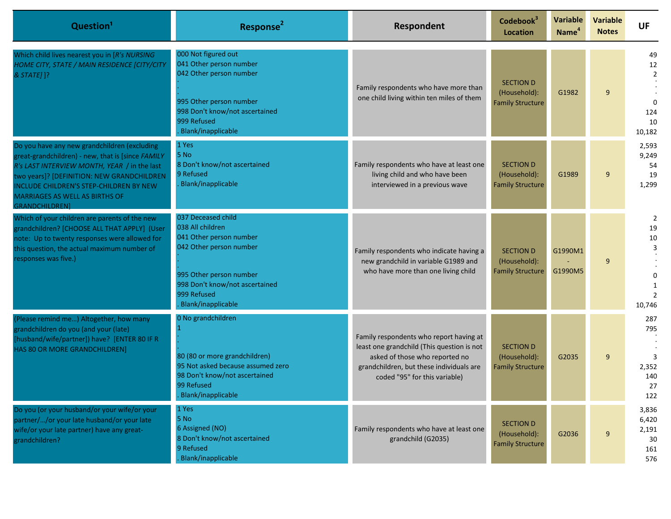| Question <sup>1</sup>                                                                                                                                                                                                                                                                                 | Response <sup>2</sup>                                                                                                                                                                          | Respondent                                                                                                                                                                                           | Codebook <sup>3</sup><br><b>Location</b>                    | <b>Variable</b><br>Name <sup>4</sup> | <b>Variable</b><br><b>Notes</b> | <b>UF</b>                                                     |
|-------------------------------------------------------------------------------------------------------------------------------------------------------------------------------------------------------------------------------------------------------------------------------------------------------|------------------------------------------------------------------------------------------------------------------------------------------------------------------------------------------------|------------------------------------------------------------------------------------------------------------------------------------------------------------------------------------------------------|-------------------------------------------------------------|--------------------------------------|---------------------------------|---------------------------------------------------------------|
| Which child lives nearest you in [R's NURSING<br>HOME CITY, STATE / MAIN RESIDENCE [CITY/CITY<br>& STATE] ]?                                                                                                                                                                                          | 000 Not figured out<br>041 Other person number<br>042 Other person number<br>995 Other person number<br>998 Don't know/not ascertained<br>999 Refused<br>Blank/inapplicable                    | Family respondents who have more than<br>one child living within ten miles of them                                                                                                                   | <b>SECTION D</b><br>(Household):<br><b>Family Structure</b> | G1982                                | 9                               | 49<br>12<br>$\overline{2}$<br>$\Omega$<br>124<br>10<br>10,182 |
| Do you have any new grandchildren (excluding<br>great-grandchildren) - new, that is [since FAMILY<br>R's LAST INTERVIEW MONTH, YEAR / in the last<br>two years]? [DEFINITION: NEW GRANDCHILDREN<br>INCLUDE CHILDREN'S STEP-CHILDREN BY NEW<br>MARRIAGES AS WELL AS BIRTHS OF<br><b>GRANDCHILDREN1</b> | 1 Yes<br>5 No<br>8 Don't know/not ascertained<br>9 Refused<br>Blank/inapplicable                                                                                                               | Family respondents who have at least one<br>living child and who have been<br>interviewed in a previous wave                                                                                         | <b>SECTION D</b><br>(Household):<br><b>Family Structure</b> | G1989                                | 9                               | 2,593<br>9,249<br>54<br>19<br>1,299                           |
| Which of your children are parents of the new<br>grandchildren? [CHOOSE ALL THAT APPLY] (User<br>note: Up to twenty responses were allowed for<br>this question, the actual maximum number of<br>responses was five.)                                                                                 | 037 Deceased child<br>038 All children<br>041 Other person number<br>042 Other person number<br>995 Other person number<br>998 Don't know/not ascertained<br>999 Refused<br>Blank/inapplicable | Family respondents who indicate having a<br>new grandchild in variable G1989 and<br>who have more than one living child                                                                              | <b>SECTION D</b><br>(Household):<br><b>Family Structure</b> | G1990M1<br>G1990M5                   | 9                               | $\overline{2}$<br>19<br>10<br>3<br>10,746                     |
| (Please remind me) Altogether, how many<br>grandchildren do you (and your (late)<br>[husband/wife/partner]) have? [ENTER 80 IF R<br>HAS 80 OR MORE GRANDCHILDREN]                                                                                                                                     | 0 No grandchildren<br>80 (80 or more grandchildren)<br>95 Not asked because assumed zero<br>98 Don't know/not ascertained<br>99 Refused<br>Blank/inapplicable                                  | Family respondents who report having at<br>least one grandchild (This question is not<br>asked of those who reported no<br>grandchildren, but these individuals are<br>coded "95" for this variable) | <b>SECTION D</b><br>(Household):<br><b>Family Structure</b> | G2035                                | 9                               | 287<br>795<br>2,352<br>140<br>27<br>122                       |
| Do you (or your husband/or your wife/or your<br>partner//or your late husband/or your late<br>wife/or your late partner) have any great-<br>grandchildren?                                                                                                                                            | 1 Yes<br>5 No<br>6 Assigned (NO)<br>8 Don't know/not ascertained<br>9 Refused<br>Blank/inapplicable                                                                                            | Family respondents who have at least one<br>grandchild (G2035)                                                                                                                                       | <b>SECTION D</b><br>(Household):<br><b>Family Structure</b> | G2036                                | 9                               | 3,836<br>6,420<br>2,191<br>30<br>161<br>576                   |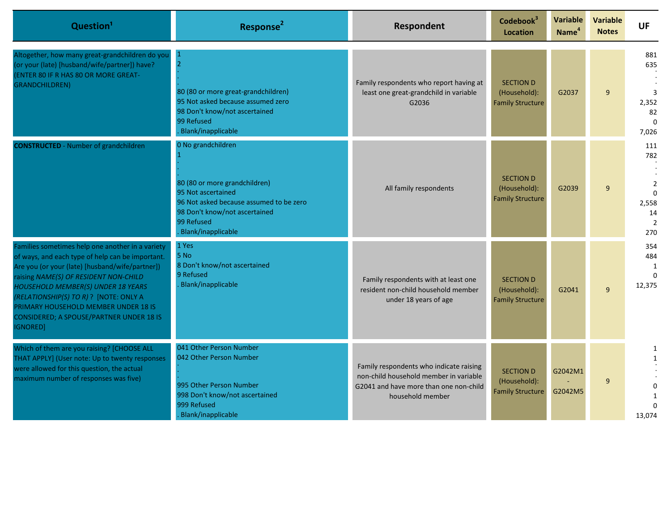| Question <sup>1</sup>                                                                                                                                                                                                                                                                                                                                                                   | Response <sup>2</sup>                                                                                                                                                                     | Respondent                                                                                                                                      | Codebook <sup>3</sup><br><b>Location</b>                    | <b>Variable</b><br>Name <sup>4</sup> | <b>Variable</b><br><b>Notes</b> | UF                                                               |
|-----------------------------------------------------------------------------------------------------------------------------------------------------------------------------------------------------------------------------------------------------------------------------------------------------------------------------------------------------------------------------------------|-------------------------------------------------------------------------------------------------------------------------------------------------------------------------------------------|-------------------------------------------------------------------------------------------------------------------------------------------------|-------------------------------------------------------------|--------------------------------------|---------------------------------|------------------------------------------------------------------|
| Altogether, how many great-grandchildren do you<br>(or your (late) [husband/wife/partner]) have?<br>(ENTER 80 IF R HAS 80 OR MORE GREAT-<br><b>GRANDCHILDREN)</b>                                                                                                                                                                                                                       | 80 (80 or more great-grandchildren)<br>95 Not asked because assumed zero<br>98 Don't know/not ascertained<br>99 Refused<br>Blank/inapplicable                                             | Family respondents who report having at<br>least one great-grandchild in variable<br>G2036                                                      | <b>SECTION D</b><br>(Household):<br><b>Family Structure</b> | G2037                                | 9                               | 881<br>635<br>$\overline{3}$<br>2,352<br>82<br>$\Omega$<br>7,026 |
| <b>CONSTRUCTED</b> - Number of grandchildren                                                                                                                                                                                                                                                                                                                                            | 0 No grandchildren<br>80 (80 or more grandchildren)<br>95 Not ascertained<br>96 Not asked because assumed to be zero<br>98 Don't know/not ascertained<br>99 Refused<br>Blank/inapplicable | All family respondents                                                                                                                          | <b>SECTION D</b><br>(Household):<br><b>Family Structure</b> | G2039                                | 9                               | 111<br>782<br>$\overline{2}$<br>$\Omega$<br>2,558<br>14<br>270   |
| Families sometimes help one another in a variety<br>of ways, and each type of help can be important.<br>Are you (or your (late) [husband/wife/partner])<br>raising NAME(S) OF RESIDENT NON-CHILD<br>HOUSEHOLD MEMBER(S) UNDER 18 YEARS<br>(RELATIONSHIP(S) TO R) ? [NOTE: ONLY A<br>PRIMARY HOUSEHOLD MEMBER UNDER 18 IS<br><b>CONSIDERED; A SPOUSE/PARTNER UNDER 18 IS</b><br>IGNORED] | 1 Yes<br>5 No<br>8 Don't know/not ascertained<br>9 Refused<br>Blank/inapplicable                                                                                                          | Family respondents with at least one<br>resident non-child household member<br>under 18 years of age                                            | <b>SECTION D</b><br>(Household):<br><b>Family Structure</b> | G2041                                | 9                               | 354<br>484<br>1<br>$\Omega$<br>12,375                            |
| Which of them are you raising? [CHOOSE ALL<br>THAT APPLY] (User note: Up to twenty responses<br>were allowed for this question, the actual<br>maximum number of responses was five)                                                                                                                                                                                                     | 041 Other Person Number<br>042 Other Person Number<br>995 Other Person Number<br>998 Don't know/not ascertained<br>999 Refused<br>Blank/inapplicable                                      | Family respondents who indicate raising<br>non-child household member in variable<br>G2041 and have more than one non-child<br>household member | <b>SECTION D</b><br>(Household):<br><b>Family Structure</b> | G2042M1<br>G2042M5                   | 9                               | 1<br>$\mathbf{1}$<br>$\Omega$<br>13,074                          |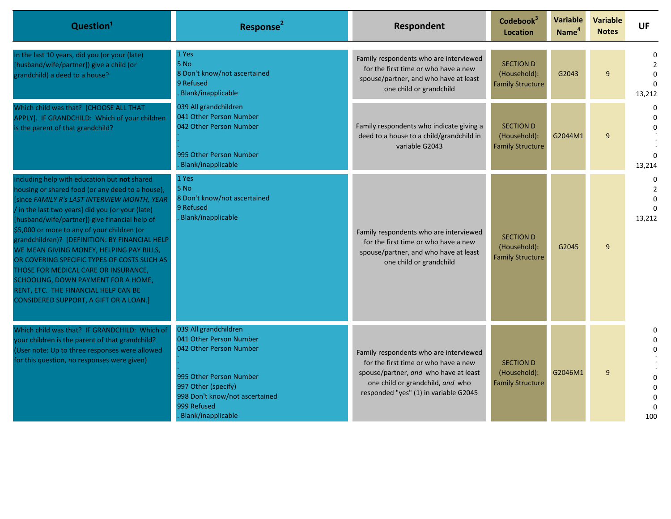| Question <sup>1</sup>                                                                                                                                                                                                                                                                                                                                                                                                                                                                                                                                                                                               | Response <sup>2</sup>                                                                                                                                                                                | Respondent                                                                                                                                                                                           | Codebook <sup>3</sup><br>Location                           | Variable<br>Name <sup>4</sup> | <b>Variable</b><br><b>Notes</b> | <b>UF</b> |
|---------------------------------------------------------------------------------------------------------------------------------------------------------------------------------------------------------------------------------------------------------------------------------------------------------------------------------------------------------------------------------------------------------------------------------------------------------------------------------------------------------------------------------------------------------------------------------------------------------------------|------------------------------------------------------------------------------------------------------------------------------------------------------------------------------------------------------|------------------------------------------------------------------------------------------------------------------------------------------------------------------------------------------------------|-------------------------------------------------------------|-------------------------------|---------------------------------|-----------|
| In the last 10 years, did you (or your (late)<br>[husband/wife/partner]) give a child (or<br>grandchild) a deed to a house?                                                                                                                                                                                                                                                                                                                                                                                                                                                                                         | 1 Yes<br>5 No<br>8 Don't know/not ascertained<br>9 Refused<br>Blank/inapplicable                                                                                                                     | Family respondents who are interviewed<br>for the first time or who have a new<br>spouse/partner, and who have at least<br>one child or grandchild                                                   | <b>SECTION D</b><br>(Household):<br><b>Family Structure</b> | G2043                         | 9                               | 13,212    |
| Which child was that? [CHOOSE ALL THAT<br>APPLY]. IF GRANDCHILD: Which of your children<br>is the parent of that grandchild?                                                                                                                                                                                                                                                                                                                                                                                                                                                                                        | 039 All grandchildren<br>041 Other Person Number<br>042 Other Person Number<br>995 Other Person Number<br>Blank/inapplicable                                                                         | Family respondents who indicate giving a<br>deed to a house to a child/grandchild in<br>variable G2043                                                                                               | <b>SECTION D</b><br>(Household):<br><b>Family Structure</b> | G2044M1                       | $\mathbf{q}$                    | 13,214    |
| Including help with education but not shared<br>housing or shared food (or any deed to a house),<br>[since FAMILY R's LAST INTERVIEW MONTH, YEAR<br>/ in the last two years] did you (or your (late)<br>[husband/wife/partner]) give financial help of<br>\$5,000 or more to any of your children (or<br>grandchildren)? [DEFINITION: BY FINANCIAL HELP<br>WE MEAN GIVING MONEY, HELPING PAY BILLS,<br>OR COVERING SPECIFIC TYPES OF COSTS SUCH AS<br>THOSE FOR MEDICAL CARE OR INSURANCE,<br>SCHOOLING, DOWN PAYMENT FOR A HOME,<br>RENT, ETC. THE FINANCIAL HELP CAN BE<br>CONSIDERED SUPPORT, A GIFT OR A LOAN.] | 1 Yes<br>5 No<br>8 Don't know/not ascertained<br>9 Refused<br>Blank/inapplicable                                                                                                                     | Family respondents who are interviewed<br>for the first time or who have a new<br>spouse/partner, and who have at least<br>one child or grandchild                                                   | <b>SECTION D</b><br>(Household):<br><b>Family Structure</b> | G2045                         | 9                               | 13,212    |
| Which child was that? IF GRANDCHILD: Which of<br>your children is the parent of that grandchild?<br>(User note: Up to three responses were allowed<br>for this question, no responses were given)                                                                                                                                                                                                                                                                                                                                                                                                                   | 039 All grandchildren<br>041 Other Person Number<br>042 Other Person Number<br>995 Other Person Number<br>997 Other (specify)<br>998 Don't know/not ascertained<br>999 Refused<br>Blank/inapplicable | Family respondents who are interviewed<br>for the first time or who have a new<br>spouse/partner, and who have at least<br>one child or grandchild, and who<br>responded "yes" (1) in variable G2045 | <b>SECTION D</b><br>(Household):<br><b>Family Structure</b> | G2046M1                       | $\mathsf{q}$                    | 100       |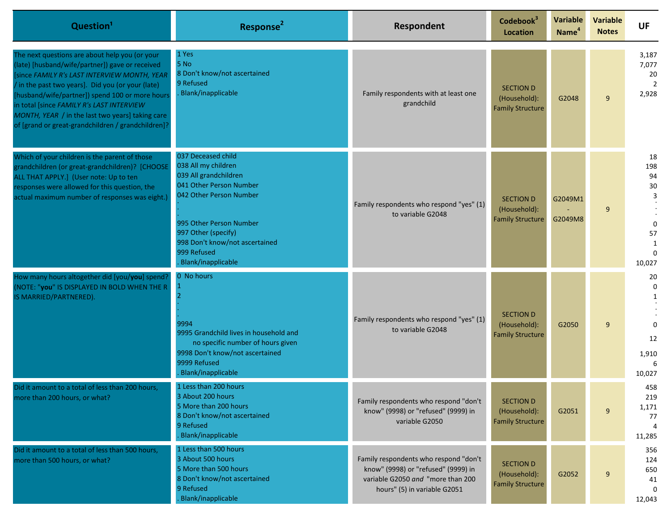| Question <sup>1</sup>                                                                                                                                                                                                                                                                                                                                                                                           | Response <sup>2</sup>                                                                                                                                                                                                                             | Respondent                                                                                                                                        | Codebook <sup>3</sup><br><b>Location</b>                    | <b>Variable</b><br>Name <sup>4</sup> | Variable<br><b>Notes</b> | <b>UF</b>                                              |
|-----------------------------------------------------------------------------------------------------------------------------------------------------------------------------------------------------------------------------------------------------------------------------------------------------------------------------------------------------------------------------------------------------------------|---------------------------------------------------------------------------------------------------------------------------------------------------------------------------------------------------------------------------------------------------|---------------------------------------------------------------------------------------------------------------------------------------------------|-------------------------------------------------------------|--------------------------------------|--------------------------|--------------------------------------------------------|
| The next questions are about help you (or your<br>(late) [husband/wife/partner]) gave or received<br>since FAMILY R's LAST INTERVIEW MONTH, YEAR<br>/ in the past two years]. Did you (or your (late)<br>[husband/wife/partner]) spend 100 or more hours<br>in total [since FAMILY R's LAST INTERVIEW<br>MONTH, YEAR / in the last two years] taking care<br>of [grand or great-grandchildren / grandchildren]? | 1 Yes<br>5 No<br>8 Don't know/not ascertained<br>9 Refused<br>Blank/inapplicable                                                                                                                                                                  | Family respondents with at least one<br>grandchild                                                                                                | <b>SECTION D</b><br>(Household):<br><b>Family Structure</b> | G2048                                | 9                        | 3,187<br>7,077<br>20<br>$\overline{2}$<br>2,928        |
| Which of your children is the parent of those<br>grandchildren (or great-grandchildren)? [CHOOSE<br>ALL THAT APPLY.] (User note: Up to ten<br>responses were allowed for this question, the<br>actual maximum number of responses was eight.)                                                                                                                                                                   | 037 Deceased child<br>038 All my children<br>039 All grandchildren<br>041 Other Person Number<br>042 Other Person Number<br>995 Other Person Number<br>997 Other (specify)<br>998 Don't know/not ascertained<br>999 Refused<br>Blank/inapplicable | Family respondents who respond "yes" (1)<br>to variable G2048                                                                                     | <b>SECTION D</b><br>(Household):<br><b>Family Structure</b> | G2049M1<br>G2049M8                   | 9                        | 18<br>198<br>94<br>$30\,$<br>3<br>57<br>1<br>10,027    |
| How many hours altogether did [you/you] spend?<br>(NOTE: "you" IS DISPLAYED IN BOLD WHEN THE R<br>IS MARRIED/PARTNERED).                                                                                                                                                                                                                                                                                        | 0 No hours<br>9994<br>9995 Grandchild lives in household and<br>no specific number of hours given<br>9998 Don't know/not ascertained<br>9999 Refused<br>Blank/inapplicable                                                                        | Family respondents who respond "yes" (1)<br>to variable G2048                                                                                     | <b>SECTION D</b><br>(Household):<br><b>Family Structure</b> | G2050                                | 9                        | 20<br>$\mathbf 0$<br>$\Omega$<br>12<br>1,910<br>10,027 |
| Did it amount to a total of less than 200 hours,<br>more than 200 hours, or what?                                                                                                                                                                                                                                                                                                                               | 1 Less than 200 hours<br>3 About 200 hours<br>5 More than 200 hours<br>8 Don't know/not ascertained<br>9 Refused<br>Blank/inapplicable                                                                                                            | Family respondents who respond "don't<br>know" (9998) or "refused" (9999) in<br>variable G2050                                                    | <b>SECTION D</b><br>(Household):<br><b>Family Structure</b> | G2051                                | 9                        | 458<br>219<br>1,171<br>77<br>11,285                    |
| Did it amount to a total of less than 500 hours,<br>more than 500 hours, or what?                                                                                                                                                                                                                                                                                                                               | 1 Less than 500 hours<br>3 About 500 hours<br>5 More than 500 hours<br>8 Don't know/not ascertained<br>9 Refused<br>Blank/inapplicable                                                                                                            | Family respondents who respond "don't<br>know" (9998) or "refused" (9999) in<br>variable G2050 and "more than 200<br>hours" (5) in variable G2051 | <b>SECTION D</b><br>(Household):<br><b>Family Structure</b> | G2052                                | 9                        | 356<br>124<br>650<br>41<br>12,043                      |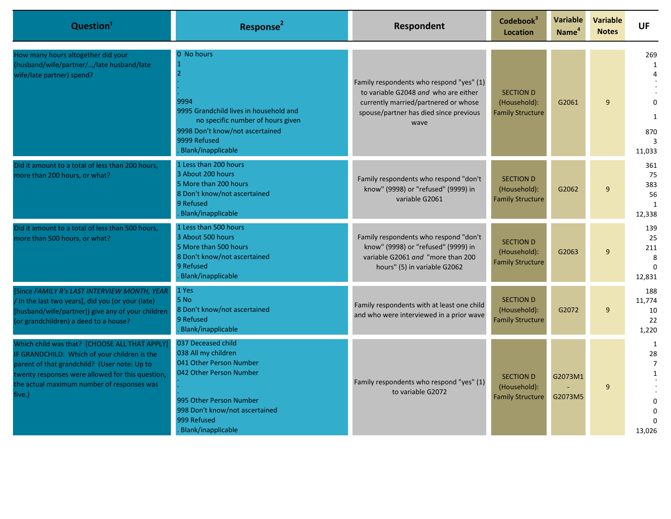| Question <sup>1</sup>                                                                                                                                                                                                                                     | Response <sup>2</sup>                                                                                                                                                                             | Respondent                                                                                                                                                                 | Codebook <sup>3</sup><br>Location                           | Variable<br>Name <sup>4</sup> | <b>Variable</b><br><b>Notes</b> | <b>UF</b>                                                            |
|-----------------------------------------------------------------------------------------------------------------------------------------------------------------------------------------------------------------------------------------------------------|---------------------------------------------------------------------------------------------------------------------------------------------------------------------------------------------------|----------------------------------------------------------------------------------------------------------------------------------------------------------------------------|-------------------------------------------------------------|-------------------------------|---------------------------------|----------------------------------------------------------------------|
| How many hours altogether did your<br>(husband/wife/partner//late husband/late<br>wife/late partner) spend?                                                                                                                                               | 0 No hours<br>-1<br>9994<br>9995 Grandchild lives in household and<br>no specific number of hours given<br>9998 Don't know/not ascertained<br>9999 Refused<br>Blank/inapplicable                  | Family respondents who respond "yes" (1)<br>to variable G2048 and who are either<br>currently married/partnered or whose<br>spouse/partner has died since previous<br>wave | <b>SECTION D</b><br>(Household):<br><b>Family Structure</b> | G2061                         | $\mathbf{q}$                    | 269<br>$\mathbf{1}$<br>$\mathbf{1}$<br>870<br>$\mathbf{3}$<br>11,033 |
| Did it amount to a total of less than 200 hours,<br>more than 200 hours, or what?                                                                                                                                                                         | 1 Less than 200 hours<br>3 About 200 hours<br>5 More than 200 hours<br>8 Don't know/not ascertained<br>9 Refused<br>Blank/inapplicable                                                            | Family respondents who respond "don't<br>know" (9998) or "refused" (9999) in<br>variable G2061                                                                             | <b>SECTION D</b><br>(Household):<br><b>Family Structure</b> | G2062                         | $\mathsf{q}$                    | 361<br>75<br>383<br>56<br>$\mathbf{1}$<br>12,338                     |
| Did it amount to a total of less than 500 hours,<br>more than 500 hours, or what?                                                                                                                                                                         | 1 Less than 500 hours<br>3 About 500 hours<br>5 More than 500 hours<br>8 Don't know/not ascertained<br>9 Refused<br>Blank/inapplicable                                                            | Family respondents who respond "don't<br>know" (9998) or "refused" (9999) in<br>variable G2061 and "more than 200<br>hours" (5) in variable G2062                          | <b>SECTION D</b><br>(Household):<br><b>Family Structure</b> | G2063                         | $\mathsf{q}$                    | 139<br>25<br>211<br>8<br>$\Omega$<br>12,831                          |
| [Since FAMILY R's LAST INTERVIEW MONTH, YEAR<br>/ In the last two years], did you (or your (late)<br>[husband/wife/partner]) give any of your children<br>(or grandchildren) a deed to a house?                                                           | 1 Yes<br>5 No<br>8 Don't know/not ascertained<br>9 Refused<br>Blank/inapplicable                                                                                                                  | Family respondents with at least one child<br>and who were interviewed in a prior wave                                                                                     | <b>SECTION D</b><br>(Household):<br><b>Family Structure</b> | G2072                         | 9                               | 188<br>11,774<br>10<br>22<br>1,220                                   |
| Which child was that? [CHOOSE ALL THAT APPLY]<br>IF GRANDCHILD: Which of your children is the<br>parent of that grandchild? (User note: Up to<br>twenty responses were allowed for this question,<br>the actual maximum number of responses was<br>five.) | 037 Deceased child<br>038 All my children<br>041 Other Person Number<br>042 Other Person Number<br>995 Other Person Number<br>998 Don't know/not ascertained<br>999 Refused<br>Blank/inapplicable | Family respondents who respond "yes" (1)<br>to variable G2072                                                                                                              | <b>SECTION D</b><br>(Household):<br><b>Family Structure</b> | G2073M1<br>G2073M5            | $\mathsf{q}$                    | 1<br>28<br>$\overline{7}$<br>$\mathbf{1}$<br>13,026                  |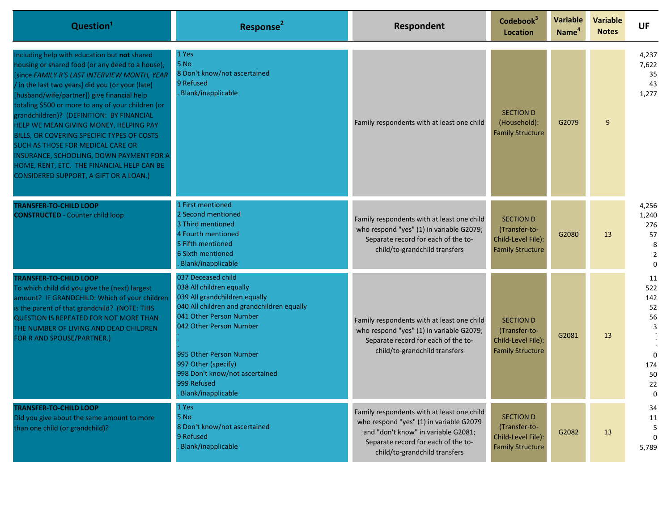| Question <sup>1</sup>                                                                                                                                                                                                                                                                                                                                                                                                                                                                                                                                                                                                   | Response <sup>2</sup>                                                                                                                                                                                                                                                                                        | Respondent                                                                                                                                                                                           | Codebook <sup>3</sup><br><b>Location</b>                                           | <b>Variable</b><br>Name <sup>4</sup> | <b>Variable</b><br><b>Notes</b> | <b>UF</b>                                                             |
|-------------------------------------------------------------------------------------------------------------------------------------------------------------------------------------------------------------------------------------------------------------------------------------------------------------------------------------------------------------------------------------------------------------------------------------------------------------------------------------------------------------------------------------------------------------------------------------------------------------------------|--------------------------------------------------------------------------------------------------------------------------------------------------------------------------------------------------------------------------------------------------------------------------------------------------------------|------------------------------------------------------------------------------------------------------------------------------------------------------------------------------------------------------|------------------------------------------------------------------------------------|--------------------------------------|---------------------------------|-----------------------------------------------------------------------|
| Including help with education but not shared<br>housing or shared food (or any deed to a house),<br>[since FAMILY R'S LAST INTERVIEW MONTH, YEAR<br>/ in the last two years] did you (or your (late)<br>[husband/wife/partner]) give financial help<br>totaling \$500 or more to any of your children (or<br>grandchildren)? (DEFINITION: BY FINANCIAL<br>HELP WE MEAN GIVING MONEY, HELPING PAY<br>BILLS, OR COVERING SPECIFIC TYPES OF COSTS<br>SUCH AS THOSE FOR MEDICAL CARE OR<br>INSURANCE, SCHOOLING, DOWN PAYMENT FOR A<br>HOME, RENT, ETC. THE FINANCIAL HELP CAN BE<br>CONSIDERED SUPPORT, A GIFT OR A LOAN.) | 1 Yes<br>5 No<br>8 Don't know/not ascertained<br>9 Refused<br>Blank/inapplicable                                                                                                                                                                                                                             | Family respondents with at least one child                                                                                                                                                           | <b>SECTION D</b><br>(Household):<br><b>Family Structure</b>                        | G2079                                | 9                               | 4,237<br>7,622<br>35<br>43<br>1,277                                   |
| <b>TRANSFER-TO-CHILD LOOP</b><br><b>CONSTRUCTED</b> - Counter child loop                                                                                                                                                                                                                                                                                                                                                                                                                                                                                                                                                | 1 First mentioned<br>2 Second mentioned<br>3 Third mentioned<br>4 Fourth mentioned<br>5 Fifth mentioned<br>6 Sixth mentioned<br>Blank/inapplicable                                                                                                                                                           | Family respondents with at least one child<br>who respond "yes" (1) in variable G2079;<br>Separate record for each of the to-<br>child/to-grandchild transfers                                       | <b>SECTION D</b><br>(Transfer-to-<br>Child-Level File):<br><b>Family Structure</b> | G2080                                | 13                              | 4,256<br>1,240<br>276<br>57<br>8<br>$\overline{2}$<br>$\Omega$        |
| <b>TRANSFER-TO-CHILD LOOP</b><br>To which child did you give the (next) largest<br>amount? IF GRANDCHILD: Which of your children<br>is the parent of that grandchild? (NOTE: THIS<br><b>QUESTION IS REPEATED FOR NOT MORE THAN</b><br>THE NUMBER OF LIVING AND DEAD CHILDREN<br>FOR R AND SPOUSE/PARTNER.)                                                                                                                                                                                                                                                                                                              | 037 Deceased child<br>038 All children equally<br>039 All grandchildren equally<br>040 All children and grandchildren equally<br>041 Other Person Number<br>042 Other Person Number<br>995 Other Person Number<br>997 Other (specify)<br>998 Don't know/not ascertained<br>999 Refused<br>Blank/inapplicable | Family respondents with at least one child<br>who respond "yes" (1) in variable G2079;<br>Separate record for each of the to-<br>child/to-grandchild transfers                                       | <b>SECTION D</b><br>(Transfer-to-<br>Child-Level File):<br><b>Family Structure</b> | G2081                                | 13                              | 11<br>522<br>142<br>52<br>56<br>3<br>$\Omega$<br>174<br>50<br>22<br>0 |
| <b>TRANSFER-TO-CHILD LOOP</b><br>Did you give about the same amount to more<br>than one child (or grandchild)?                                                                                                                                                                                                                                                                                                                                                                                                                                                                                                          | 1 Yes<br>5 No<br>8 Don't know/not ascertained<br>9 Refused<br>Blank/inapplicable                                                                                                                                                                                                                             | Family respondents with at least one child<br>who respond "yes" (1) in variable G2079<br>and "don't know" in variable G2081;<br>Separate record for each of the to-<br>child/to-grandchild transfers | <b>SECTION D</b><br>(Transfer-to-<br>Child-Level File):<br><b>Family Structure</b> | G2082                                | 13                              | 34<br>11<br>5<br>$\Omega$<br>5,789                                    |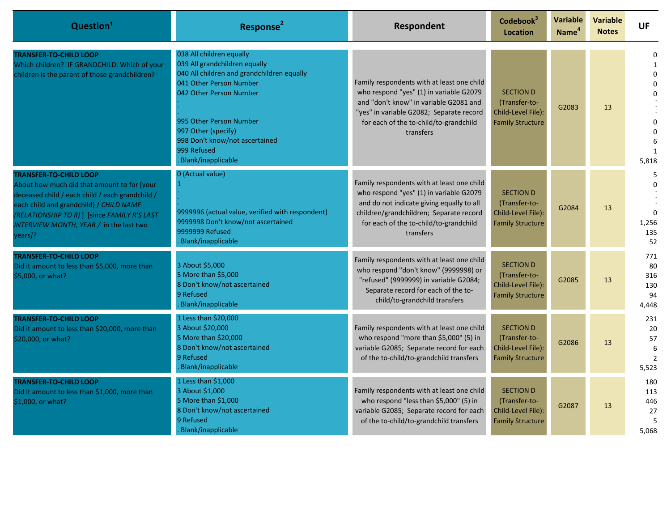| Question <sup>1</sup>                                                                                                                                                                                                                                                            | Response <sup>2</sup>                                                                                                                                                                                                                                                                  | Respondent                                                                                                                                                                                                                           | Codebook <sup>3</sup><br>Location                                                  | <b>Variable</b><br>Name <sup>4</sup> | <b>Variable</b><br><b>Notes</b> | <b>UF</b>                                              |
|----------------------------------------------------------------------------------------------------------------------------------------------------------------------------------------------------------------------------------------------------------------------------------|----------------------------------------------------------------------------------------------------------------------------------------------------------------------------------------------------------------------------------------------------------------------------------------|--------------------------------------------------------------------------------------------------------------------------------------------------------------------------------------------------------------------------------------|------------------------------------------------------------------------------------|--------------------------------------|---------------------------------|--------------------------------------------------------|
| <b>TRANSFER-TO-CHILD LOOP</b><br>Which children? IF GRANDCHILD: Which of your<br>children is the parent of those grandchildren?                                                                                                                                                  | 038 All children equally<br>039 All grandchildren equally<br>040 All children and grandchildren equally<br>041 Other Person Number<br>042 Other Person Number<br>995 Other Person Number<br>997 Other (specify)<br>998 Don't know/not ascertained<br>999 Refused<br>Blank/inapplicable | Family respondents with at least one child<br>who respond "yes" (1) in variable G2079<br>and "don't know" in variable G2081 and<br>"yes" in variable G2082; Separate record<br>for each of the to-child/to-grandchild<br>transfers   | <b>SECTION D</b><br>(Transfer-to-<br>Child-Level File):<br><b>Family Structure</b> | G2083                                | 13                              | $\mathbf{1}$<br>$\Omega$<br>0<br>$\mathbf{1}$<br>5.818 |
| <b>TRANSFER-TO-CHILD LOOP</b><br>About how much did that amount to for [your<br>deceased child / each child / each grandchild /<br>each child and grandchild) / CHILD NAME<br>(RELATIONSHIP TO R) ] [since FAMILY R'S LAST<br>INTERVIEW MONTH, YEAR / in the last two<br>years]? | 0 (Actual value)<br>9999996 (actual value, verified with respondent)<br>9999998 Don't know/not ascertained<br>9999999 Refused<br>Blank/inapplicable                                                                                                                                    | Family respondents with at least one child<br>who respond "yes" (1) in variable G2079<br>and do not indicate giving equally to all<br>children/grandchildren; Separate record<br>for each of the to-child/to-grandchild<br>transfers | <b>SECTION D</b><br>(Transfer-to-<br>Child-Level File):<br><b>Family Structure</b> | G2084                                | 13                              | $\Omega$<br>1,256<br>135<br>52                         |
| <b>TRANSFER-TO-CHILD LOOP</b><br>Did it amount to less than \$5,000, more than<br>\$5,000, or what?                                                                                                                                                                              | 3 About \$5,000<br>5 More than \$5,000<br>8 Don't know/not ascertained<br>9 Refused<br>Blank/inapplicable                                                                                                                                                                              | Family respondents with at least one child<br>who respond "don't know" (9999998) or<br>"refused" (9999999) in variable G2084;<br>Separate record for each of the to-<br>child/to-grandchild transfers                                | <b>SECTION D</b><br>(Transfer-to-<br>Child-Level File):<br><b>Family Structure</b> | G2085                                | 13                              | 771<br>80<br>316<br>130<br>94<br>4,448                 |
| <b>TRANSFER-TO-CHILD LOOP</b><br>Did it amount to less than \$20,000, more than<br>\$20,000, or what?                                                                                                                                                                            | 1 Less than \$20,000<br>3 About \$20,000<br>5 More than \$20,000<br>8 Don't know/not ascertained<br>9 Refused<br>Blank/inapplicable                                                                                                                                                    | Family respondents with at least one child<br>who respond "more than \$5,000" (5) in<br>variable G2085; Separate record for each<br>of the to-child/to-grandchild transfers                                                          | <b>SECTION D</b><br>(Transfer-to-<br>Child-Level File):<br><b>Family Structure</b> | G2086                                | 13                              | 231<br>20<br>57<br>6<br>$\overline{2}$<br>5,523        |
| <b>TRANSFER-TO-CHILD LOOP</b><br>Did it amount to less than \$1,000, more than<br>\$1,000, or what?                                                                                                                                                                              | 1 Less than \$1,000<br>3 About \$1,000<br>5 More than \$1,000<br>8 Don't know/not ascertained<br>9 Refused<br>Blank/inapplicable                                                                                                                                                       | Family respondents with at least one child<br>who respond "less than \$5,000" (5) in<br>variable G2085; Separate record for each<br>of the to-child/to-grandchild transfers                                                          | <b>SECTION D</b><br>(Transfer-to-<br>Child-Level File):<br><b>Family Structure</b> | G2087                                | 13                              | 180<br>113<br>446<br>27<br>5<br>5,068                  |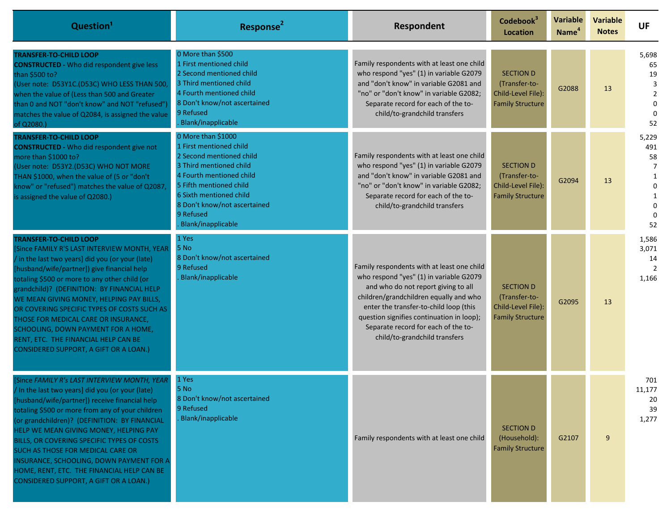| Question <sup>1</sup>                                                                                                                                                                                                                                                                                                                                                                                                                                                                                                                    | Response <sup>2</sup>                                                                                                                                                                                                                                     | Respondent                                                                                                                                                                                                                                                                                                                            | Codebook <sup>3</sup><br><b>Location</b>                                           | <b>Variable</b><br>Name <sup>4</sup> | <b>Variable</b><br><b>Notes</b> | <b>UF</b>                                                                 |
|------------------------------------------------------------------------------------------------------------------------------------------------------------------------------------------------------------------------------------------------------------------------------------------------------------------------------------------------------------------------------------------------------------------------------------------------------------------------------------------------------------------------------------------|-----------------------------------------------------------------------------------------------------------------------------------------------------------------------------------------------------------------------------------------------------------|---------------------------------------------------------------------------------------------------------------------------------------------------------------------------------------------------------------------------------------------------------------------------------------------------------------------------------------|------------------------------------------------------------------------------------|--------------------------------------|---------------------------------|---------------------------------------------------------------------------|
| TRANSFER-TO-CHILD LOOP<br><b>CONSTRUCTED - Who did respondent give less</b><br>than \$500 to?<br>(User note: D53Y1C.(D53C) WHO LESS THAN 500,<br>when the value of (Less than 500 and Greater<br>than 0 and NOT "don't know" and NOT "refused"<br>matches the value of Q2084, is assigned the value<br>of Q2080.)                                                                                                                                                                                                                        | 0 More than \$500<br>1 First mentioned child<br>2 Second mentioned child<br>3 Third mentioned child<br>4 Fourth mentioned child<br>8 Don't know/not ascertained<br>9 Refused<br>Blank/inapplicable                                                        | Family respondents with at least one child<br>who respond "yes" (1) in variable G2079<br>and "don't know" in variable G2081 and<br>"no" or "don't know" in variable G2082;<br>Separate record for each of the to-<br>child/to-grandchild transfers                                                                                    | <b>SECTION D</b><br>(Transfer-to-<br>Child-Level File):<br><b>Family Structure</b> | G2088                                | 13                              | 5,698<br>65<br>19<br>3<br>$\overline{2}$<br>$\mathbf 0$<br>$\Omega$<br>52 |
| <b>TRANSFER-TO-CHILD LOOP</b><br><b>CONSTRUCTED - Who did respondent give not</b><br>more than \$1000 to?<br>(User note: D53Y2.(D53C) WHO NOT MORE<br>THAN \$1000, when the value of (5 or "don't<br>know" or "refused") matches the value of Q2087,<br>is assigned the value of Q2080.)                                                                                                                                                                                                                                                 | 0 More than \$1000<br>1 First mentioned child<br>2 Second mentioned child<br>3 Third mentioned child<br>4 Fourth mentioned child<br>5 Fifth mentioned child<br>6 Sixth mentioned child<br>8 Don't know/not ascertained<br>9 Refused<br>Blank/inapplicable | Family respondents with at least one child<br>who respond "yes" (1) in variable G2079<br>and "don't know" in variable G2081 and<br>"no" or "don't know" in variable G2082:<br>Separate record for each of the to-<br>child/to-grandchild transfers                                                                                    | <b>SECTION D</b><br>(Transfer-to-<br>Child-Level File):<br><b>Family Structure</b> | G2094                                | 13                              | 5,229<br>491<br>58<br>1<br>$\Omega$<br>1<br>$\mathbf 0$<br>$\Omega$<br>52 |
| <b>TRANSFER-TO-CHILD LOOP</b><br>Since FAMILY R'S LAST INTERVIEW MONTH, YEAR<br>in the last two years] did you (or your (late)<br>husband/wife/partner]) give financial help<br>totaling \$500 or more to any other child (or<br>grandchild)? (DEFINITION: BY FINANCIAL HELP<br>WE MEAN GIVING MONEY, HELPING PAY BILLS,<br>OR COVERING SPECIFIC TYPES OF COSTS SUCH AS<br>THOSE FOR MEDICAL CARE OR INSURANCE,<br>SCHOOLING, DOWN PAYMENT FOR A HOME,<br>RENT, ETC. THE FINANCIAL HELP CAN BE<br>CONSIDERED SUPPORT, A GIFT OR A LOAN.) | 1 Yes<br>5 No<br>8 Don't know/not ascertained<br>9 Refused<br>Blank/inapplicable                                                                                                                                                                          | Family respondents with at least one child<br>who respond "yes" (1) in variable G2079<br>and who do not report giving to all<br>children/grandchildren equally and who<br>enter the transfer-to-child loop (this<br>question signifies continuation in loop);<br>Separate record for each of the to-<br>child/to-grandchild transfers | <b>SECTION D</b><br>(Transfer-to-<br>Child-Level File):<br><b>Family Structure</b> | G2095                                | 13                              | 1,586<br>3,071<br>14<br>2<br>1,166                                        |
| Since FAMILY R's LAST INTERVIEW MONTH, YEAR<br>In the last two years] did you (or your (late)<br>[husband/wife/partner]) receive financial help<br>totaling \$500 or more from any of your children<br>(or grandchildren)? (DEFINITION: BY FINANCIAL<br>HELP WE MEAN GIVING MONEY, HELPING PAY<br>BILLS, OR COVERING SPECIFIC TYPES OF COSTS<br>SUCH AS THOSE FOR MEDICAL CARE OR<br>INSURANCE, SCHOOLING, DOWN PAYMENT FOR A<br>HOME, RENT, ETC. THE FINANCIAL HELP CAN BE<br>CONSIDERED SUPPORT, A GIFT OR A LOAN.)                    | 1 Yes<br>5 No<br>8 Don't know/not ascertained<br>9 Refused<br>Blank/inapplicable                                                                                                                                                                          | Family respondents with at least one child                                                                                                                                                                                                                                                                                            | <b>SECTION D</b><br>(Household):<br><b>Family Structure</b>                        | G2107                                | 9                               | 701<br>11,177<br>20<br>39<br>1,277                                        |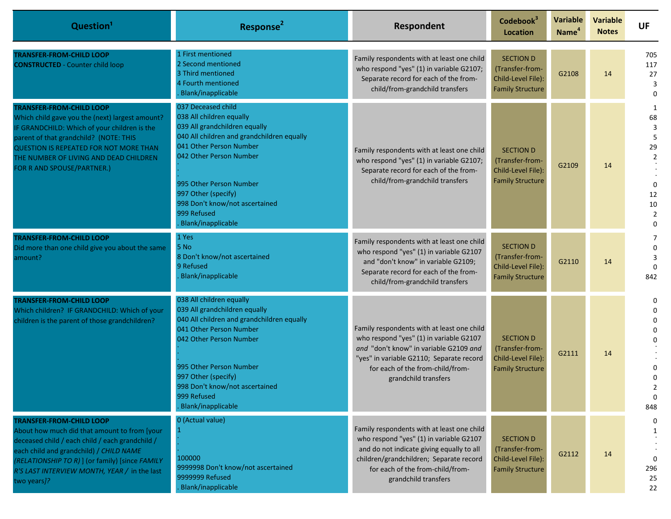| Question <sup>1</sup>                                                                                                                                                                                                                                                                                 | Response <sup>2</sup>                                                                                                                                                                                                                                                                                        | Respondent                                                                                                                                                                                                                                | Codebook <sup>3</sup><br><b>Location</b>                                             | <b>Variable</b><br>Name <sup>4</sup> | <b>Variable</b><br><b>Notes</b> | <b>UF</b>                                                                                |
|-------------------------------------------------------------------------------------------------------------------------------------------------------------------------------------------------------------------------------------------------------------------------------------------------------|--------------------------------------------------------------------------------------------------------------------------------------------------------------------------------------------------------------------------------------------------------------------------------------------------------------|-------------------------------------------------------------------------------------------------------------------------------------------------------------------------------------------------------------------------------------------|--------------------------------------------------------------------------------------|--------------------------------------|---------------------------------|------------------------------------------------------------------------------------------|
| <b>TRANSFER-FROM-CHILD LOOP</b><br><b>CONSTRUCTED</b> - Counter child loop                                                                                                                                                                                                                            | 1 First mentioned<br>2 Second mentioned<br>3 Third mentioned<br>4 Fourth mentioned<br>Blank/inapplicable                                                                                                                                                                                                     | Family respondents with at least one child<br>who respond "yes" (1) in variable G2107;<br>Separate record for each of the from-<br>child/from-grandchild transfers                                                                        | <b>SECTION D</b><br>(Transfer-from-<br>Child-Level File):<br><b>Family Structure</b> | G2108                                | 14                              | 705<br>117<br>27<br>3<br>$\Omega$                                                        |
| <b>TRANSFER-FROM-CHILD LOOP</b><br>Which child gave you the (next) largest amount?<br>IF GRANDCHILD: Which of your children is the<br>parent of that grandchild? (NOTE: THIS<br><b>QUESTION IS REPEATED FOR NOT MORE THAN</b><br>THE NUMBER OF LIVING AND DEAD CHILDREN<br>FOR R AND SPOUSE/PARTNER.) | 037 Deceased child<br>038 All children equally<br>039 All grandchildren equally<br>040 All children and grandchildren equally<br>041 Other Person Number<br>042 Other Person Number<br>995 Other Person Number<br>997 Other (specify)<br>998 Don't know/not ascertained<br>999 Refused<br>Blank/inapplicable | Family respondents with at least one child<br>who respond "yes" (1) in variable G2107;<br>Separate record for each of the from-<br>child/from-grandchild transfers                                                                        | <b>SECTION D</b><br>(Transfer-from-<br>Child-Level File):<br><b>Family Structure</b> | G2109                                | 14                              | 1<br>68<br>3<br>5<br>29<br>$\overline{2}$<br>0<br>12<br>10<br>$\overline{2}$<br>$\Omega$ |
| <b>TRANSFER-FROM-CHILD LOOP</b><br>Did more than one child give you about the same<br>amount?                                                                                                                                                                                                         | 1 Yes<br>5 No<br>8 Don't know/not ascertained<br>9 Refused<br>Blank/inapplicable                                                                                                                                                                                                                             | Family respondents with at least one child<br>who respond "yes" (1) in variable G2107<br>and "don't know" in variable G2109;<br>Separate record for each of the from-<br>child/from-grandchild transfers                                  | <b>SECTION D</b><br>(Transfer-from-<br>Child-Level File):<br><b>Family Structure</b> | G2110                                | 14                              | 7<br>0<br>3<br>$\Omega$<br>842                                                           |
| <b>TRANSFER-FROM-CHILD LOOP</b><br>Which children? IF GRANDCHILD: Which of your<br>children is the parent of those grandchildren?                                                                                                                                                                     | 038 All children equally<br>039 All grandchildren equally<br>040 All children and grandchildren equally<br>041 Other Person Number<br>042 Other Person Number<br>995 Other Person Number<br>997 Other (specify)<br>998 Don't know/not ascertained<br>999 Refused<br>Blank/inapplicable                       | Family respondents with at least one child<br>who respond "yes" (1) in variable G2107<br>and "don't know" in variable G2109 and<br>"yes" in variable G2110; Separate record<br>for each of the from-child/from-<br>grandchild transfers   | <b>SECTION D</b><br>(Transfer-from-<br>Child-Level File):<br><b>Family Structure</b> | G2111                                | 14                              | 0<br>$\Omega$<br>$\Omega$<br>0<br>$\mathbf 0$<br>848                                     |
| <b>TRANSFER-FROM-CHILD LOOP</b><br>About how much did that amount to from [your<br>deceased child / each child / each grandchild /<br>each child and grandchild) / CHILD NAME<br>(RELATIONSHIP TO R) ] (or family) [since FAMILY<br>R'S LAST INTERVIEW MONTH, YEAR / in the last<br>two years]?       | 0 (Actual value)<br>100000<br>9999998 Don't know/not ascertained<br>9999999 Refused<br>Blank/inapplicable                                                                                                                                                                                                    | Family respondents with at least one child<br>who respond "yes" (1) in variable G2107<br>and do not indicate giving equally to all<br>children/grandchildren; Separate record<br>for each of the from-child/from-<br>grandchild transfers | <b>SECTION D</b><br>(Transfer-from-<br>Child-Level File):<br><b>Family Structure</b> | G2112                                | 14                              | 0<br>1<br>$\Omega$<br>296<br>25<br>22                                                    |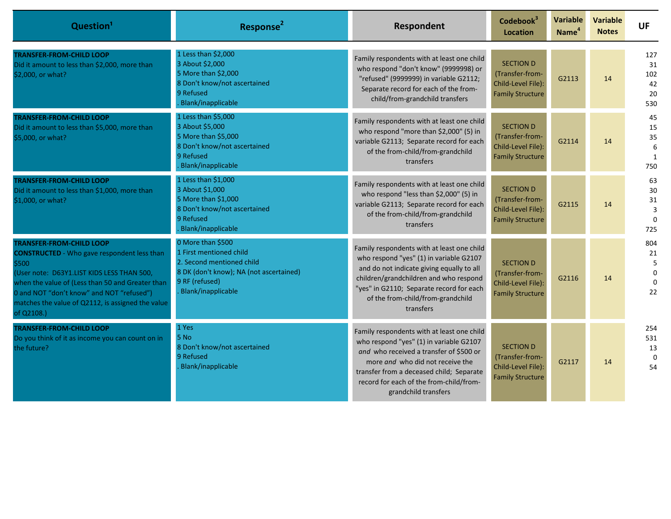| Question <sup>1</sup>                                                                                                                                                                                                                                                                                            | Response <sup>2</sup>                                                                                                                                        | Respondent                                                                                                                                                                                                                                                                          | Codebook <sup>3</sup><br><b>Location</b>                                             | Variable<br>Name <sup>4</sup> | <b>Variable</b><br><b>Notes</b> | <b>UF</b>                                               |
|------------------------------------------------------------------------------------------------------------------------------------------------------------------------------------------------------------------------------------------------------------------------------------------------------------------|--------------------------------------------------------------------------------------------------------------------------------------------------------------|-------------------------------------------------------------------------------------------------------------------------------------------------------------------------------------------------------------------------------------------------------------------------------------|--------------------------------------------------------------------------------------|-------------------------------|---------------------------------|---------------------------------------------------------|
| <b>TRANSFER-FROM-CHILD LOOP</b><br>Did it amount to less than \$2,000, more than<br>\$2,000, or what?                                                                                                                                                                                                            | 1 Less than \$2,000<br>3 About \$2,000<br>5 More than \$2,000<br>8 Don't know/not ascertained<br>9 Refused<br>Blank/inapplicable                             | Family respondents with at least one child<br>who respond "don't know" (9999998) or<br>"refused" (9999999) in variable G2112;<br>Separate record for each of the from-<br>child/from-grandchild transfers                                                                           | <b>SECTION D</b><br>(Transfer-from-<br>Child-Level File):<br><b>Family Structure</b> | G2113                         | 14                              | 127<br>31<br>102<br>42<br>20<br>530                     |
| <b>TRANSFER-FROM-CHILD LOOP</b><br>Did it amount to less than \$5,000, more than<br>\$5,000, or what?                                                                                                                                                                                                            | 1 Less than \$5,000<br>3 About \$5,000<br>5 More than \$5,000<br>8 Don't know/not ascertained<br>9 Refused<br>Blank/inapplicable                             | Family respondents with at least one child<br>who respond "more than \$2,000" (5) in<br>variable G2113; Separate record for each<br>of the from-child/from-grandchild<br>transfers                                                                                                  | <b>SECTION D</b><br>(Transfer-from-<br>Child-Level File):<br><b>Family Structure</b> | G2114                         | 14                              | 45<br>15<br>35<br>6<br>1<br>750                         |
| <b>TRANSFER-FROM-CHILD LOOP</b><br>Did it amount to less than \$1,000, more than<br>\$1,000, or what?                                                                                                                                                                                                            | 1 Less than \$1,000<br>3 About \$1,000<br>5 More than \$1,000<br>8 Don't know/not ascertained<br>9 Refused<br>Blank/inapplicable                             | Family respondents with at least one child<br>who respond "less than \$2,000" (5) in<br>variable G2113; Separate record for each<br>of the from-child/from-grandchild<br>transfers                                                                                                  | <b>SECTION D</b><br>(Transfer-from-<br>Child-Level File):<br><b>Family Structure</b> | G2115                         | 14                              | 63<br>$30\,$<br>31<br>$\overline{3}$<br>$\Omega$<br>725 |
| <b>TRANSFER-FROM-CHILD LOOP</b><br><b>CONSTRUCTED</b> - Who gave respondent less than<br>\$500<br>(User note: D63Y1.LIST KIDS LESS THAN 500,<br>when the value of (Less than 50 and Greater than<br>0 and NOT "don't know" and NOT "refused")<br>matches the value of Q2112, is assigned the value<br>of Q2108.) | 0 More than \$500<br>1 First mentioned child<br>2. Second mentioned child<br>8 DK (don't know); NA (not ascertained)<br>9 RF (refused)<br>Blank/inapplicable | Family respondents with at least one child<br>who respond "yes" (1) in variable G2107<br>and do not indicate giving equally to all<br>children/grandchildren and who respond<br>"yes" in G2110; Separate record for each<br>of the from-child/from-grandchild<br>transfers          | <b>SECTION D</b><br>(Transfer-from-<br>Child-Level File):<br><b>Family Structure</b> | G2116                         | 14                              | 804<br>21<br>5<br>$\Omega$<br>$\Omega$<br>22            |
| <b>TRANSFER-FROM-CHILD LOOP</b><br>Do you think of it as income you can count on in<br>the future?                                                                                                                                                                                                               | 1 Yes<br>5 No<br>8 Don't know/not ascertained<br>9 Refused<br>Blank/inapplicable                                                                             | Family respondents with at least one child<br>who respond "yes" (1) in variable G2107<br>and who received a transfer of \$500 or<br>more and who did not receive the<br>transfer from a deceased child; Separate<br>record for each of the from-child/from-<br>grandchild transfers | <b>SECTION D</b><br>(Transfer-from-<br>Child-Level File):<br><b>Family Structure</b> | G2117                         | 14                              | 254<br>531<br>13<br>$\mathbf 0$<br>54                   |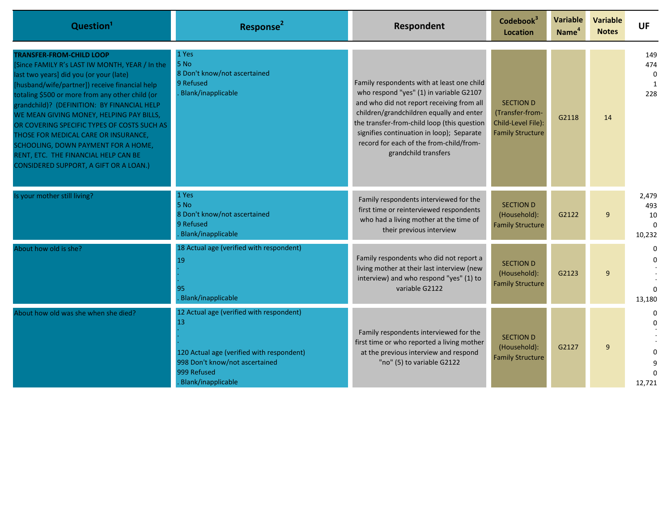| Question <sup>1</sup>                                                                                                                                                                                                                                                                                                                                                                                                                                                                                                                       | Response <sup>2</sup>                                                                                                                                              | Respondent                                                                                                                                                                                                                                                                                                                                    | Codebook <sup>3</sup><br><b>Location</b>                                             | <b>Variable</b><br>Name <sup>4</sup> | <b>Variable</b><br><b>Notes</b> | <b>UF</b>                                       |
|---------------------------------------------------------------------------------------------------------------------------------------------------------------------------------------------------------------------------------------------------------------------------------------------------------------------------------------------------------------------------------------------------------------------------------------------------------------------------------------------------------------------------------------------|--------------------------------------------------------------------------------------------------------------------------------------------------------------------|-----------------------------------------------------------------------------------------------------------------------------------------------------------------------------------------------------------------------------------------------------------------------------------------------------------------------------------------------|--------------------------------------------------------------------------------------|--------------------------------------|---------------------------------|-------------------------------------------------|
| <b>TRANSFER-FROM-CHILD LOOP</b><br>Since FAMILY R's LAST IW MONTH, YEAR / In the<br>last two years] did you (or your (late)<br>[husband/wife/partner]) receive financial help<br>totaling \$500 or more from any other child (or<br>grandchild)? (DEFINITION: BY FINANCIAL HELP<br>WE MEAN GIVING MONEY, HELPING PAY BILLS,<br>OR COVERING SPECIFIC TYPES OF COSTS SUCH AS<br>THOSE FOR MEDICAL CARE OR INSURANCE,<br>SCHOOLING, DOWN PAYMENT FOR A HOME,<br>RENT, ETC. THE FINANCIAL HELP CAN BE<br>CONSIDERED SUPPORT, A GIFT OR A LOAN.) | 1 Yes<br>5 No<br>8 Don't know/not ascertained<br>9 Refused<br>Blank/inapplicable                                                                                   | Family respondents with at least one child<br>who respond "yes" (1) in variable G2107<br>and who did not report receiving from all<br>children/grandchildren equally and enter<br>the transfer-from-child loop (this question<br>signifies continuation in loop); Separate<br>record for each of the from-child/from-<br>grandchild transfers | <b>SECTION D</b><br>(Transfer-from-<br>Child-Level File):<br><b>Family Structure</b> | G2118                                | 14                              | 149<br>474<br>$\Omega$<br>$\overline{1}$<br>228 |
| s your mother still living?                                                                                                                                                                                                                                                                                                                                                                                                                                                                                                                 | 1 Yes<br>5 No<br>8 Don't know/not ascertained<br>9 Refused<br>Blank/inapplicable                                                                                   | Family respondents interviewed for the<br>first time or reinterviewed respondents<br>who had a living mother at the time of<br>their previous interview                                                                                                                                                                                       | <b>SECTION D</b><br>(Household):<br><b>Family Structure</b>                          | G2122                                | $\mathbf{q}$                    | 2,479<br>493<br>10<br>$\Omega$<br>10,232        |
| About how old is she?                                                                                                                                                                                                                                                                                                                                                                                                                                                                                                                       | 18 Actual age (verified with respondent)<br>19<br>95<br>Blank/inapplicable                                                                                         | Family respondents who did not report a<br>living mother at their last interview (new<br>interview) and who respond "yes" (1) to<br>variable G2122                                                                                                                                                                                            | <b>SECTION D</b><br>(Household):<br><b>Family Structure</b>                          | G2123                                | $\mathsf{q}$                    | $\Omega$<br>13,180                              |
| About how old was she when she died?                                                                                                                                                                                                                                                                                                                                                                                                                                                                                                        | 12 Actual age (verified with respondent)<br>13<br>120 Actual age (verified with respondent)<br>998 Don't know/not ascertained<br>999 Refused<br>Blank/inapplicable | Family respondents interviewed for the<br>first time or who reported a living mother<br>at the previous interview and respond<br>"no" (5) to variable G2122                                                                                                                                                                                   | <b>SECTION D</b><br>(Household):<br><b>Family Structure</b>                          | G2127                                | q                               | 12,721                                          |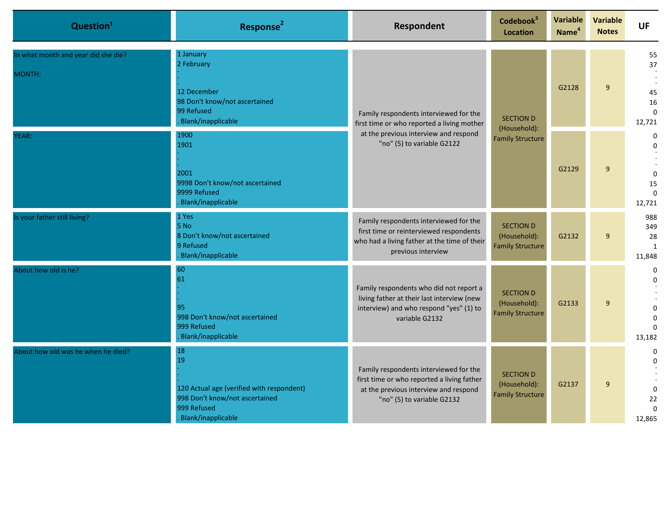| Question <sup>1</sup>                         | Response <sup>2</sup>                                                                                                        | <b>Respondent</b>                                                                                                                                           | Codebook <sup>3</sup><br><b>Location</b>                    | Variable<br>Name <sup>4</sup> | <b>Variable</b><br><b>Notes</b> | <b>UF</b>                                                             |
|-----------------------------------------------|------------------------------------------------------------------------------------------------------------------------------|-------------------------------------------------------------------------------------------------------------------------------------------------------------|-------------------------------------------------------------|-------------------------------|---------------------------------|-----------------------------------------------------------------------|
| In what month and year did she die?<br>MONTH: | 1 January<br>2 February<br>12 December<br>98 Don't know/not ascertained<br>99 Refused<br>Blank/inapplicable                  | Family respondents interviewed for the<br>first time or who reported a living mother<br>at the previous interview and respond<br>"no" (5) to variable G2122 | <b>SECTION D</b><br>(Household):<br><b>Family Structure</b> | G2128                         | 9                               | 55<br>37<br>45<br>16<br>$\Omega$<br>12,721                            |
| YEAR:                                         | 1900<br>1901<br>2001<br>9998 Don't know/not ascertained<br>9999 Refused<br>Blank/inapplicable                                |                                                                                                                                                             |                                                             |                               | G2129                           | 9                                                                     |
| Is your father still living?                  | 1 Yes<br>5 No<br>8 Don't know/not ascertained<br>9 Refused<br>Blank/inapplicable                                             | Family respondents interviewed for the<br>first time or reinterviewed respondents<br>who had a living father at the time of their<br>previous interview     | <b>SECTION D</b><br>(Household):<br><b>Family Structure</b> | G2132                         | 9                               | 988<br>349<br>28<br>1<br>11,848                                       |
| About how old is he?                          | 60<br>61<br>95<br>998 Don't know/not ascertained<br>999 Refused<br>Blank/inapplicable                                        | Family respondents who did not report a<br>living father at their last interview (new<br>interview) and who respond "yes" (1) to<br>variable G2132          | <b>SECTION D</b><br>(Household):<br><b>Family Structure</b> | G2133                         | 9                               | $\mathbf 0$<br>$\Omega$<br>$\Omega$<br>$\Omega$<br>$\Omega$<br>13,182 |
| About how old was he when he died?            | 18<br>19<br>120 Actual age (verified with respondent)<br>998 Don't know/not ascertained<br>999 Refused<br>Blank/inapplicable | Family respondents interviewed for the<br>first time or who reported a living father<br>at the previous interview and respond<br>"no" (5) to variable G2132 | <b>SECTION D</b><br>(Household):<br><b>Family Structure</b> | G2137                         | 9                               | $\mathbf 0$<br>$\Omega$<br>$\mathbf 0$<br>22<br>$\Omega$<br>12,865    |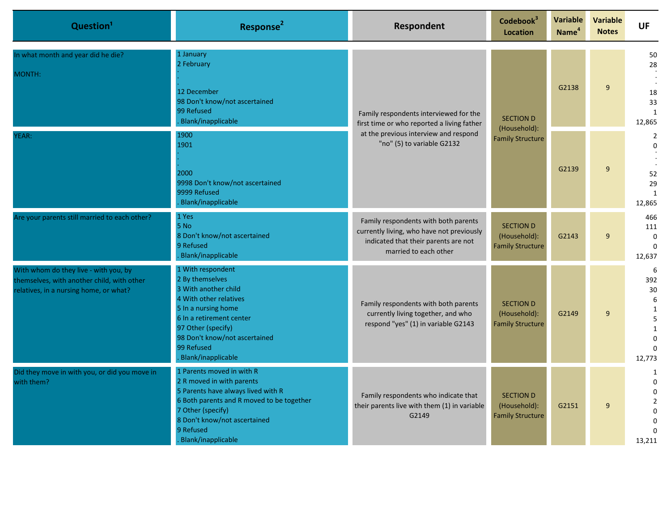| Question <sup>1</sup>                                                                                                         | Response <sup>2</sup>                                                                                                                                                                                                                | Respondent                                                                                                                                                  | Codebook <sup>3</sup><br>Location                           | Variable<br>Name <sup>4</sup> | <b>Variable</b><br><b>Notes</b> | <b>UF</b>                                                                                  |                                                       |                                                |
|-------------------------------------------------------------------------------------------------------------------------------|--------------------------------------------------------------------------------------------------------------------------------------------------------------------------------------------------------------------------------------|-------------------------------------------------------------------------------------------------------------------------------------------------------------|-------------------------------------------------------------|-------------------------------|---------------------------------|--------------------------------------------------------------------------------------------|-------------------------------------------------------|------------------------------------------------|
| In what month and year did he die?<br>MONTH:                                                                                  | 1 January<br>2 February<br>12 December<br>98 Don't know/not ascertained<br>99 Refused<br>Blank/inapplicable                                                                                                                          | Family respondents interviewed for the<br>first time or who reported a living father<br>at the previous interview and respond<br>"no" (5) to variable G2132 | <b>SECTION D</b>                                            |                               | (Household):                    | G2138                                                                                      | 9                                                     | 50<br>28<br>18<br>33<br>$\mathbf{1}$<br>12,865 |
| YEAR:                                                                                                                         | 1900<br>1901<br>2000<br>9998 Don't know/not ascertained<br>9999 Refused<br>Blank/inapplicable                                                                                                                                        |                                                                                                                                                             |                                                             | <b>Family Structure</b>       | G2139                           | 9                                                                                          | $\overline{2}$<br>$\Omega$<br>52<br>29<br>1<br>12,865 |                                                |
| Are your parents still married to each other?                                                                                 | 1 Yes<br>5 No<br>8 Don't know/not ascertained<br>9 Refused<br>Blank/inapplicable                                                                                                                                                     | Family respondents with both parents<br>currently living, who have not previously<br>indicated that their parents are not<br>married to each other          | <b>SECTION D</b><br>(Household):<br><b>Family Structure</b> | G2143                         | 9                               | 466<br>111<br>$\Omega$<br>$\Omega$<br>12,637                                               |                                                       |                                                |
| With whom do they live - with you, by<br>themselves, with another child, with other<br>relatives, in a nursing home, or what? | 1 With respondent<br>2 By themselves<br>3 With another child<br>4 With other relatives<br>5 In a nursing home<br>6 In a retirement center<br>97 Other (specify)<br>98 Don't know/not ascertained<br>99 Refused<br>Blank/inapplicable | Family respondents with both parents<br>currently living together, and who<br>respond "yes" (1) in variable G2143                                           | <b>SECTION D</b><br>(Household):<br><b>Family Structure</b> | G2149                         | $\overline{9}$                  | 6<br>392<br>30<br>6<br>$\mathbf{1}$<br>5<br>$\mathbf{1}$<br>$\Omega$<br>$\Omega$<br>12,773 |                                                       |                                                |
| Did they move in with you, or did you move in<br>with them?                                                                   | 1 Parents moved in with R<br>2 R moved in with parents<br>5 Parents have always lived with R<br>6 Both parents and R moved to be together<br>7 Other (specify)<br>8 Don't know/not ascertained<br>9 Refused<br>Blank/inapplicable    | Family respondents who indicate that<br>their parents live with them (1) in variable<br>G2149                                                               | <b>SECTION D</b><br>(Household):<br><b>Family Structure</b> | G2151                         | 9                               | 1<br>$\Omega$<br>$\mathbf 0$<br>$\overline{2}$<br>$\mathbf 0$<br>$\Omega$<br>13,211        |                                                       |                                                |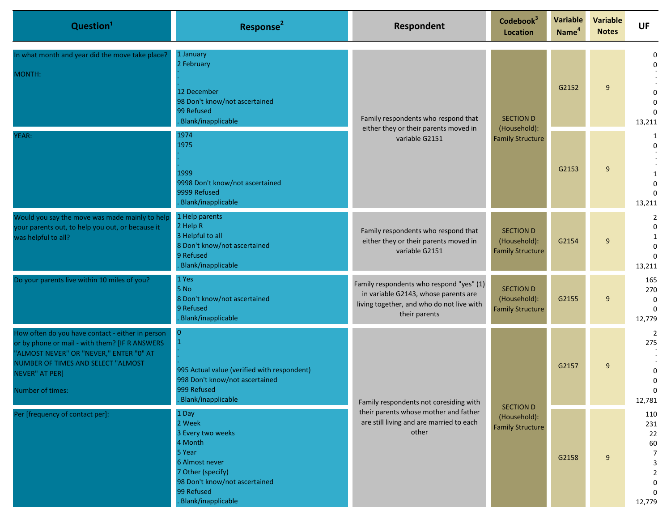| Question <sup>1</sup>                                                                                                                                                                                                            | Response <sup>2</sup>                                                                                                                                                 | Respondent                                                                                                                                     | Codebook <sup>3</sup><br><b>Location</b>                    | Variable<br>Name <sup>4</sup>    | <b>Variable</b><br><b>Notes</b> | <b>UF</b>                                                         |                                                        |
|----------------------------------------------------------------------------------------------------------------------------------------------------------------------------------------------------------------------------------|-----------------------------------------------------------------------------------------------------------------------------------------------------------------------|------------------------------------------------------------------------------------------------------------------------------------------------|-------------------------------------------------------------|----------------------------------|---------------------------------|-------------------------------------------------------------------|--------------------------------------------------------|
| In what month and year did the move take place?<br>MONTH:                                                                                                                                                                        | 1 January<br>2 February<br>12 December<br>98 Don't know/not ascertained<br>99 Refused<br>Blank/inapplicable                                                           | Family respondents who respond that<br>either they or their parents moved in<br>variable G2151                                                 |                                                             | <b>SECTION D</b><br>(Household): | G2152                           | 9                                                                 | $\Omega$<br>$\Omega$<br>$\Omega$<br>$\Omega$<br>13,211 |
| YEAR:                                                                                                                                                                                                                            | 1974<br>1975<br>1999<br>9998 Don't know/not ascertained<br>9999 Refused<br><b>Blank/inapplicable</b>                                                                  |                                                                                                                                                | <b>Family Structure</b>                                     | G2153                            | 9                               | 1<br>$\Omega$<br>1<br>$\Omega$<br>13,211                          |                                                        |
| Would you say the move was made mainly to help<br>your parents out, to help you out, or because it<br>was helpful to all?                                                                                                        | 1 Help parents<br>2 Help R<br>3 Helpful to all<br>8 Don't know/not ascertained<br>9 Refused<br>Blank/inapplicable                                                     | Family respondents who respond that<br>either they or their parents moved in<br>variable G2151                                                 | <b>SECTION D</b><br>(Household):<br><b>Family Structure</b> | G2154                            | 9                               | $\overline{2}$<br>$\Omega$<br>1<br>$\Omega$<br>$\Omega$<br>13,211 |                                                        |
| Do your parents live within 10 miles of you?                                                                                                                                                                                     | 1 Yes<br>5 No<br>8 Don't know/not ascertained<br>9 Refused<br>Blank/inapplicable                                                                                      | Family respondents who respond "yes" (1)<br>in variable G2143, whose parents are<br>living together, and who do not live with<br>their parents | <b>SECTION D</b><br>(Household):<br><b>Family Structure</b> | G2155                            | 9                               | 165<br>270<br>$\mathbf 0$<br>$\Omega$<br>12,779                   |                                                        |
| How often do you have contact - either in person<br>or by phone or mail - with them? [IF R ANSWERS<br>"ALMOST NEVER" OR "NEVER," ENTER "0" AT<br>NUMBER OF TIMES AND SELECT "ALMOST<br><b>NEVER" AT PER]</b><br>Number of times: | $\overline{0}$<br>995 Actual value (verified with respondent)<br>998 Don't know/not ascertained<br>999 Refused<br>Blank/inapplicable                                  | Family respondents not coresiding with<br>their parents whose mother and father<br>are still living and are married to each<br>other           |                                                             |                                  | G2157                           | 9                                                                 | 2<br>275<br>0<br>$\mathbf 0$<br>0<br>12,781            |
| Per [frequency of contact per]:                                                                                                                                                                                                  | 1 Day<br>2 Week<br>3 Every two weeks<br>4 Month<br>5 Year<br>6 Almost never<br>7 Other (specify)<br>98 Don't know/not ascertained<br>99 Refused<br>Blank/inapplicable |                                                                                                                                                | <b>SECTION D</b><br>(Household):<br><b>Family Structure</b> | G2158                            | 9                               | 110<br>231<br>22<br>60<br>7<br>3<br>$\overline{2}$<br>0<br>12,779 |                                                        |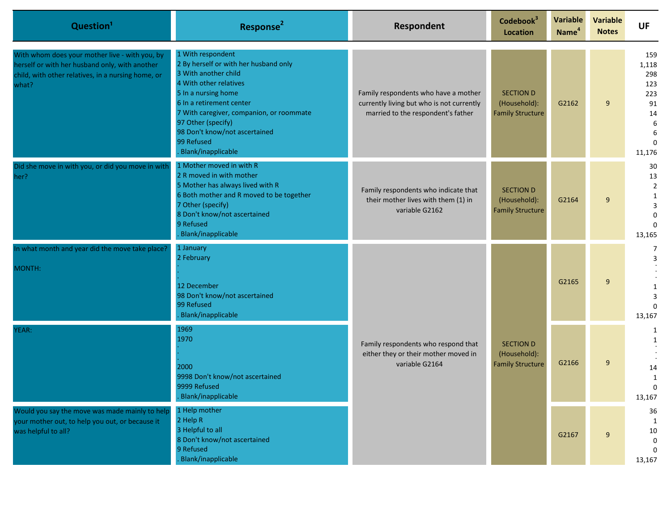| Question <sup>1</sup>                                                                                                                                           | Response <sup>2</sup>                                                                                                                                                                                                                                                                                  | Respondent                                                                                                              | Codebook <sup>3</sup><br><b>Location</b>                    | Variable<br>Name <sup>4</sup> | Variable<br><b>Notes</b> | <b>UF</b>                                                                     |                                          |
|-----------------------------------------------------------------------------------------------------------------------------------------------------------------|--------------------------------------------------------------------------------------------------------------------------------------------------------------------------------------------------------------------------------------------------------------------------------------------------------|-------------------------------------------------------------------------------------------------------------------------|-------------------------------------------------------------|-------------------------------|--------------------------|-------------------------------------------------------------------------------|------------------------------------------|
| With whom does your mother live - with you, by<br>herself or with her husband only, with another<br>child, with other relatives, in a nursing home, or<br>what? | 1 With respondent<br>2 By herself or with her husband only<br>3 With another child<br>4 With other relatives<br>5 In a nursing home<br>6 In a retirement center<br>7 With caregiver, companion, or roommate<br>97 Other (specify)<br>98 Don't know/not ascertained<br>99 Refused<br>Blank/inapplicable | Family respondents who have a mother<br>currently living but who is not currently<br>married to the respondent's father | <b>SECTION D</b><br>(Household):<br><b>Family Structure</b> | G2162                         | 9                        | 159<br>1,118<br>298<br>123<br>223<br>91<br>14<br>6<br>6<br>$\Omega$<br>11,176 |                                          |
| Did she move in with you, or did you move in with<br>her?                                                                                                       | 1 Mother moved in with R<br>2 R moved in with mother<br>5 Mother has always lived with R<br>6 Both mother and R moved to be together<br>7 Other (specify)<br>8 Don't know/not ascertained<br>9 Refused<br>Blank/inapplicable                                                                           | Family respondents who indicate that<br>their mother lives with them (1) in<br>variable G2162                           | <b>SECTION D</b><br>(Household):<br><b>Family Structure</b> | G2164                         | 9                        | 30<br>13<br>$\overline{2}$<br>1<br>3<br>$\Omega$<br>13,165                    |                                          |
| In what month and year did the move take place?<br>MONTH:                                                                                                       | 1 January<br>2 February<br>12 December<br>98 Don't know/not ascertained<br>99 Refused<br>Blank/inapplicable                                                                                                                                                                                            |                                                                                                                         |                                                             | G2165                         | 9                        | 7<br>3<br>$\Omega$<br>13,167                                                  |                                          |
| YEAR:                                                                                                                                                           | 1969<br>1970<br>2000<br>9998 Don't know/not ascertained<br>9999 Refused<br>Blank/inapplicable                                                                                                                                                                                                          | Family respondents who respond that<br>either they or their mother moved in<br>variable G2164                           | <b>SECTION D</b><br>(Household):<br><b>Family Structure</b> | G2166                         | 9                        | 1<br>$\mathbf{1}$<br>14<br>1<br>U<br>13,167                                   |                                          |
| Would you say the move was made mainly to help<br>your mother out, to help you out, or because it<br>was helpful to all?                                        | 1 Help mother<br>2 Help R<br>3 Helpful to all<br>8 Don't know/not ascertained<br>9 Refused<br>Blank/inapplicable                                                                                                                                                                                       |                                                                                                                         |                                                             |                               | G2167                    | 9                                                                             | 36<br>1<br>10<br>0<br>$\Omega$<br>13,167 |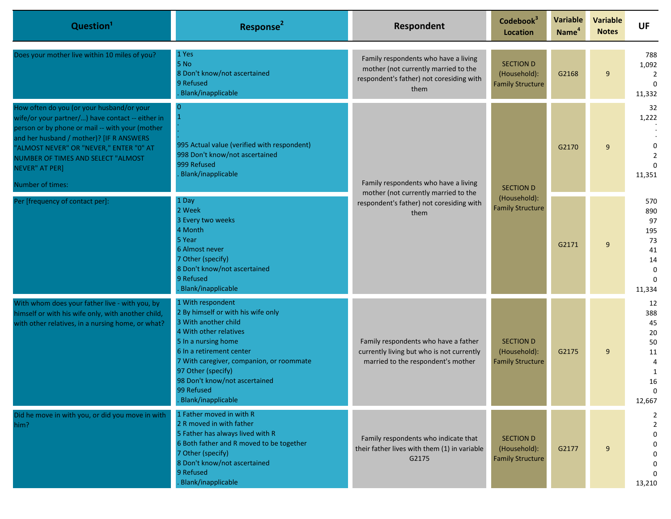| Question <sup>1</sup>                                                                                                                                                                                                                                                                                               | Response <sup>2</sup>                                                                                                                                                                                                                                                                               | Respondent                                                                                                                       | Codebook <sup>3</sup><br><b>Location</b>                    | Variable<br>Name <sup>4</sup> | <b>Variable</b><br><b>Notes</b> | <b>UF</b>                                                                   |                                                             |
|---------------------------------------------------------------------------------------------------------------------------------------------------------------------------------------------------------------------------------------------------------------------------------------------------------------------|-----------------------------------------------------------------------------------------------------------------------------------------------------------------------------------------------------------------------------------------------------------------------------------------------------|----------------------------------------------------------------------------------------------------------------------------------|-------------------------------------------------------------|-------------------------------|---------------------------------|-----------------------------------------------------------------------------|-------------------------------------------------------------|
| Does your mother live within 10 miles of you?                                                                                                                                                                                                                                                                       | 1 Yes<br>5 No<br>8 Don't know/not ascertained<br>9 Refused<br>Blank/inapplicable                                                                                                                                                                                                                    | Family respondents who have a living<br>mother (not currently married to the<br>respondent's father) not coresiding with<br>them | <b>SECTION D</b><br>(Household):<br><b>Family Structure</b> | G2168                         | 9                               | 788<br>1,092<br>$\overline{2}$<br>$\Omega$<br>11,332                        |                                                             |
| How often do you (or your husband/or your<br>wife/or your partner/) have contact -- either in<br>person or by phone or mail -- with your (mother<br>and her husband / mother)? [IF R ANSWERS<br>"ALMOST NEVER" OR "NEVER," ENTER "0" AT<br>NUMBER OF TIMES AND SELECT "ALMOST<br>NEVER" AT PER]<br>Number of times: | 0<br>$\mathbf{1}$<br>995 Actual value (verified with respondent)<br>998 Don't know/not ascertained<br>999 Refused<br>Blank/inapplicable                                                                                                                                                             | Family respondents who have a living<br>mother (not currently married to the<br>respondent's father) not coresiding with<br>them |                                                             | <b>SECTION D</b>              | G2170                           | 9                                                                           | 32<br>1,222<br>$\mathbf 0$<br>$\overline{2}$<br>0<br>11,351 |
| Per [frequency of contact per]:                                                                                                                                                                                                                                                                                     | 1 Day<br>2 Week<br>3 Every two weeks<br>4 Month<br>5 Year<br>6 Almost never<br>7 Other (specify)<br>8 Don't know/not ascertained<br>9 Refused<br>Blank/inapplicable                                                                                                                                 |                                                                                                                                  | (Household):<br><b>Family Structure</b>                     | G2171                         | 9                               | 570<br>890<br>97<br>195<br>73<br>41<br>14<br>$\Omega$<br>$\Omega$<br>11,334 |                                                             |
| With whom does your father live - with you, by<br>himself or with his wife only, with another child,<br>with other relatives, in a nursing home, or what?                                                                                                                                                           | 1 With respondent<br>2 By himself or with his wife only<br>3 With another child<br>4 With other relatives<br>5 In a nursing home<br>6 In a retirement center<br>7 With caregiver, companion, or roommate<br>97 Other (specify)<br>98 Don't know/not ascertained<br>99 Refused<br>Blank/inapplicable | Family respondents who have a father<br>currently living but who is not currently<br>married to the respondent's mother          | <b>SECTION D</b><br>(Household):<br><b>Family Structure</b> | G2175                         | 9                               | 12<br>388<br>45<br>20<br>50<br>11<br>4<br>1<br>16<br>12,667                 |                                                             |
| Did he move in with you, or did you move in with<br>him?                                                                                                                                                                                                                                                            | 1 Father moved in with R<br>2 R moved in with father<br>5 Father has always lived with R<br>6 Both father and R moved to be together<br>7 Other (specify)<br>8 Don't know/not ascertained<br>9 Refused<br>Blank/inapplicable                                                                        | Family respondents who indicate that<br>their father lives with them (1) in variable<br>G2175                                    | <b>SECTION D</b><br>(Household):<br><b>Family Structure</b> | G2177                         | 9                               | 2<br>2<br>0<br>0<br>13,210                                                  |                                                             |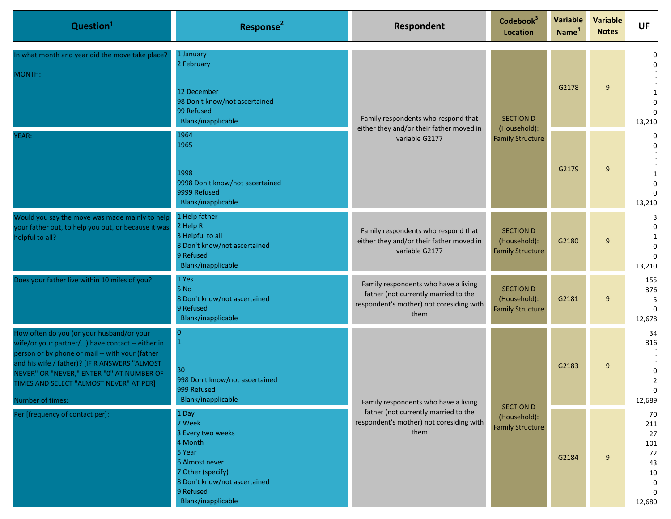| Question <sup>1</sup>                                                                                                                                                                                                                                                                                         | Response <sup>2</sup>                                                                                                                                               | <b>Respondent</b>                                                                                                                                                                               | Codebook <sup>3</sup><br><b>Location</b>                    | Variable<br>Name <sup>4</sup> | <b>Variable</b><br><b>Notes</b> | <b>UF</b>                                                                      |       |                                                              |                                            |
|---------------------------------------------------------------------------------------------------------------------------------------------------------------------------------------------------------------------------------------------------------------------------------------------------------------|---------------------------------------------------------------------------------------------------------------------------------------------------------------------|-------------------------------------------------------------------------------------------------------------------------------------------------------------------------------------------------|-------------------------------------------------------------|-------------------------------|---------------------------------|--------------------------------------------------------------------------------|-------|--------------------------------------------------------------|--------------------------------------------|
| n what month and year did the move take place?<br>MONTH:                                                                                                                                                                                                                                                      | 1 January<br>2 February<br>12 December<br>98 Don't know/not ascertained<br>99 Refused<br>Blank/inapplicable                                                         | Family respondents who respond that<br><b>SECTION D</b><br>either they and/or their father moved in<br>(Household):<br><b>Family Structure</b><br>variable G2177                                |                                                             |                               |                                 | G2178                                                                          | 9     | $\Omega$<br>$\Omega$<br>-1<br>$\Omega$<br>$\Omega$<br>13,210 |                                            |
| YEAR:                                                                                                                                                                                                                                                                                                         | 1964<br>1965<br>1998<br>9998 Don't know/not ascertained<br>9999 Refused<br><b>Blank/inapplicable</b>                                                                |                                                                                                                                                                                                 |                                                             | G2179                         | 9                               | 0<br>$\Omega$<br>-1<br>$\Omega$<br>$\Omega$<br>13,210                          |       |                                                              |                                            |
| Would you say the move was made mainly to help<br>your father out, to help you out, or because it was<br>helpful to all?                                                                                                                                                                                      | 1 Help father<br>2 Help R<br>3 Helpful to all<br>8 Don't know/not ascertained<br>9 Refused<br>Blank/inapplicable                                                    | Family respondents who respond that<br>either they and/or their father moved in<br>variable G2177                                                                                               | <b>SECTION D</b><br>(Household):<br><b>Family Structure</b> | G2180                         | 9                               | 3<br>$\Omega$<br>1<br>$\Omega$<br>$\Omega$<br>13,210                           |       |                                                              |                                            |
| Does your father live within 10 miles of you?                                                                                                                                                                                                                                                                 | 1 Yes<br>5 No<br>8 Don't know/not ascertained<br>9 Refused<br>Blank/inapplicable                                                                                    | Family respondents who have a living<br>father (not currently married to the<br>respondent's mother) not coresiding with<br>them                                                                | <b>SECTION D</b><br>(Household):<br><b>Family Structure</b> | G2181                         | 9                               | 155<br>376<br>5<br>$\Omega$<br>12,678                                          |       |                                                              |                                            |
| How often do you (or your husband/or your<br>wife/or your partner/) have contact -- either in<br>person or by phone or mail -- with your (father<br>and his wife / father)? [IF R ANSWERS "ALMOST<br>NEVER" OR "NEVER," ENTER "0" AT NUMBER OF<br>TIMES AND SELECT "ALMOST NEVER" AT PER]<br>Number of times: | $\Omega$<br>30<br>998 Don't know/not ascertained<br>999 Refused<br><b>Blank/inapplicable</b>                                                                        | Family respondents who have a living<br><b>SECTION D</b><br>father (not currently married to the<br>(Household):<br>respondent's mother) not coresiding with<br><b>Family Structure</b><br>them |                                                             |                               |                                 |                                                                                | G2183 | 9                                                            | 34<br>316<br>0<br>$\overline{2}$<br>12,689 |
| Per [frequency of contact per]:                                                                                                                                                                                                                                                                               | 1 Day<br>2 Week<br>3 Every two weeks<br>4 Month<br>5 Year<br>6 Almost never<br>7 Other (specify)<br>8 Don't know/not ascertained<br>9 Refused<br>Blank/inapplicable |                                                                                                                                                                                                 |                                                             | G2184                         | $9\,$                           | 70<br>211<br>27<br>101<br>72<br>43<br>10<br>$\mathbf{0}$<br>$\Omega$<br>12,680 |       |                                                              |                                            |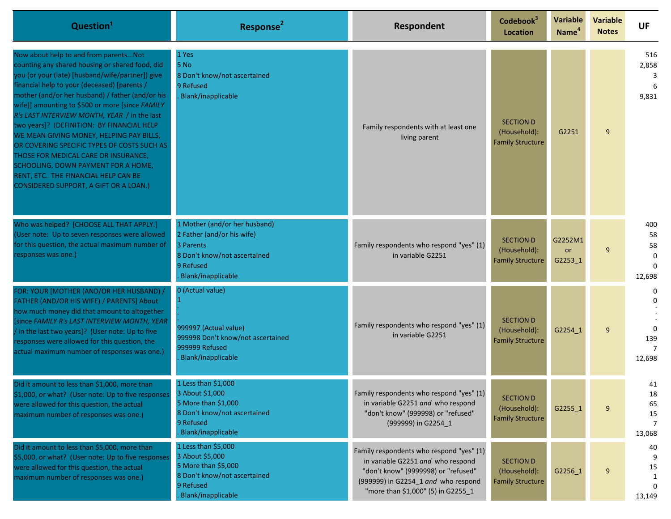| Question <sup>1</sup>                                                                                                                                                                                                                                                                                                                                                                                                                                                                                                                                                                                                                                         | Response <sup>2</sup>                                                                                                                       | Respondent                                                                                                                                                                                        | Codebook <sup>3</sup><br>Location                           | <b>Variable</b><br>Name <sup>4</sup> | <b>Variable</b><br><b>Notes</b> | <b>UF</b>                                            |
|---------------------------------------------------------------------------------------------------------------------------------------------------------------------------------------------------------------------------------------------------------------------------------------------------------------------------------------------------------------------------------------------------------------------------------------------------------------------------------------------------------------------------------------------------------------------------------------------------------------------------------------------------------------|---------------------------------------------------------------------------------------------------------------------------------------------|---------------------------------------------------------------------------------------------------------------------------------------------------------------------------------------------------|-------------------------------------------------------------|--------------------------------------|---------------------------------|------------------------------------------------------|
| Now about help to and from parentsNot<br>counting any shared housing or shared food, did<br>you (or your (late) [husband/wife/partner]) give<br>financial help to your (deceased) [parents /<br>mother (and/or her husband) / father (and/or his<br>wife)] amounting to \$500 or more [since FAMILY<br>R's LAST INTERVIEW MONTH, YEAR / in the last<br>two years]? (DEFINITION: BY FINANCIAL HELP<br>WE MEAN GIVING MONEY, HELPING PAY BILLS,<br>OR COVERING SPECIFIC TYPES OF COSTS SUCH AS<br>THOSE FOR MEDICAL CARE OR INSURANCE,<br>SCHOOLING, DOWN PAYMENT FOR A HOME,<br>RENT, ETC. THE FINANCIAL HELP CAN BE<br>CONSIDERED SUPPORT, A GIFT OR A LOAN.) | 1 Yes<br>5 No<br>8 Don't know/not ascertained<br>9 Refused<br>Blank/inapplicable                                                            | Family respondents with at least one<br>living parent                                                                                                                                             | <b>SECTION D</b><br>(Household):<br><b>Family Structure</b> | G2251                                | 9                               | 516<br>2,858<br>3<br>9,831                           |
| Who was helped? [CHOOSE ALL THAT APPLY.]<br>(User note: Up to seven responses were allowed<br>for this question, the actual maximum number of<br>responses was one.)                                                                                                                                                                                                                                                                                                                                                                                                                                                                                          | 1 Mother (and/or her husband)<br>2 Father (and/or his wife)<br>3 Parents<br>8 Don't know/not ascertained<br>9 Refused<br>Blank/inapplicable | Family respondents who respond "yes" (1)<br>in variable G2251                                                                                                                                     | <b>SECTION D</b><br>(Household):<br><b>Family Structure</b> | G2252M1<br>or<br>G2253_1             | 9                               | 400<br>58<br>58<br>$\mathbf 0$<br>$\Omega$<br>12,698 |
| FOR: YOUR [MOTHER (AND/OR HER HUSBAND) /<br>FATHER (AND/OR HIS WIFE) / PARENTS] About<br>how much money did that amount to altogether<br>[since FAMILY R's LAST INTERVIEW MONTH, YEAR<br>/ in the last two years]? (User note: Up to five<br>responses were allowed for this question, the<br>actual maximum number of responses was one.)                                                                                                                                                                                                                                                                                                                    | 0 (Actual value)<br>999997 (Actual value)<br>999998 Don't know/not ascertained<br>999999 Refused<br>Blank/inapplicable                      | Family respondents who respond "yes" (1)<br>in variable G2251                                                                                                                                     | <b>SECTION D</b><br>(Household):<br><b>Family Structure</b> | G2254 1                              | 9                               | 0<br>$\Omega$<br>139<br>$\overline{7}$<br>12,698     |
| Did it amount to less than \$1,000, more than<br>\$1,000, or what? (User note: Up to five responses<br>were allowed for this question, the actual<br>maximum number of responses was one.)                                                                                                                                                                                                                                                                                                                                                                                                                                                                    | 1 Less than \$1,000<br>3 About \$1,000<br>5 More than \$1,000<br>8 Don't know/not ascertained<br>9 Refused<br>Blank/inapplicable            | Family respondents who respond "yes" (1)<br>in variable G2251 and who respond<br>"don't know" (999998) or "refused"<br>(999999) in G2254 1                                                        | <b>SECTION D</b><br>(Household):<br><b>Family Structure</b> | $G2255_1$                            | 9                               | 41<br>18<br>65<br>15<br>7<br>13,068                  |
| Did it amount to less than \$5,000, more than<br>\$5,000, or what? (User note: Up to five responses<br>were allowed for this question, the actual<br>maximum number of responses was one.)                                                                                                                                                                                                                                                                                                                                                                                                                                                                    | 1 Less than \$5,000<br>3 About \$5,000<br>5 More than \$5,000<br>8 Don't know/not ascertained<br>9 Refused<br>Blank/inapplicable            | Family respondents who respond "yes" (1)<br>in variable G2251 and who respond<br>"don't know" (9999998) or "refused"<br>(999999) in G2254 1 and who respond<br>"more than \$1,000" (5) in G2255 1 | <b>SECTION D</b><br>(Household):<br><b>Family Structure</b> | G2256 1                              | 9                               | 40<br>15<br>$\Omega$<br>13,149                       |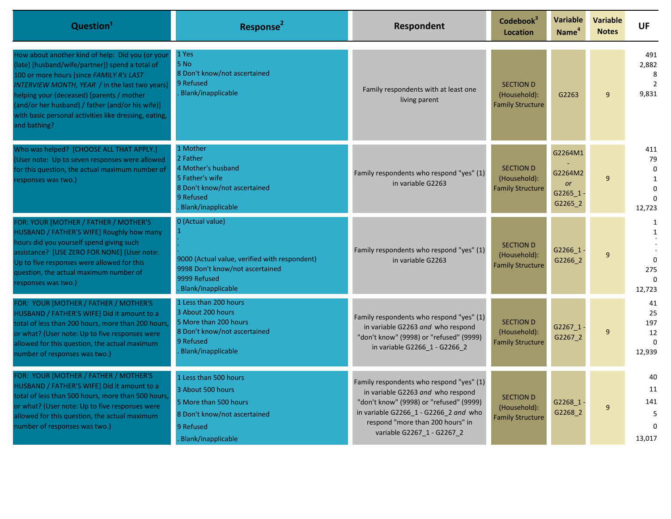| Question <sup>1</sup>                                                                                                                                                                                                                                                                                                                                                       | Response <sup>2</sup>                                                                                                                      | Respondent                                                                                                                                                                                                                          | Codebook <sup>3</sup><br>Location                           | Variable<br>Name <sup>4</sup>                         | <b>Variable</b><br><b>Notes</b> | <b>UF</b>                                                             |
|-----------------------------------------------------------------------------------------------------------------------------------------------------------------------------------------------------------------------------------------------------------------------------------------------------------------------------------------------------------------------------|--------------------------------------------------------------------------------------------------------------------------------------------|-------------------------------------------------------------------------------------------------------------------------------------------------------------------------------------------------------------------------------------|-------------------------------------------------------------|-------------------------------------------------------|---------------------------------|-----------------------------------------------------------------------|
| How about another kind of help: Did you (or your<br>(late) [husband/wife/partner]) spend a total of<br>100 or more hours [since FAMILY R's LAST<br>INTERVIEW MONTH, YEAR / in the last two years]<br>helping your (deceased) [parents / mother<br>(and/or her husband) / father (and/or his wife)]<br>with basic personal activities like dressing, eating,<br>and bathing? | 1 Yes<br>5 No<br>8 Don't know/not ascertained<br>9 Refused<br>Blank/inapplicable                                                           | Family respondents with at least one<br>living parent                                                                                                                                                                               | <b>SECTION D</b><br>(Household):<br><b>Family Structure</b> | G2263                                                 | $\mathsf{q}$                    | 491<br>2,882<br>8<br>$\overline{2}$<br>9,831                          |
| Who was helped? [CHOOSE ALL THAT APPLY.]<br>(User note: Up to seven responses were allowed<br>for this question, the actual maximum number of<br>responses was two.)                                                                                                                                                                                                        | 1 Mother<br>2 Father<br>4 Mother's husband<br>5 Father's wife<br>8 Don't know/not ascertained<br>9 Refused<br>Blank/inapplicable           | Family respondents who respond "yes" (1)<br>in variable G2263                                                                                                                                                                       | <b>SECTION D</b><br>(Household):<br><b>Family Structure</b> | G2264M1<br>G2264M2<br><b>or</b><br>G2265 1<br>G2265 2 | 9                               | 411<br>79<br>$\Omega$<br>$\mathbf{1}$<br>$\Omega$<br>12,723           |
| FOR: YOUR [MOTHER / FATHER / MOTHER'S<br><b>HUSBAND / FATHER'S WIFE] Roughly how many</b><br>hours did you yourself spend giving such<br>assistance? [USE ZERO FOR NONE] (User note:<br>Up to five responses were allowed for this<br>question, the actual maximum number of<br>esponses was two.)                                                                          | 0 (Actual value)<br>9000 (Actual value, verified with respondent)<br>9998 Don't know/not ascertained<br>9999 Refused<br>Blank/inapplicable | Family respondents who respond "yes" (1)<br>in variable G2263                                                                                                                                                                       | <b>SECTION D</b><br>(Household):<br><b>Family Structure</b> | G2266 1<br>G2266_2                                    | $\mathsf{q}$                    | $\mathbf{1}$<br>$\mathbf{1}$<br>$\Omega$<br>275<br>$\Omega$<br>12,723 |
| FOR: YOUR [MOTHER / FATHER / MOTHER'S<br>HUSBAND / FATHER'S WIFE] Did it amount to a<br>total of less than 200 hours, more than 200 hours,<br>or what? (User note: Up to five responses were<br>allowed for this question, the actual maximum<br>number of responses was two.)                                                                                              | 1 Less than 200 hours<br>3 About 200 hours<br>5 More than 200 hours<br>8 Don't know/not ascertained<br>9 Refused<br>Blank/inapplicable     | Family respondents who respond "yes" (1)<br>in variable G2263 and who respond<br>"don't know" (9998) or "refused" (9999)<br>in variable G2266_1 - G2266_2                                                                           | <b>SECTION D</b><br>(Household):<br><b>Family Structure</b> | G2267 1<br>G2267 2                                    | 9                               | 41<br>25<br>197<br>12<br>$\Omega$<br>12,939                           |
| FOR: YOUR [MOTHER / FATHER / MOTHER'S<br>HUSBAND / FATHER'S WIFE] Did it amount to a<br>total of less than 500 hours, more than 500 hours,<br>or what? (User note: Up to five responses were<br>allowed for this question, the actual maximum<br>number of responses was two.)                                                                                              | 1 Less than 500 hours<br>3 About 500 hours<br>5 More than 500 hours<br>8 Don't know/not ascertained<br>9 Refused<br>Blank/inapplicable     | Family respondents who respond "yes" (1)<br>in variable G2263 and who respond<br>"don't know" (9998) or "refused" (9999)<br>in variable G2266_1 - G2266_2 and who<br>respond "more than 200 hours" in<br>variable G2267_1 - G2267_2 | <b>SECTION D</b><br>(Household):<br><b>Family Structure</b> | G2268 1<br>G2268 2                                    | 9                               | 40<br>11<br>141<br>5<br>$\Omega$<br>13,017                            |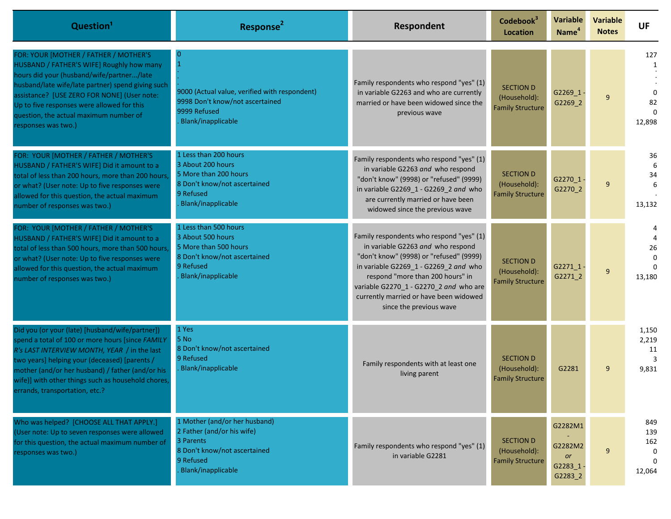| Question <sup>1</sup>                                                                                                                                                                                                                                                                                                                              | Response <sup>2</sup>                                                                                                                       | <b>Respondent</b>                                                                                                                                                                                                                                                                                                    | Codebook <sup>3</sup><br><b>Location</b>                    | Variable<br>Name <sup>4</sup>                  | <b>Variable</b><br><b>Notes</b> | <b>UF</b>                                    |
|----------------------------------------------------------------------------------------------------------------------------------------------------------------------------------------------------------------------------------------------------------------------------------------------------------------------------------------------------|---------------------------------------------------------------------------------------------------------------------------------------------|----------------------------------------------------------------------------------------------------------------------------------------------------------------------------------------------------------------------------------------------------------------------------------------------------------------------|-------------------------------------------------------------|------------------------------------------------|---------------------------------|----------------------------------------------|
| FOR: YOUR [MOTHER / FATHER / MOTHER'S<br>HUSBAND / FATHER'S WIFE] Roughly how many<br>hours did your (husband/wife/partner/late<br>husband/late wife/late partner) spend giving such<br>assistance? [USE ZERO FOR NONE] (User note:<br>Up to five responses were allowed for this<br>question, the actual maximum number of<br>responses was two.) | $\overline{1}$<br>9000 (Actual value, verified with respondent)<br>9998 Don't know/not ascertained<br>9999 Refused<br>Blank/inapplicable    | Family respondents who respond "yes" (1)<br>in variable G2263 and who are currently<br>married or have been widowed since the<br>previous wave                                                                                                                                                                       | <b>SECTION D</b><br>(Household):<br><b>Family Structure</b> | G2269 $1 -$<br>G2269_2                         | 9                               | 127<br>1<br>82<br>12,898                     |
| FOR: YOUR [MOTHER / FATHER / MOTHER'S<br>HUSBAND / FATHER'S WIFE] Did it amount to a<br>total of less than 200 hours, more than 200 hours,<br>or what? (User note: Up to five responses were<br>allowed for this question, the actual maximum<br>number of responses was two.)                                                                     | 1 Less than 200 hours<br>3 About 200 hours<br>5 More than 200 hours<br>8 Don't know/not ascertained<br>9 Refused<br>Blank/inapplicable      | Family respondents who respond "yes" (1)<br>in variable G2263 and who respond<br>"don't know" (9998) or "refused" (9999)<br>in variable G2269 1 - G2269 2 and who<br>are currently married or have been<br>widowed since the previous wave                                                                           | <b>SECTION D</b><br>(Household):<br><b>Family Structure</b> | $G2270_1$ -<br>G2270_2                         | 9                               | 36<br>6<br>34<br>13,132                      |
| FOR: YOUR [MOTHER / FATHER / MOTHER'S<br>HUSBAND / FATHER'S WIFE] Did it amount to a<br>total of less than 500 hours, more than 500 hours,<br>or what? (User note: Up to five responses were<br>allowed for this question, the actual maximum<br>number of responses was two.)                                                                     | 1 Less than 500 hours<br>3 About 500 hours<br>5 More than 500 hours<br>8 Don't know/not ascertained<br>9 Refused<br>Blank/inapplicable      | Family respondents who respond "yes" (1)<br>in variable G2263 and who respond<br>"don't know" (9998) or "refused" (9999)<br>in variable G2269_1 - G2269_2 and who<br>respond "more than 200 hours" in<br>variable G2270_1 - G2270_2 and who are<br>currently married or have been widowed<br>since the previous wave | <b>SECTION D</b><br>(Household):<br><b>Family Structure</b> | $G2271_1.1$<br>G2271_2                         | 9                               | 26<br>13,180                                 |
| Did you (or your (late) [husband/wife/partner])<br>spend a total of 100 or more hours [since FAMILY<br>R's LAST INTERVIEW MONTH, YEAR / in the last<br>two years] helping your (deceased) [parents /<br>mother (and/or her husband) / father (and/or his<br>wife)] with other things such as household chores,<br>errands, transportation, etc.?   | 1 Yes<br>5 No<br>8 Don't know/not ascertained<br>9 Refused<br>Blank/inapplicable                                                            | Family respondents with at least one<br>living parent                                                                                                                                                                                                                                                                | <b>SECTION D</b><br>(Household):<br><b>Family Structure</b> | G2281                                          | 9                               | 1,150<br>2,219<br>11<br>3<br>9,831           |
| Who was helped? [CHOOSE ALL THAT APPLY.]<br>(User note: Up to seven responses were allowed<br>for this question, the actual maximum number of<br>responses was two.)                                                                                                                                                                               | 1 Mother (and/or her husband)<br>2 Father (and/or his wife)<br>3 Parents<br>8 Don't know/not ascertained<br>9 Refused<br>Blank/inapplicable | Family respondents who respond "yes" (1)<br>in variable G2281                                                                                                                                                                                                                                                        | <b>SECTION D</b><br>(Household):<br><b>Family Structure</b> | G2282M1<br>G2282M2<br>or<br>G2283_1<br>G2283_2 | 9                               | 849<br>139<br>162<br>0<br>$\Omega$<br>12,064 |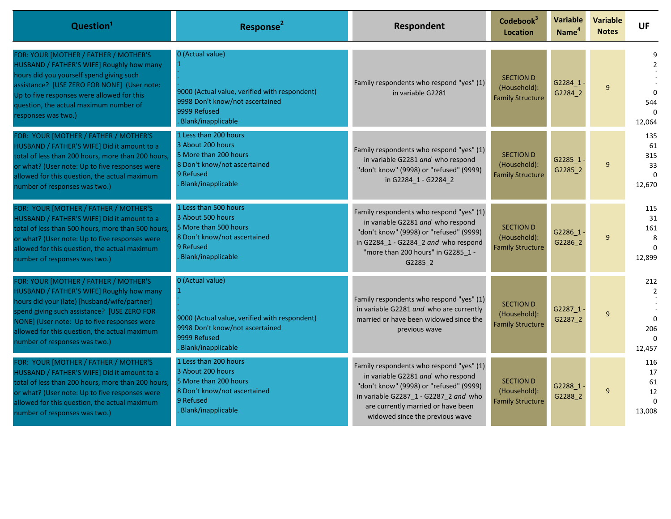| Question <sup>1</sup>                                                                                                                                                                                                                                                                                              | Response <sup>2</sup>                                                                                                                            | Respondent                                                                                                                                                                                                                                 | Codebook <sup>3</sup><br><b>Location</b>                    | Variable<br>Name <sup>4</sup> | <b>Variable</b><br><b>Notes</b> | <b>UF</b>                                                      |
|--------------------------------------------------------------------------------------------------------------------------------------------------------------------------------------------------------------------------------------------------------------------------------------------------------------------|--------------------------------------------------------------------------------------------------------------------------------------------------|--------------------------------------------------------------------------------------------------------------------------------------------------------------------------------------------------------------------------------------------|-------------------------------------------------------------|-------------------------------|---------------------------------|----------------------------------------------------------------|
| FOR: YOUR [MOTHER / FATHER / MOTHER'S<br><b>HUSBAND / FATHER'S WIFE] Roughly how many</b><br>hours did you yourself spend giving such<br>assistance? [USE ZERO FOR NONE] (User note:<br>Up to five responses were allowed for this<br>question, the actual maximum number of<br>responses was two.)                | 0 (Actual value)<br>9000 (Actual value, verified with respondent)<br>9998 Don't know/not ascertained<br>9999 Refused<br>Blank/inapplicable       | Family respondents who respond "yes" (1)<br>in variable G2281                                                                                                                                                                              | <b>SECTION D</b><br>(Household):<br><b>Family Structure</b> | G2284 1<br>G2284 2            | 9                               | $\mathfrak{p}$<br>$\Omega$<br>544<br>12,064                    |
| FOR: YOUR [MOTHER / FATHER / MOTHER'S<br>HUSBAND / FATHER'S WIFE] Did it amount to a<br>total of less than 200 hours, more than 200 hours,<br>or what? (User note: Up to five responses were<br>allowed for this question, the actual maximum<br>number of responses was two.)                                     | 1 Less than 200 hours<br>3 About 200 hours<br>5 More than 200 hours<br>8 Don't know/not ascertained<br>9 Refused<br>Blank/inapplicable           | Family respondents who respond "yes" (1)<br>in variable G2281 and who respond<br>"don't know" (9998) or "refused" (9999)<br>in G2284 1 - G2284 2                                                                                           | <b>SECTION D</b><br>(Household):<br><b>Family Structure</b> | G2285 1<br>G2285 2            | 9                               | 135<br>61<br>315<br>33<br>$\Omega$<br>12,670                   |
| FOR: YOUR [MOTHER / FATHER / MOTHER'S<br>HUSBAND / FATHER'S WIFE] Did it amount to a<br>total of less than 500 hours, more than 500 hours,<br>or what? (User note: Up to five responses were<br>allowed for this question, the actual maximum<br>number of responses was two.)                                     | 1 Less than 500 hours<br>3 About 500 hours<br>5 More than 500 hours<br>8 Don't know/not ascertained<br>9 Refused<br>Blank/inapplicable           | Family respondents who respond "yes" (1)<br>in variable G2281 and who respond<br>"don't know" (9998) or "refused" (9999)<br>in G2284_1 - G2284_2 and who respond<br>"more than 200 hours" in G2285 1 -<br>G2285 2                          | <b>SECTION D</b><br>(Household):<br><b>Family Structure</b> | G2286 1<br>G2286 2            | $\mathbf{q}$                    | 115<br>31<br>161<br>8<br>$\Omega$<br>12,899                    |
| FOR: YOUR [MOTHER / FATHER / MOTHER'S<br>HUSBAND / FATHER'S WIFE] Roughly how many<br>hours did your (late) [husband/wife/partner]<br>spend giving such assistance? [USE ZERO FOR<br>NONE] (User note: Up to five responses were<br>allowed for this question, the actual maximum<br>number of responses was two.) | 0 (Actual value)<br>-1<br>9000 (Actual value, verified with respondent)<br>9998 Don't know/not ascertained<br>9999 Refused<br>Blank/inapplicable | Family respondents who respond "yes" (1)<br>in variable G2281 and who are currently<br>married or have been widowed since the<br>previous wave                                                                                             | <b>SECTION D</b><br>(Household):<br><b>Family Structure</b> | G2287_1<br>G2287_2            | $\mathbf{q}$                    | 212<br>$\mathfrak{p}$<br>$\Omega$<br>206<br>$\Omega$<br>12,457 |
| FOR: YOUR [MOTHER / FATHER / MOTHER'S<br>HUSBAND / FATHER'S WIFE] Did it amount to a<br>total of less than 200 hours, more than 200 hours,<br>or what? (User note: Up to five responses were<br>allowed for this question, the actual maximum<br>number of responses was two.)                                     | 1 Less than 200 hours<br>3 About 200 hours<br>5 More than 200 hours<br>8 Don't know/not ascertained<br>9 Refused<br>Blank/inapplicable           | Family respondents who respond "yes" (1)<br>in variable G2281 and who respond<br>"don't know" (9998) or "refused" (9999)<br>in variable G2287 1 - G2287 2 and who<br>are currently married or have been<br>widowed since the previous wave | <b>SECTION D</b><br>(Household):<br><b>Family Structure</b> | G2288_1<br>G2288 2            | 9                               | 116<br>17<br>61<br>12<br>$\Omega$<br>13,008                    |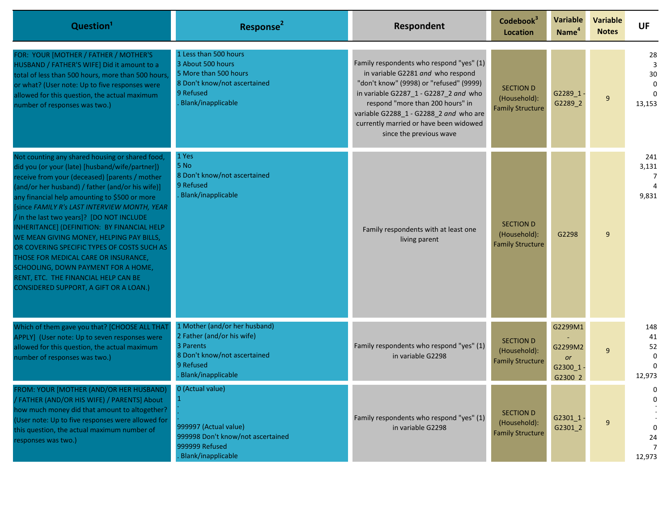| Question <sup>1</sup>                                                                                                                                                                                                                                                                                                                                                                                                                                                                                                                                                                                                                                           | Response <sup>2</sup>                                                                                                                       | Respondent                                                                                                                                                                                                                                                                                                           | Codebook <sup>3</sup><br><b>Location</b>                    | Variable<br>Name <sup>4</sup>                  | <b>Variable</b><br><b>Notes</b> | <b>UF</b>                                       |
|-----------------------------------------------------------------------------------------------------------------------------------------------------------------------------------------------------------------------------------------------------------------------------------------------------------------------------------------------------------------------------------------------------------------------------------------------------------------------------------------------------------------------------------------------------------------------------------------------------------------------------------------------------------------|---------------------------------------------------------------------------------------------------------------------------------------------|----------------------------------------------------------------------------------------------------------------------------------------------------------------------------------------------------------------------------------------------------------------------------------------------------------------------|-------------------------------------------------------------|------------------------------------------------|---------------------------------|-------------------------------------------------|
| FOR: YOUR [MOTHER / FATHER / MOTHER'S<br>HUSBAND / FATHER'S WIFE] Did it amount to a<br>total of less than 500 hours, more than 500 hours,<br>or what? (User note: Up to five responses were<br>allowed for this question, the actual maximum<br>number of responses was two.)                                                                                                                                                                                                                                                                                                                                                                                  | 1 Less than 500 hours<br>3 About 500 hours<br>5 More than 500 hours<br>8 Don't know/not ascertained<br>9 Refused<br>Blank/inapplicable      | Family respondents who respond "yes" (1)<br>in variable G2281 and who respond<br>"don't know" (9998) or "refused" (9999)<br>in variable G2287_1 - G2287_2 and who<br>respond "more than 200 hours" in<br>variable G2288_1 - G2288_2 and who are<br>currently married or have been widowed<br>since the previous wave | <b>SECTION D</b><br>(Household):<br><b>Family Structure</b> | G2289_1<br>G2289_2                             | 9                               | 28<br>3<br>30<br>$\Omega$<br>$\Omega$<br>13,153 |
| Not counting any shared housing or shared food,<br>did you (or your (late) [husband/wife/partner])<br>receive from your (deceased) [parents / mother<br>(and/or her husband) / father (and/or his wife)]<br>any financial help amounting to \$500 or more<br>[since FAMILY R's LAST INTERVIEW MONTH, YEAR<br>in the last two years]? [DO NOT INCLUDE<br>INHERITANCE] (DEFINITION: BY FINANCIAL HELP<br>WE MEAN GIVING MONEY, HELPING PAY BILLS,<br>OR COVERING SPECIFIC TYPES OF COSTS SUCH AS<br>THOSE FOR MEDICAL CARE OR INSURANCE,<br>SCHOOLING, DOWN PAYMENT FOR A HOME,<br>RENT, ETC. THE FINANCIAL HELP CAN BE<br>CONSIDERED SUPPORT, A GIFT OR A LOAN.) | 1 Yes<br>5 No<br>8 Don't know/not ascertained<br>9 Refused<br>Blank/inapplicable                                                            | Family respondents with at least one<br>living parent                                                                                                                                                                                                                                                                | <b>SECTION D</b><br>(Household):<br><b>Family Structure</b> | G2298                                          | 9                               | 241<br>3,131<br>-7<br>4<br>9,831                |
| Which of them gave you that? [CHOOSE ALL THAT<br>APPLY] (User note: Up to seven responses were<br>allowed for this question, the actual maximum<br>number of responses was two.)                                                                                                                                                                                                                                                                                                                                                                                                                                                                                | 1 Mother (and/or her husband)<br>2 Father (and/or his wife)<br>3 Parents<br>8 Don't know/not ascertained<br>9 Refused<br>Blank/inapplicable | Family respondents who respond "yes" (1)<br>in variable G2298                                                                                                                                                                                                                                                        | <b>SECTION D</b><br>(Household):<br><b>Family Structure</b> | G2299M1<br>G2299M2<br>or<br>G2300_1<br>G2300 2 | $\mathsf{q}$                    | 148<br>41<br>52<br>$\Omega$<br>12,973           |
| ROM: YOUR [MOTHER (AND/OR HER HUSBAND)<br>/ FATHER (AND/OR HIS WIFE) / PARENTS] About<br>how much money did that amount to altogether?<br>(User note: Up to five responses were allowed for<br>this question, the actual maximum number of<br>responses was two.)                                                                                                                                                                                                                                                                                                                                                                                               | 0 (Actual value)<br>999997 (Actual value)<br>999998 Don't know/not ascertained<br>999999 Refused<br>Blank/inapplicable                      | Family respondents who respond "yes" (1)<br>in variable G2298                                                                                                                                                                                                                                                        | <b>SECTION D</b><br>(Household):<br><b>Family Structure</b> | G2301_1<br>G2301_2                             | 9                               | 0<br>24<br>7<br>12,973                          |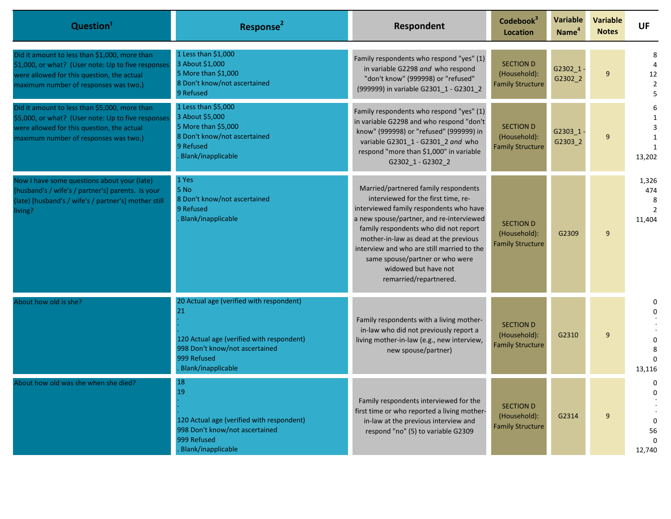| Question <sup>1</sup>                                                                                                                                                                      | Response <sup>2</sup>                                                                                                                                              | Respondent                                                                                                                                                                                                                                                                                                                                                                              | Codebook <sup>3</sup><br><b>Location</b>                    | <b>Variable</b><br>Name <sup>4</sup> | <b>Variable</b><br><b>Notes</b> | <b>UF</b>                        |
|--------------------------------------------------------------------------------------------------------------------------------------------------------------------------------------------|--------------------------------------------------------------------------------------------------------------------------------------------------------------------|-----------------------------------------------------------------------------------------------------------------------------------------------------------------------------------------------------------------------------------------------------------------------------------------------------------------------------------------------------------------------------------------|-------------------------------------------------------------|--------------------------------------|---------------------------------|----------------------------------|
| Did it amount to less than \$1,000, more than<br>\$1,000, or what? (User note: Up to five responses<br>were allowed for this question, the actual<br>maximum number of responses was two.) | 1 Less than \$1,000<br>3 About \$1,000<br>5 More than \$1,000<br>8 Don't know/not ascertained<br>9 Refused                                                         | Family respondents who respond "yes" (1)<br>in variable G2298 and who respond<br>"don't know" (999998) or "refused"<br>(999999) in variable G2301_1 - G2301_2                                                                                                                                                                                                                           | <b>SECTION D</b><br>(Household):<br><b>Family Structure</b> | G2302 1-<br>G2302_2                  | 9                               | 12<br>$\overline{2}$             |
| Did it amount to less than \$5,000, more than<br>\$5,000, or what? (User note: Up to five responses<br>were allowed for this question, the actual<br>maximum number of responses was two.) | 1 Less than \$5,000<br>3 About \$5,000<br>5 More than \$5,000<br>8 Don't know/not ascertained<br>9 Refused<br><b>Blank/inapplicable</b>                            | Family respondents who respond "yes" (1)<br>in variable G2298 and who respond "don't<br>know" (999998) or "refused" (999999) in<br>variable G2301_1 - G2301_2 and who<br>respond "more than \$1,000" in variable<br>G2302_1 - G2302_2                                                                                                                                                   | <b>SECTION D</b><br>(Household):<br><b>Family Structure</b> | G2303 1-<br>G2303_2                  | 9                               | 13,202                           |
| Now I have some questions about your (late)<br>[husband's / wife's / partner's] parents. Is your<br>(late) [husband's / wife's / partner's] mother still<br>living?                        | 1 Yes<br>5 No<br>8 Don't know/not ascertained<br>9 Refused<br><b>Blank/inapplicable</b>                                                                            | Married/partnered family respondents<br>interviewed for the first time, re-<br>interviewed family respondents who have<br>a new spouse/partner, and re-interviewed<br>family respondents who did not report<br>mother-in-law as dead at the previous<br>interview and who are still married to the<br>same spouse/partner or who were<br>widowed but have not<br>remarried/repartnered. | <b>SECTION D</b><br>(Household):<br><b>Family Structure</b> | G2309                                | 9                               | 1,326<br>474<br>8<br>2<br>11,404 |
| About how old is she?                                                                                                                                                                      | 20 Actual age (verified with respondent)<br>21<br>120 Actual age (verified with respondent)<br>998 Don't know/not ascertained<br>999 Refused<br>Blank/inapplicable | Family respondents with a living mother-<br>in-law who did not previously report a<br>living mother-in-law (e.g., new interview,<br>new spouse/partner)                                                                                                                                                                                                                                 | <b>SECTION D</b><br>(Household):<br><b>Family Structure</b> | G2310                                | 9                               | 13,116                           |
| About how old was she when she died?                                                                                                                                                       | 18<br>19<br>120 Actual age (verified with respondent)<br>998 Don't know/not ascertained<br>999 Refused<br>Blank/inapplicable                                       | Family respondents interviewed for the<br>first time or who reported a living mother-<br>in-law at the previous interview and<br>respond "no" (5) to variable G2309                                                                                                                                                                                                                     | <b>SECTION D</b><br>(Household):<br><b>Family Structure</b> | G2314                                | 9                               | 0<br>0<br>56<br>12,740           |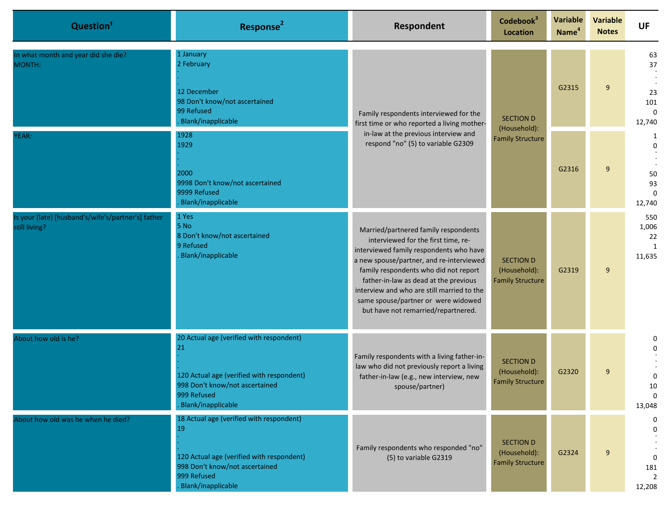| Question <sup>1</sup>                                               | Response <sup>2</sup>                                                                                                                                              | Respondent                                                                                                                                                                                                                                                                                                                                                                       | Codebook <sup>3</sup><br><b>Location</b>                    | Variable<br>Name <sup>4</sup> | <b>Variable</b><br><b>Notes</b> | <b>UF</b>                                                 |
|---------------------------------------------------------------------|--------------------------------------------------------------------------------------------------------------------------------------------------------------------|----------------------------------------------------------------------------------------------------------------------------------------------------------------------------------------------------------------------------------------------------------------------------------------------------------------------------------------------------------------------------------|-------------------------------------------------------------|-------------------------------|---------------------------------|-----------------------------------------------------------|
| In what month and year did she die?<br>MONTH:                       | 1 January<br>2 February<br>12 December<br>98 Don't know/not ascertained<br>99 Refused<br>Blank/inapplicable                                                        | Family respondents interviewed for the<br><b>SECTION D</b><br>first time or who reported a living mother-<br>(Household):<br>in-law at the previous interview and<br>respond "no" (5) to variable G2309                                                                                                                                                                          |                                                             | G2315                         | 9                               | 63<br>$37\,$<br>23<br>101<br>$\Omega$<br>12,740           |
| YEAR:                                                               | 1928<br>1929<br>2000<br>9998 Don't know/not ascertained<br>9999 Refused<br>Blank/inapplicable                                                                      |                                                                                                                                                                                                                                                                                                                                                                                  | <b>Family Structure</b>                                     | G2316                         | 9                               | 1<br>$\Omega$<br>50<br>93<br>$\Omega$<br>12,740           |
| Is your (late) [husband's/wife's/partner's] father<br>still living? | 1 Yes<br>5 No<br>8 Don't know/not ascertained<br>9 Refused<br>Blank/inapplicable                                                                                   | Married/partnered family respondents<br>interviewed for the first time, re-<br>interviewed family respondents who have<br>a new spouse/partner, and re-interviewed<br>family respondents who did not report<br>father-in-law as dead at the previous<br>interview and who are still married to the<br>same spouse/partner or were widowed<br>but have not remarried/repartnered. | <b>SECTION D</b><br>(Household):<br><b>Family Structure</b> | G2319                         | 9                               | 550<br>1,006<br>22<br>1<br>11,635                         |
| About how old is he?                                                | 20 Actual age (verified with respondent)<br>21<br>120 Actual age (verified with respondent)<br>998 Don't know/not ascertained<br>999 Refused<br>Blank/inapplicable | Family respondents with a living father-in-<br>law who did not previously report a living<br>father-in-law (e.g., new interview, new<br>spouse/partner)                                                                                                                                                                                                                          | <b>SECTION D</b><br>(Household):<br><b>Family Structure</b> | G2320                         | 9                               | 0<br>0<br>0<br>10<br>$\mathbf{0}$<br>13,048               |
| About how old was he when he died?                                  | 18 Actual age (verified with respondent)<br>19<br>120 Actual age (verified with respondent)<br>998 Don't know/not ascertained<br>999 Refused<br>Blank/inapplicable | Family respondents who responded "no"<br>(5) to variable G2319                                                                                                                                                                                                                                                                                                                   | <b>SECTION D</b><br>(Household):<br><b>Family Structure</b> | G2324                         | 9                               | $\Omega$<br>$\Omega$<br>$\mathbf 0$<br>181<br>2<br>12,208 |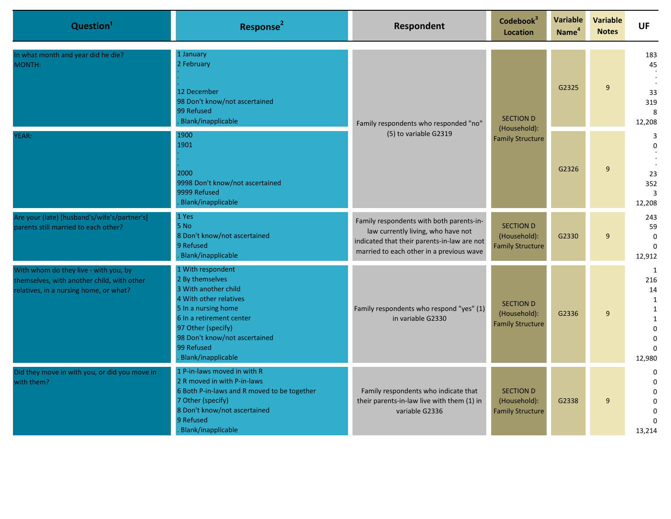| Question <sup>1</sup>                                                                                                         | Response <sup>2</sup>                                                                                                                                                                                                                | Respondent                                                                                                                                                                | Codebook <sup>3</sup><br><b>Location</b>                    | Variable<br>Name <sup>4</sup> | <b>Variable</b><br><b>Notes</b> | <b>UF</b>                                                                                                    |
|-------------------------------------------------------------------------------------------------------------------------------|--------------------------------------------------------------------------------------------------------------------------------------------------------------------------------------------------------------------------------------|---------------------------------------------------------------------------------------------------------------------------------------------------------------------------|-------------------------------------------------------------|-------------------------------|---------------------------------|--------------------------------------------------------------------------------------------------------------|
| In what month and year did he die?<br>MONTH:                                                                                  | 1 January<br>2 February<br>12 December<br>98 Don't know/not ascertained<br>99 Refused<br>Blank/inapplicable                                                                                                                          | Family respondents who responded "no"<br>(5) to variable G2319                                                                                                            | <b>SECTION D</b><br>(Household):                            | G2325                         | 9                               | 183<br>45<br>33<br>319<br>8<br>12,208                                                                        |
| YEAR:                                                                                                                         | 1900<br>1901<br>2000<br>9998 Don't know/not ascertained<br>9999 Refused<br>Blank/inapplicable                                                                                                                                        |                                                                                                                                                                           | <b>Family Structure</b>                                     | G2326                         | 9                               | 3<br>$\Omega$<br>23<br>352<br>$\overline{3}$<br>12,208                                                       |
| Are your (late) [husband's/wife's/partner's]<br>parents still married to each other?                                          | 1 Yes<br>5 No<br>8 Don't know/not ascertained<br>9 Refused<br>Blank/inapplicable                                                                                                                                                     | Family respondents with both parents-in-<br>law currently living, who have not<br>indicated that their parents-in-law are not<br>married to each other in a previous wave | <b>SECTION D</b><br>(Household):<br><b>Family Structure</b> | G2330                         | 9                               | 243<br>59<br>$\Omega$<br>$\Omega$<br>12,912                                                                  |
| With whom do they live - with you, by<br>themselves, with another child, with other<br>relatives, in a nursing home, or what? | 1 With respondent<br>2 By themselves<br>3 With another child<br>4 With other relatives<br>5 In a nursing home<br>6 In a retirement center<br>97 Other (specify)<br>98 Don't know/not ascertained<br>99 Refused<br>Blank/inapplicable | Family respondents who respond "yes" (1)<br>in variable G2330                                                                                                             | <b>SECTION D</b><br>(Household):<br><b>Family Structure</b> | G2336                         | 9                               | 1<br>216<br>14<br>$\mathbf{1}$<br>$\mathbf{1}$<br>$\mathbf{1}$<br>$\Omega$<br>$\Omega$<br>$\Omega$<br>12,980 |
| Did they move in with you, or did you move in<br>with them?                                                                   | 1 P-in-laws moved in with R<br>2 R moved in with P-in-laws<br>6 Both P-in-laws and R moved to be together<br>7 Other (specify)<br>8 Don't know/not ascertained<br>9 Refused<br>Blank/inapplicable                                    | Family respondents who indicate that<br>their parents-in-law live with them (1) in<br>variable G2336                                                                      | <b>SECTION D</b><br>(Household):<br><b>Family Structure</b> | G2338                         | 9                               | $\Omega$<br>$\Omega$<br>$\mathbf{0}$<br>$\mathbf 0$<br>$\Omega$<br>$\Omega$<br>13,214                        |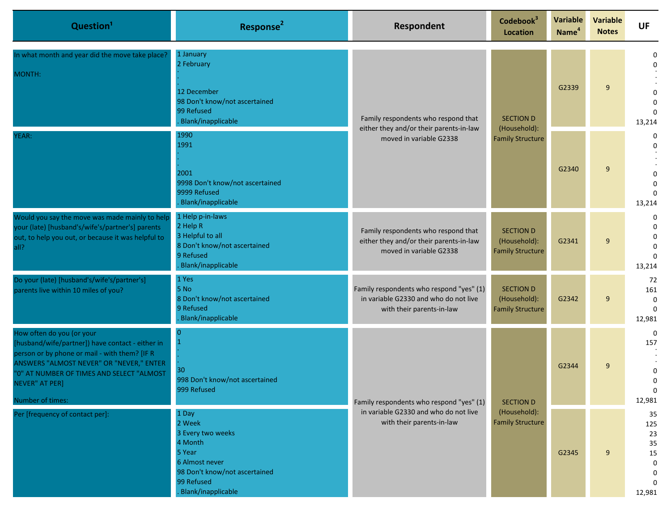| Question <sup>1</sup>                                                                                                                                                                                                                                         | Response <sup>2</sup>                                                                                                                            | <b>Respondent</b>                                                                                              | Codebook <sup>3</sup><br><b>Location</b>                    | <b>Variable</b><br>Name <sup>4</sup>    | <b>Variable</b><br><b>Notes</b> | <b>UF</b>                                                          |                                                                    |
|---------------------------------------------------------------------------------------------------------------------------------------------------------------------------------------------------------------------------------------------------------------|--------------------------------------------------------------------------------------------------------------------------------------------------|----------------------------------------------------------------------------------------------------------------|-------------------------------------------------------------|-----------------------------------------|---------------------------------|--------------------------------------------------------------------|--------------------------------------------------------------------|
| In what month and year did the move take place?<br>MONTH:                                                                                                                                                                                                     | 1 January<br>2 February<br>12 December<br>98 Don't know/not ascertained<br>99 Refused<br>Blank/inapplicable                                      | Family respondents who respond that<br>either they and/or their parents-in-law<br>moved in variable G2338      | <b>SECTION D</b><br>(Household):                            |                                         | G2339                           | 9                                                                  | $\Omega$<br>$\Omega$<br>$\Omega$<br>$\Omega$<br>$\Omega$<br>13,214 |
| YEAR:                                                                                                                                                                                                                                                         | 1990<br>1991<br>2001<br>9998 Don't know/not ascertained<br>9999 Refused<br>Blank/inapplicable                                                    |                                                                                                                |                                                             | <b>Family Structure</b>                 | G2340                           | 9                                                                  | 0<br>$\Omega$<br>$\Omega$<br>$\Omega$<br>$\Omega$<br>13,214        |
| Would you say the move was made mainly to help<br>your (late) [husband's/wife's/partner's] parents<br>out, to help you out, or because it was helpful to<br>all?                                                                                              | 1 Help p-in-laws<br>2 Help R<br>3 Helpful to all<br>8 Don't know/not ascertained<br>9 Refused<br>Blank/inapplicable                              | Family respondents who respond that<br>either they and/or their parents-in-law<br>moved in variable G2338      | <b>SECTION D</b><br>(Household):<br><b>Family Structure</b> | G2341                                   | 9                               | $\Omega$<br>$\Omega$<br>$\Omega$<br>$\Omega$<br>$\Omega$<br>13,214 |                                                                    |
| Do your (late) [husband's/wife's/partner's]<br>parents live within 10 miles of you?                                                                                                                                                                           | 1 Yes<br>5 No<br>8 Don't know/not ascertained<br>9 Refused<br>Blank/inapplicable                                                                 | Family respondents who respond "yes" (1)<br>in variable G2330 and who do not live<br>with their parents-in-law | <b>SECTION D</b><br>(Household):<br><b>Family Structure</b> | G2342                                   | 9                               | 72<br>161<br>$\mathbf 0$<br>$\Omega$<br>12,981                     |                                                                    |
| How often do you (or your<br>[husband/wife/partner]) have contact - either in<br>person or by phone or mail - with them? [IF R<br>ANSWERS "ALMOST NEVER" OR "NEVER," ENTER<br>"0" AT NUMBER OF TIMES AND SELECT "ALMOST<br>NEVER" AT PER]<br>Number of times: | 30<br>998 Don't know/not ascertained<br>999 Refused                                                                                              | Family respondents who respond "yes" (1)<br>in variable G2330 and who do not live<br>with their parents-in-law | <b>SECTION D</b>                                            | G2344                                   | 9                               | $\Omega$<br>157<br>0<br>$\Omega$<br>12,981                         |                                                                    |
| Per [frequency of contact per]:                                                                                                                                                                                                                               | 1 Day<br>2 Week<br>3 Every two weeks<br>4 Month<br>5 Year<br>6 Almost never<br>98 Don't know/not ascertained<br>99 Refused<br>Blank/inapplicable |                                                                                                                |                                                             | (Household):<br><b>Family Structure</b> | G2345                           | 9                                                                  | 35<br>125<br>23<br>35<br>15<br>$\mathbf 0$<br>0<br>12,981          |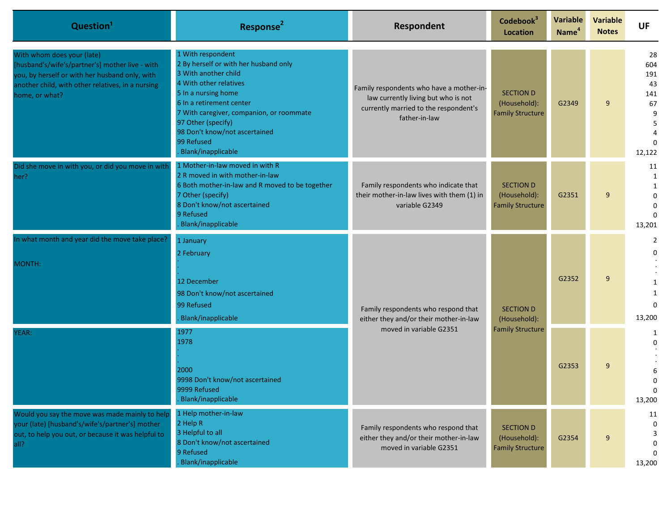| Question <sup>1</sup>                                                                                                                                                                                  | Response <sup>2</sup>                                                                                                                                                                                                                                                                                  | Respondent                                                                                                                                | Codebook <sup>3</sup><br><b>Location</b>                    | Variable<br>Name <sup>4</sup>    | <b>Variable</b><br><b>Notes</b> | <b>UF</b>                                               |                  |
|--------------------------------------------------------------------------------------------------------------------------------------------------------------------------------------------------------|--------------------------------------------------------------------------------------------------------------------------------------------------------------------------------------------------------------------------------------------------------------------------------------------------------|-------------------------------------------------------------------------------------------------------------------------------------------|-------------------------------------------------------------|----------------------------------|---------------------------------|---------------------------------------------------------|------------------|
| With whom does your (late)<br>[husband's/wife's/partner's] mother live - with<br>you, by herself or with her husband only, with<br>another child, with other relatives, in a nursing<br>home, or what? | 1 With respondent<br>2 By herself or with her husband only<br>3 With another child<br>4 With other relatives<br>5 In a nursing home<br>6 In a retirement center<br>7 With caregiver, companion, or roommate<br>97 Other (specify)<br>98 Don't know/not ascertained<br>99 Refused<br>Blank/inapplicable | Family respondents who have a mother-in-<br>law currently living but who is not<br>currently married to the respondent's<br>father-in-law | <b>SECTION D</b><br>(Household):<br><b>Family Structure</b> | G2349                            | 9                               | 28<br>604<br>191<br>43<br>141<br>67<br>9<br>5<br>12,122 |                  |
| Did she move in with you, or did you move in with<br>her?                                                                                                                                              | 1 Mother-in-law moved in with R<br>2 R moved in with mother-in-law<br>6 Both mother-in-law and R moved to be together<br>7 Other (specify)<br>8 Don't know/not ascertained<br>9 Refused<br>Blank/inapplicable                                                                                          | Family respondents who indicate that<br>their mother-in-law lives with them (1) in<br>variable G2349                                      | <b>SECTION D</b><br>(Household):<br><b>Family Structure</b> | G2351                            | 9                               | 11<br>1<br>1<br>0<br>13,201                             |                  |
| In what month and year did the move take place?<br>MONTH:                                                                                                                                              | 1 January<br>2 February<br>12 December<br>98 Don't know/not ascertained<br>99 Refused<br>Blank/inapplicable                                                                                                                                                                                            | Family respondents who respond that<br>either they and/or their mother-in-law<br>moved in variable G2351                                  |                                                             | <b>SECTION D</b><br>(Household): | G2352                           | 9                                                       | 0<br>0<br>13,200 |
| YEAR:                                                                                                                                                                                                  | 1977<br>1978<br>2000<br>9998 Don't know/not ascertained<br>9999 Refused<br>Blank/inapplicable                                                                                                                                                                                                          |                                                                                                                                           | <b>Family Structure</b>                                     | G2353                            | 9                               | 0<br>13,200                                             |                  |
| Would you say the move was made mainly to help<br>your (late) [husband's/wife's/partner's] mother<br>out, to help you out, or because it was helpful to<br>all?                                        | 1 Help mother-in-law<br>2 Help R<br>3 Helpful to all<br>8 Don't know/not ascertained<br>9 Refused<br>Blank/inapplicable                                                                                                                                                                                | Family respondents who respond that<br>either they and/or their mother-in-law<br>moved in variable G2351                                  | <b>SECTION D</b><br>(Household):<br><b>Family Structure</b> | G2354                            | 9                               | 11<br>3<br>13,200                                       |                  |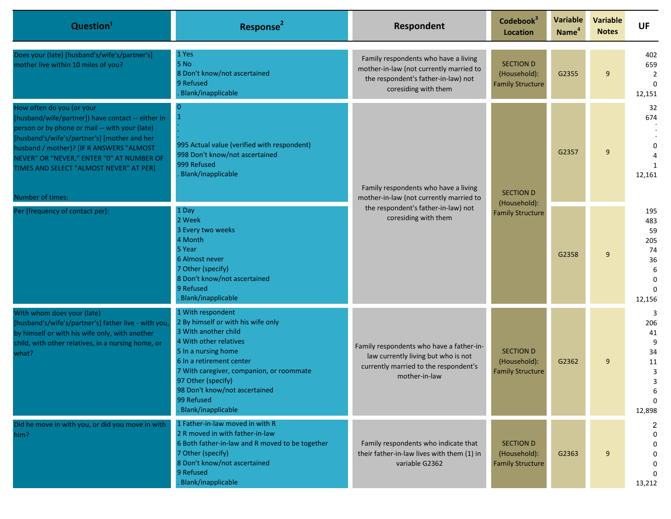| Question <sup>1</sup>                                                                                                                                                                                                                                                                                                                    | Response <sup>2</sup>                                                                                                                                                                                                                                                                               | Respondent                                                                                                                                     | Codebook <sup>3</sup><br><b>Location</b>                    | <b>Variable</b><br>Name <sup>4</sup> | <b>Variable</b><br><b>Notes</b> | <b>UF</b>                                                                     |                                 |
|------------------------------------------------------------------------------------------------------------------------------------------------------------------------------------------------------------------------------------------------------------------------------------------------------------------------------------------|-----------------------------------------------------------------------------------------------------------------------------------------------------------------------------------------------------------------------------------------------------------------------------------------------------|------------------------------------------------------------------------------------------------------------------------------------------------|-------------------------------------------------------------|--------------------------------------|---------------------------------|-------------------------------------------------------------------------------|---------------------------------|
| Does your (late) [husband's/wife's/partner's]<br>mother live within 10 miles of you?                                                                                                                                                                                                                                                     | 1 Yes<br>5 No<br>8 Don't know/not ascertained<br>9 Refused<br>Blank/inapplicable                                                                                                                                                                                                                    | Family respondents who have a living<br>mother-in-law (not currently married to<br>the respondent's father-in-law) not<br>coresiding with them | <b>SECTION D</b><br>(Household):<br><b>Family Structure</b> | G2355                                | 9                               | 402<br>659<br>$\overline{2}$<br>$\Omega$<br>12,151                            |                                 |
| How often do you (or your<br>[husband/wife/partner]) have contact -- either in<br>person or by phone or mail -- with your (late)<br>[husband's/wife's/partner's] [mother and her<br>husband / mother)? [IF R ANSWERS "ALMOST<br>NEVER" OR "NEVER," ENTER "0" AT NUMBER OF<br>TIMES AND SELECT "ALMOST NEVER" AT PER]<br>Number of times: | $\mathbf 1$<br>995 Actual value (verified with respondent)<br>998 Don't know/not ascertained<br>999 Refused<br>Blank/inapplicable                                                                                                                                                                   | Family respondents who have a living<br>mother-in-law (not currently married to<br>the respondent's father-in-law) not<br>coresiding with them |                                                             | <b>SECTION D</b>                     | G2357                           | 9                                                                             | 32<br>674<br>$\Omega$<br>12,161 |
| Per [frequency of contact per]:                                                                                                                                                                                                                                                                                                          | 1 Day<br>2 Week<br>3 Every two weeks<br>4 Month<br>5 Year<br>6 Almost never<br>7 Other (specify)<br>8 Don't know/not ascertained<br>9 Refused<br>Blank/inapplicable                                                                                                                                 |                                                                                                                                                | (Household):<br><b>Family Structure</b>                     | G2358                                | 9                               | 195<br>483<br>59<br>205<br>74<br>36<br>6<br>$\mathbf 0$<br>$\Omega$<br>12,156 |                                 |
| With whom does your (late)<br>[husband's/wife's/partner's] father live - with you,<br>by himself or with his wife only, with another<br>child, with other relatives, in a nursing home, or<br>what?                                                                                                                                      | 1 With respondent<br>2 By himself or with his wife only<br>3 With another child<br>4 With other relatives<br>5 In a nursing home<br>6 In a retirement center<br>7 With caregiver, companion, or roommate<br>97 Other (specify)<br>98 Don't know/not ascertained<br>99 Refused<br>Blank/inapplicable | Family respondents who have a father-in-<br>law currently living but who is not<br>currently married to the respondent's<br>mother-in-law      | <b>SECTION D</b><br>(Household):<br><b>Family Structure</b> | G2362                                | 9                               | 3<br>206<br>41<br>9<br>34<br>11<br>3<br>3<br>$\Omega$<br>12,898               |                                 |
| Did he move in with you, or did you move in with<br>him?                                                                                                                                                                                                                                                                                 | 1 Father-in-law moved in with R<br>2 R moved in with father-in-law<br>6 Both father-in-law and R moved to be together<br>7 Other (specify)<br>8 Don't know/not ascertained<br>9 Refused<br>Blank/inapplicable                                                                                       | Family respondents who indicate that<br>their father-in-law lives with them (1) in<br>variable G2362                                           | <b>SECTION D</b><br>(Household):<br><b>Family Structure</b> | G2363                                | 9                               | $\overline{2}$<br>$\Omega$<br>0<br>$\Omega$<br>13,212                         |                                 |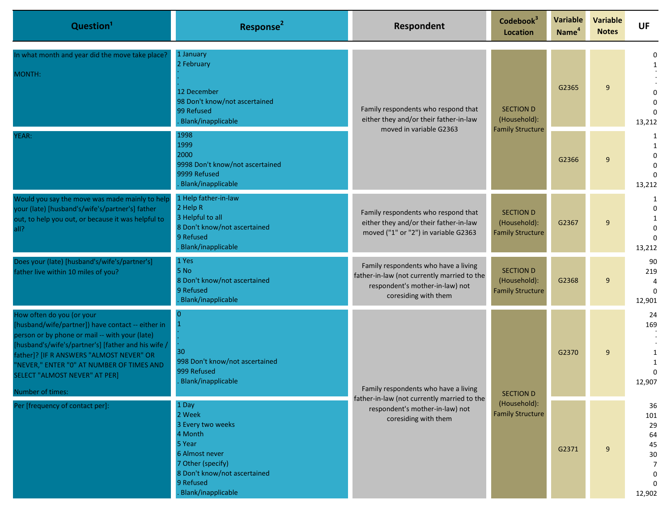| Question <sup>1</sup>                                                                                                                                                                                                                                                                                                                        | Response <sup>2</sup>                                                                                                                                               | Respondent                                                                                                                                     | Codebook <sup>3</sup><br><b>Location</b>                    | <b>Variable</b><br>Name <sup>4</sup> | <b>Variable</b><br><b>Notes</b> | <b>UF</b>                                                       |
|----------------------------------------------------------------------------------------------------------------------------------------------------------------------------------------------------------------------------------------------------------------------------------------------------------------------------------------------|---------------------------------------------------------------------------------------------------------------------------------------------------------------------|------------------------------------------------------------------------------------------------------------------------------------------------|-------------------------------------------------------------|--------------------------------------|---------------------------------|-----------------------------------------------------------------|
| In what month and year did the move take place?<br>MONTH:                                                                                                                                                                                                                                                                                    | 1 January<br>2 February<br>12 December<br>98 Don't know/not ascertained<br>99 Refused<br>Blank/inapplicable                                                         | Family respondents who respond that<br>either they and/or their father-in-law                                                                  | <b>SECTION D</b><br>(Household):                            | G2365                                | 9                               | $\Omega$<br>1<br>$\Omega$<br>$\Omega$<br>13,212                 |
| YEAR:                                                                                                                                                                                                                                                                                                                                        | 1998<br>1999<br>2000<br>9998 Don't know/not ascertained<br>9999 Refused<br>Blank/inapplicable                                                                       | moved in variable G2363                                                                                                                        | <b>Family Structure</b>                                     | G2366                                | 9                               | 1<br>1<br>$\Omega$<br>$\Omega$<br>$\Omega$<br>13,212            |
| Would you say the move was made mainly to help<br>your (late) [husband's/wife's/partner's] father<br>out, to help you out, or because it was helpful to<br>all?                                                                                                                                                                              | 1 Help father-in-law<br>2 Help R<br>3 Helpful to all<br>8 Don't know/not ascertained<br>9 Refused<br>Blank/inapplicable                                             | Family respondents who respond that<br>either they and/or their father-in-law<br>moved ("1" or "2") in variable G2363                          | <b>SECTION D</b><br>(Household):<br><b>Family Structure</b> | G2367                                | 9                               | 1<br>$\Omega$<br>1<br>$\Omega$<br>$\Omega$<br>13,212            |
| Does your (late) [husband's/wife's/partner's]<br>father live within 10 miles of you?                                                                                                                                                                                                                                                         | 1 Yes<br>5 No<br>8 Don't know/not ascertained<br>9 Refused<br>Blank/inapplicable                                                                                    | Family respondents who have a living<br>father-in-law (not currently married to the<br>respondent's mother-in-law) not<br>coresiding with them | <b>SECTION D</b><br>(Household):<br><b>Family Structure</b> | G2368                                | 9                               | 90<br>219<br>$\Omega$<br>12,901                                 |
| How often do you (or your<br>[husband/wife/partner]) have contact -- either in<br>person or by phone or mail -- with your (late)<br>[husband's/wife's/partner's] [father and his wife /<br>father]? [IF R ANSWERS "ALMOST NEVER" OR<br>"NEVER," ENTER "0" AT NUMBER OF TIMES AND<br><b>SELECT "ALMOST NEVER" AT PER]</b><br>Number of times: | 30<br>998 Don't know/not ascertained<br>999 Refused<br>Blank/inapplicable                                                                                           | Family respondents who have a living<br>father-in-law (not currently married to the<br>respondent's mother-in-law) not<br>coresiding with them | <b>SECTION D</b>                                            | G2370                                | 9                               | 24<br>169<br>12,907                                             |
| Per [frequency of contact per]:                                                                                                                                                                                                                                                                                                              | 1 Day<br>2 Week<br>3 Every two weeks<br>4 Month<br>5 Year<br>6 Almost never<br>7 Other (specify)<br>8 Don't know/not ascertained<br>9 Refused<br>Blank/inapplicable |                                                                                                                                                | (Household):<br><b>Family Structure</b>                     | G2371                                | 9                               | 36<br>101<br>29<br>64<br>45<br>30<br>7<br>$\mathbf 0$<br>12,902 |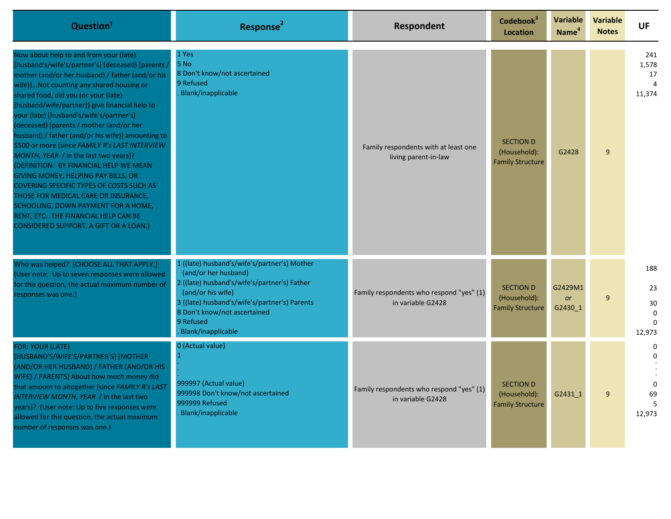| Question <sup>1</sup>                                                                                                                                                                                                                                                                                                                                                                                                                                                                                                                                                                                                                                                                                                                                                                                                              | Response <sup>2</sup>                                                                                                                                                                                                                                         | Respondent                                                    | Codebook <sup>3</sup><br><b>Location</b>                    | <b>Variable</b><br>Name <sup>4</sup> | <b>Variable</b><br><b>Notes</b> | <b>UF</b>                                            |
|------------------------------------------------------------------------------------------------------------------------------------------------------------------------------------------------------------------------------------------------------------------------------------------------------------------------------------------------------------------------------------------------------------------------------------------------------------------------------------------------------------------------------------------------------------------------------------------------------------------------------------------------------------------------------------------------------------------------------------------------------------------------------------------------------------------------------------|---------------------------------------------------------------------------------------------------------------------------------------------------------------------------------------------------------------------------------------------------------------|---------------------------------------------------------------|-------------------------------------------------------------|--------------------------------------|---------------------------------|------------------------------------------------------|
| Now about help to and from your (late)<br>[husband's/wife's/partner's] (deceased) [parents,<br>mother (and/or her husband) / father (and/or his<br>wife)]Not counting any shared housing or<br>shared food, did you (or your (late)<br>[husband/wife/partner]) give financial help to<br>your (late) [husband's/wife's/partner's]<br>(deceased) [parents / mother (and/or her<br>husband) / father (and/or his wife)] amounting to<br>\$500 or more [since FAMILY R's LAST INTERVIEW<br>MONTH, YEAR / in the last two years]?<br>(DEFINITION: BY FINANCIAL HELP WE MEAN<br>GIVING MONEY, HELPING PAY BILLS, OR<br><b>COVERING SPECIFIC TYPES OF COSTS SUCH AS</b><br>THOSE FOR MEDICAL CARE OR INSURANCE,<br>SCHOOLING, DOWN PAYMENT FOR A HOME,<br>RENT, ETC. THE FINANCIAL HELP CAN BE<br>CONSIDERED SUPPORT, A GIFT OR A LOAN.) | 1 Yes<br>5 No<br>8 Don't know/not ascertained<br>9 Refused<br>Blank/inapplicable                                                                                                                                                                              | Family respondents with at least one<br>living parent-in-law  | <b>SECTION D</b><br>(Household):<br><b>Family Structure</b> | G2428                                | 9                               | 241<br>1,578<br>17<br>$\overline{4}$<br>11,374       |
| Who was helped? [CHOOSE ALL THAT APPLY.]<br>(User note: Up to seven responses were allowed<br>for this question, the actual maximum number of<br>responses was one.)                                                                                                                                                                                                                                                                                                                                                                                                                                                                                                                                                                                                                                                               | 1 ((late) husband's/wife's/partner's) Mother<br>(and/or her husband)<br>2 ((late) husband's/wife's/partner's) Father<br>(and/or his wife)<br>3 ((late) husband's/wife's/partner's) Parents<br>8 Don't know/not ascertained<br>9 Refused<br>Blank/inapplicable | Family respondents who respond "yes" (1)<br>in variable G2428 | <b>SECTION D</b><br>(Household):<br><b>Family Structure</b> | G2429M1<br><b>or</b><br>G2430_1      | 9                               | 188<br>23<br>30<br>$\mathbf 0$<br>$\Omega$<br>12,973 |
| FOR: YOUR (LATE)<br>[HUSBAND'S/WIFE'S/PARTNER'S] [MOTHER<br>(AND/OR HER HUSBAND) / FATHER (AND/OR HIS<br>WIFE) / PARENTS] About how much money did<br>that amount to altogether [since FAMILY R's LAST<br>INTERVIEW MONTH, YEAR / in the last two<br>years]? (User note: Up to five responses were<br>allowed for this question, the actual maximum<br>number of responses was one.)                                                                                                                                                                                                                                                                                                                                                                                                                                               | 0 (Actual value)<br>999997 (Actual value)<br>999998 Don't know/not ascertained<br>999999 Refused<br>Blank/inapplicable                                                                                                                                        | Family respondents who respond "yes" (1)<br>in variable G2428 | <b>SECTION D</b><br>(Household):<br><b>Family Structure</b> | G2431 1                              | 9                               | O<br>$\Omega$<br>69<br>12,973                        |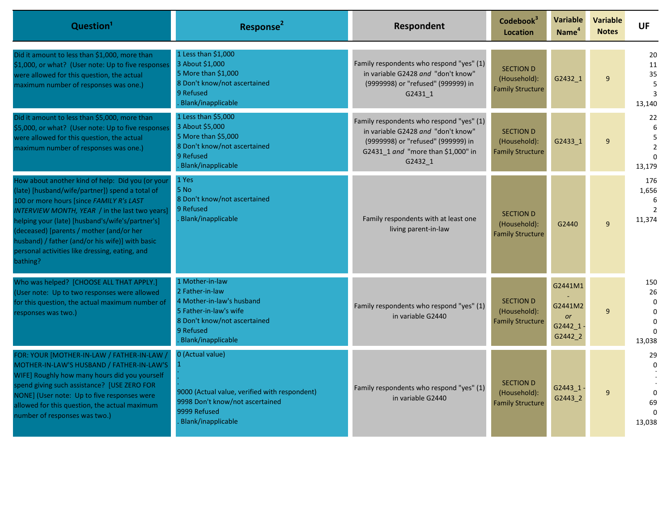| Question <sup>1</sup>                                                                                                                                                                                                                                                                                                                                                                                              | Response <sup>2</sup>                                                                                                                                        | Respondent                                                                                                                                                            | Codebook <sup>3</sup><br><b>Location</b>                    | <b>Variable</b><br>Name <sup>4</sup>                  | <b>Variable</b><br><b>Notes</b> | <b>UF</b>                                               |
|--------------------------------------------------------------------------------------------------------------------------------------------------------------------------------------------------------------------------------------------------------------------------------------------------------------------------------------------------------------------------------------------------------------------|--------------------------------------------------------------------------------------------------------------------------------------------------------------|-----------------------------------------------------------------------------------------------------------------------------------------------------------------------|-------------------------------------------------------------|-------------------------------------------------------|---------------------------------|---------------------------------------------------------|
| Did it amount to less than \$1,000, more than<br>\$1,000, or what? (User note: Up to five responses<br>were allowed for this question, the actual<br>maximum number of responses was one.)                                                                                                                                                                                                                         | 1 Less than \$1,000<br>3 About \$1,000<br>5 More than \$1,000<br>8 Don't know/not ascertained<br>9 Refused<br>Blank/inapplicable                             | Family respondents who respond "yes" (1)<br>in variable G2428 and "don't know"<br>(9999998) or "refused" (999999) in<br>G2431 1                                       | <b>SECTION D</b><br>(Household):<br><b>Family Structure</b> | G2432 1                                               | 9                               | 20<br>11<br>35<br>5<br>3<br>13,140                      |
| Did it amount to less than \$5,000, more than<br>\$5,000, or what? (User note: Up to five responses<br>were allowed for this question, the actual<br>maximum number of responses was one.)                                                                                                                                                                                                                         | 1 Less than \$5,000<br>3 About \$5,000<br>5 More than \$5,000<br>8 Don't know/not ascertained<br>9 Refused<br>Blank/inapplicable                             | Family respondents who respond "yes" (1)<br>in variable G2428 and "don't know"<br>(9999998) or "refused" (999999) in<br>G2431_1 and "more than \$1,000" in<br>G2432 1 | <b>SECTION D</b><br>(Household):<br><b>Family Structure</b> | G2433 1                                               | 9                               | 22<br>5<br>$\overline{2}$<br>$\Omega$<br>13,179         |
| How about another kind of help: Did you (or your<br>(late) [husband/wife/partner]) spend a total of<br>100 or more hours [since FAMILY R's LAST<br>INTERVIEW MONTH, YEAR / in the last two years]<br>helping your (late) [husband's/wife's/partner's]<br>(deceased) [parents / mother (and/or her<br>husband) / father (and/or his wife)] with basic<br>personal activities like dressing, eating, and<br>bathing? | 1 Yes<br>5 No<br>8 Don't know/not ascertained<br>9 Refused<br>Blank/inapplicable                                                                             | Family respondents with at least one<br>living parent-in-law                                                                                                          | <b>SECTION D</b><br>(Household):<br><b>Family Structure</b> | G2440                                                 | $\mathbf{q}$                    | 176<br>1,656<br>-6<br>$\mathcal{P}$<br>11,374           |
| Who was helped? [CHOOSE ALL THAT APPLY.]<br>(User note: Up to two responses were allowed<br>for this question, the actual maximum number of<br>responses was two.)                                                                                                                                                                                                                                                 | 1 Mother-in-law<br>2 Father-in-law<br>4 Mother-in-law's husband<br>5 Father-in-law's wife<br>8 Don't know/not ascertained<br>9 Refused<br>Blank/inapplicable | Family respondents who respond "yes" (1)<br>in variable G2440                                                                                                         | <b>SECTION D</b><br>(Household):<br><b>Family Structure</b> | G2441M1<br>G2441M2<br><b>or</b><br>G2442 1<br>G2442_2 | $\mathbf{q}$                    | 150<br>26<br>$\Omega$<br>$\Omega$<br>$\Omega$<br>13,038 |
| FOR: YOUR [MOTHER-IN-LAW / FATHER-IN-LAW /<br>MOTHER-IN-LAW'S HUSBAND / FATHER-IN-LAW'S<br>WIFE] Roughly how many hours did you yourself<br>spend giving such assistance? [USE ZERO FOR<br>NONE] (User note: Up to five responses were<br>allowed for this question, the actual maximum<br>number of responses was two.)                                                                                           | 0 (Actual value)<br>9000 (Actual value, verified with respondent)<br>9998 Don't know/not ascertained<br>9999 Refused<br>Blank/inapplicable                   | Family respondents who respond "yes" (1)<br>in variable G2440                                                                                                         | <b>SECTION D</b><br>(Household):<br><b>Family Structure</b> | G2443 1<br>G2443 2                                    | 9                               | 29<br>$\Omega$<br>69<br>13,038                          |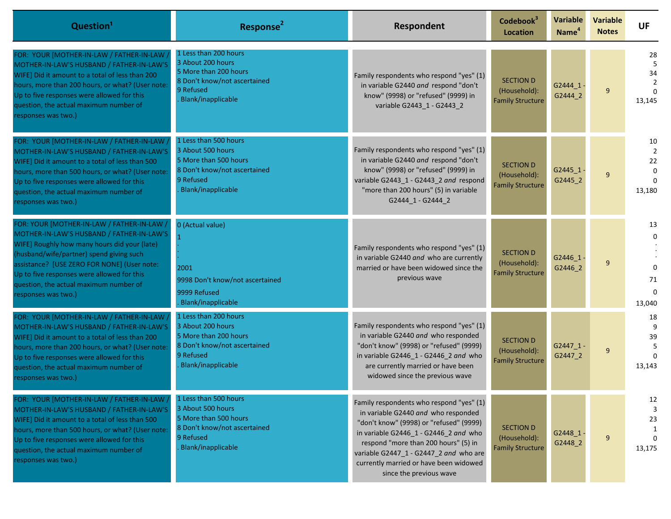| Question <sup>1</sup>                                                                                                                                                                                                                                                                                                                             | Response <sup>2</sup>                                                                                                                  | Respondent                                                                                                                                                                                                                                                                                                                 | Codebook <sup>3</sup><br><b>Location</b>                    | <b>Variable</b><br>Name <sup>4</sup> | <b>Variable</b><br><b>Notes</b> | <b>UF</b>                            |
|---------------------------------------------------------------------------------------------------------------------------------------------------------------------------------------------------------------------------------------------------------------------------------------------------------------------------------------------------|----------------------------------------------------------------------------------------------------------------------------------------|----------------------------------------------------------------------------------------------------------------------------------------------------------------------------------------------------------------------------------------------------------------------------------------------------------------------------|-------------------------------------------------------------|--------------------------------------|---------------------------------|--------------------------------------|
| FOR: YOUR [MOTHER-IN-LAW / FATHER-IN-LAW<br>MOTHER-IN-LAW'S HUSBAND / FATHER-IN-LAW'S<br>WIFE] Did it amount to a total of less than 200<br>hours, more than 200 hours, or what? (User note:<br>Up to five responses were allowed for this<br>question, the actual maximum number of<br>responses was two.)                                       | 1 Less than 200 hours<br>3 About 200 hours<br>5 More than 200 hours<br>8 Don't know/not ascertained<br>9 Refused<br>Blank/inapplicable | Family respondents who respond "yes" (1)<br>in variable G2440 and respond "don't<br>know" (9998) or "refused" (9999) in<br>variable G2443_1 - G2443_2                                                                                                                                                                      | <b>SECTION D</b><br>(Household):<br><b>Family Structure</b> | G2444 1.<br>G2444 2                  | 9                               | 28<br>5<br>34<br>13,145              |
| FOR: YOUR [MOTHER-IN-LAW / FATHER-IN-LAW ]<br>MOTHER-IN-LAW'S HUSBAND / FATHER-IN-LAW'S<br>WIFE] Did it amount to a total of less than 500<br>hours, more than 500 hours, or what? (User note:<br>Up to five responses were allowed for this<br>question, the actual maximum number of<br>responses was two.)                                     | 1 Less than 500 hours<br>3 About 500 hours<br>5 More than 500 hours<br>8 Don't know/not ascertained<br>9 Refused<br>Blank/inapplicable | Family respondents who respond "yes" (1)<br>in variable G2440 and respond "don't<br>know" (9998) or "refused" (9999) in<br>variable G2443 1 - G2443 2 and respond<br>"more than 200 hours" (5) in variable<br>G2444_1 - G2444_2                                                                                            | <b>SECTION D</b><br>(Household):<br><b>Family Structure</b> | G2445 1<br>G2445_2                   | 9                               | 10<br>$\overline{2}$<br>22<br>13,180 |
| FOR: YOUR [MOTHER-IN-LAW / FATHER-IN-LAW ,<br>MOTHER-IN-LAW'S HUSBAND / FATHER-IN-LAW'S<br>WIFE] Roughly how many hours did your (late)<br>(husband/wife/partner) spend giving such<br>assistance? [USE ZERO FOR NONE] (User note:<br>Up to five responses were allowed for this<br>question, the actual maximum number of<br>responses was two.) | 0 (Actual value)<br>2001<br>9998 Don't know/not ascertained<br>9999 Refused<br>Blank/inapplicable                                      | Family respondents who respond "yes" (1)<br>in variable G2440 and who are currently<br>married or have been widowed since the<br>previous wave                                                                                                                                                                             | <b>SECTION D</b><br>(Household):<br><b>Family Structure</b> | $G2446_1$<br>G2446 2                 | 9                               | 13<br>71<br>13,040                   |
| FOR: YOUR [MOTHER-IN-LAW / FATHER-IN-LAW /<br>MOTHER-IN-LAW'S HUSBAND / FATHER-IN-LAW'S<br>WIFE] Did it amount to a total of less than 200<br>hours, more than 200 hours, or what? (User note:<br>Up to five responses were allowed for this<br>question, the actual maximum number of<br>responses was two.)                                     | 1 Less than 200 hours<br>3 About 200 hours<br>5 More than 200 hours<br>8 Don't know/not ascertained<br>9 Refused<br>Blank/inapplicable | Family respondents who respond "yes" (1)<br>in variable G2440 and who responded<br>"don't know" (9998) or "refused" (9999)<br>in variable G2446_1 - G2446_2 and who<br>are currently married or have been<br>widowed since the previous wave                                                                               | <b>SECTION D</b><br>(Household):<br><b>Family Structure</b> | G2447 1-<br>G2447_2                  | 9                               | 18<br>39<br>13,143                   |
| FOR: YOUR [MOTHER-IN-LAW / FATHER-IN-LAW<br>MOTHER-IN-LAW'S HUSBAND / FATHER-IN-LAW'S<br>WIFE] Did it amount to a total of less than 500<br>hours, more than 500 hours, or what? (User note:<br>Up to five responses were allowed for this<br>question, the actual maximum number of<br>responses was two.)                                       | 1 Less than 500 hours<br>3 About 500 hours<br>5 More than 500 hours<br>8 Don't know/not ascertained<br>9 Refused<br>Blank/inapplicable | Family respondents who respond "yes" (1)<br>in variable G2440 and who responded<br>"don't know" (9998) or "refused" (9999)<br>in variable G2446 1 - G2446 2 and who<br>respond "more than 200 hours" (5) in<br>variable G2447_1 - G2447_2 and who are<br>currently married or have been widowed<br>since the previous wave | <b>SECTION D</b><br>(Household):<br><b>Family Structure</b> | $G2448_1$<br>G2448_2                 | 9                               | 12<br>23<br>13,175                   |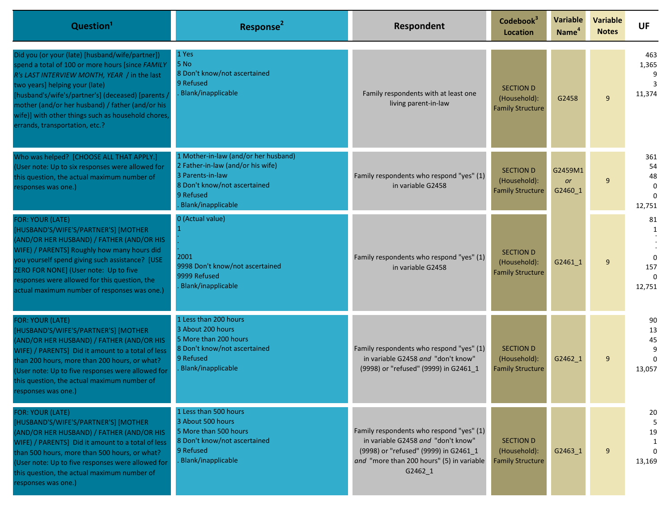| Question <sup>1</sup>                                                                                                                                                                                                                                                                                                                                                                  | Response <sup>2</sup>                                                                                                                                            | Respondent                                                                                                                                                                      | Codebook <sup>3</sup><br><b>Location</b>                    | <b>Variable</b><br>Name <sup>4</sup> | <b>Variable</b><br><b>Notes</b> | <b>UF</b>                                |
|----------------------------------------------------------------------------------------------------------------------------------------------------------------------------------------------------------------------------------------------------------------------------------------------------------------------------------------------------------------------------------------|------------------------------------------------------------------------------------------------------------------------------------------------------------------|---------------------------------------------------------------------------------------------------------------------------------------------------------------------------------|-------------------------------------------------------------|--------------------------------------|---------------------------------|------------------------------------------|
| Did you (or your (late) [husband/wife/partner])<br>spend a total of 100 or more hours [since FAMILY<br>R's LAST INTERVIEW MONTH, YEAR / in the last<br>two years] helping your (late)<br>[husband's/wife's/partner's] (deceased) [parents]<br>mother (and/or her husband) / father (and/or his<br>wife)] with other things such as household chores,<br>errands, transportation, etc.? | 1 Yes<br>5 No<br>8 Don't know/not ascertained<br>9 Refused<br>Blank/inapplicable                                                                                 | Family respondents with at least one<br>living parent-in-law                                                                                                                    | <b>SECTION D</b><br>(Household):<br><b>Family Structure</b> | G2458                                | 9                               | 463<br>1,365<br>11,374                   |
| Who was helped? [CHOOSE ALL THAT APPLY.]<br>(User note: Up to six responses were allowed for<br>this question, the actual maximum number of<br>responses was one.)                                                                                                                                                                                                                     | 1 Mother-in-law (and/or her husband)<br>2 Father-in-law (and/or his wife)<br>3 Parents-in-law<br>8 Don't know/not ascertained<br>9 Refused<br>Blank/inapplicable | Family respondents who respond "yes" (1)<br>in variable G2458                                                                                                                   | <b>SECTION D</b><br>(Household):<br><b>Family Structure</b> | G2459M1<br><b>or</b><br>G2460_1      | 9                               | 361<br>54<br>48<br>$\Omega$<br>12,751    |
| <b>FOR: YOUR (LATE)</b><br>[HUSBAND'S/WIFE'S/PARTNER'S] [MOTHER<br>(AND/OR HER HUSBAND) / FATHER (AND/OR HIS<br>WIFE) / PARENTS] Roughly how many hours did<br>you yourself spend giving such assistance? [USE<br>ZERO FOR NONE] (User note: Up to five<br>responses were allowed for this question, the<br>actual maximum number of responses was one.)                               | 0 (Actual value)<br>2001<br>9998 Don't know/not ascertained<br>9999 Refused<br>Blank/inapplicable                                                                | Family respondents who respond "yes" (1)<br>in variable G2458                                                                                                                   | <b>SECTION D</b><br>(Household):<br><b>Family Structure</b> | G2461 1                              | 9                               | 81<br>1<br>$\Omega$<br>157<br>12,751     |
| <b>FOR: YOUR (LATE)</b><br>[HUSBAND'S/WIFE'S/PARTNER'S] [MOTHER<br>(AND/OR HER HUSBAND) / FATHER (AND/OR HIS<br>WIFE) / PARENTS] Did it amount to a total of less<br>than 200 hours, more than 200 hours, or what?<br>(User note: Up to five responses were allowed for<br>this question, the actual maximum number of<br>responses was one.)                                          | 1 Less than 200 hours<br>3 About 200 hours<br>5 More than 200 hours<br>8 Don't know/not ascertained<br>9 Refused<br>Blank/inapplicable                           | Family respondents who respond "yes" (1)<br>in variable G2458 and "don't know"<br>(9998) or "refused" (9999) in G2461 1                                                         | <b>SECTION D</b><br>(Household):<br><b>Family Structure</b> | G2462_1                              | 9                               | 90<br>13<br>45<br>$\Omega$<br>13,057     |
| <b>FOR: YOUR (LATE)</b><br>[HUSBAND'S/WIFE'S/PARTNER'S] [MOTHER<br>(AND/OR HER HUSBAND) / FATHER (AND/OR HIS<br>WIFE) / PARENTS] Did it amount to a total of less<br>than 500 hours, more than 500 hours, or what?<br>(User note: Up to five responses were allowed for<br>this question, the actual maximum number of<br>responses was one.)                                          | 1 Less than 500 hours<br>3 About 500 hours<br>5 More than 500 hours<br>8 Don't know/not ascertained<br>9 Refused<br>Blank/inapplicable                           | Family respondents who respond "yes" (1)<br>in variable G2458 and "don't know"<br>(9998) or "refused" (9999) in G2461 1<br>and "more than 200 hours" (5) in variable<br>G2462 1 | <b>SECTION D</b><br>(Household):<br><b>Family Structure</b> | G2463 1                              | 9                               | 20<br>5<br>19<br>1<br>$\Omega$<br>13,169 |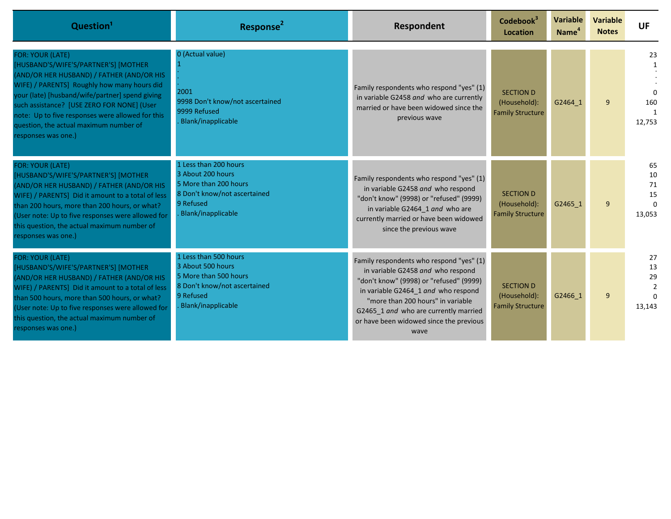| Question <sup>1</sup>                                                                                                                                                                                                                                                                                                                                                             | Response <sup>2</sup>                                                                                                                  | Respondent                                                                                                                                                                                                                                                                                       | Codebook <sup>3</sup><br><b>Location</b>                    | <b>Variable</b><br>Name <sup>4</sup> | <b>Variable</b><br><b>Notes</b> | <b>UF</b>                                  |
|-----------------------------------------------------------------------------------------------------------------------------------------------------------------------------------------------------------------------------------------------------------------------------------------------------------------------------------------------------------------------------------|----------------------------------------------------------------------------------------------------------------------------------------|--------------------------------------------------------------------------------------------------------------------------------------------------------------------------------------------------------------------------------------------------------------------------------------------------|-------------------------------------------------------------|--------------------------------------|---------------------------------|--------------------------------------------|
| <b>FOR: YOUR (LATE)</b><br>[HUSBAND'S/WIFE'S/PARTNER'S] [MOTHER<br>(AND/OR HER HUSBAND) / FATHER (AND/OR HIS<br>WIFE) / PARENTS] Roughly how many hours did<br>your (late) [husband/wife/partner] spend giving<br>such assistance? [USE ZERO FOR NONE] (User<br>note: Up to five responses were allowed for this<br>question, the actual maximum number of<br>responses was one.) | 0 (Actual value)<br>2001<br>9998 Don't know/not ascertained<br>9999 Refused<br>Blank/inapplicable                                      | Family respondents who respond "yes" (1)<br>in variable G2458 and who are currently<br>married or have been widowed since the<br>previous wave                                                                                                                                                   | <b>SECTION D</b><br>(Household):<br><b>Family Structure</b> | G2464 1                              | $\mathbf{q}$                    | 23<br>$\Omega$<br>160<br>12.753            |
| FOR: YOUR (LATE)<br>[HUSBAND'S/WIFE'S/PARTNER'S] [MOTHER<br>(AND/OR HER HUSBAND) / FATHER (AND/OR HIS<br>WIFE) / PARENTS] Did it amount to a total of less<br>than 200 hours, more than 200 hours, or what?<br>(User note: Up to five responses were allowed for<br>this question, the actual maximum number of<br>responses was one.)                                            | 1 Less than 200 hours<br>3 About 200 hours<br>5 More than 200 hours<br>8 Don't know/not ascertained<br>9 Refused<br>Blank/inapplicable | Family respondents who respond "yes" (1)<br>in variable G2458 and who respond<br>"don't know" (9998) or "refused" (9999)<br>in variable G2464_1 and who are<br>currently married or have been widowed<br>since the previous wave                                                                 | <b>SECTION D</b><br>(Household):<br><b>Family Structure</b> | G2465 1                              | 9                               | 65<br>10<br>71<br>15<br>$\Omega$<br>13,053 |
| FOR: YOUR (LATE)<br>[HUSBAND'S/WIFE'S/PARTNER'S] [MOTHER<br>(AND/OR HER HUSBAND) / FATHER (AND/OR HIS<br>WIFE) / PARENTS] Did it amount to a total of less<br>than 500 hours, more than 500 hours, or what?<br>(User note: Up to five responses were allowed for<br>this question, the actual maximum number of<br>responses was one.)                                            | 1 Less than 500 hours<br>3 About 500 hours<br>5 More than 500 hours<br>8 Don't know/not ascertained<br>9 Refused<br>Blank/inapplicable | Family respondents who respond "yes" (1)<br>in variable G2458 and who respond<br>"don't know" (9998) or "refused" (9999)<br>in variable G2464 1 and who respond<br>"more than 200 hours" in variable<br>G2465 1 and who are currently married<br>or have been widowed since the previous<br>wave | <b>SECTION D</b><br>(Household):<br><b>Family Structure</b> | G2466 1                              | 9                               | 27<br>13<br>29<br>13,143                   |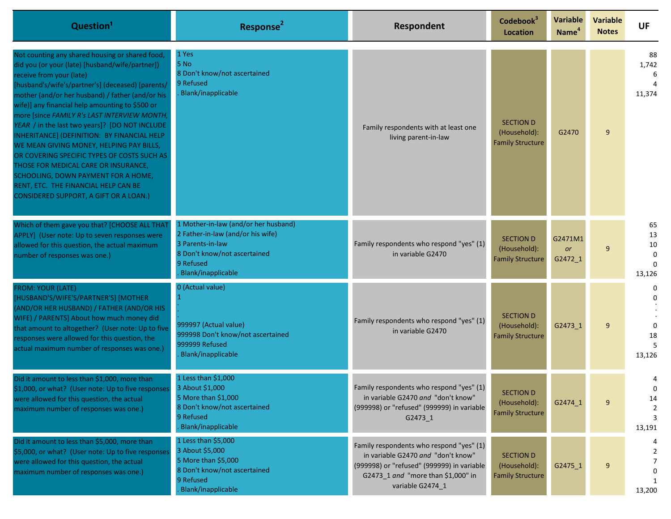| Question <sup>1</sup>                                                                                                                                                                                                                                                                                                                                                                                                                                                                                                                                                                                                                                                                                   | Response <sup>2</sup>                                                                                                                                            | Respondent                                                                                                                                                                             | Codebook <sup>3</sup><br>Location                           | <b>Variable</b><br>Name <sup>4</sup> | <b>Variable</b><br><b>Notes</b> | <b>UF</b>                                |
|---------------------------------------------------------------------------------------------------------------------------------------------------------------------------------------------------------------------------------------------------------------------------------------------------------------------------------------------------------------------------------------------------------------------------------------------------------------------------------------------------------------------------------------------------------------------------------------------------------------------------------------------------------------------------------------------------------|------------------------------------------------------------------------------------------------------------------------------------------------------------------|----------------------------------------------------------------------------------------------------------------------------------------------------------------------------------------|-------------------------------------------------------------|--------------------------------------|---------------------------------|------------------------------------------|
| Not counting any shared housing or shared food,<br>did you (or your (late) [husband/wife/partner])<br>receive from your (late)<br>[husband's/wife's/partner's] (deceased) [parents/<br>mother (and/or her husband) / father (and/or his<br>wife)] any financial help amounting to \$500 or<br>more [since FAMILY R's LAST INTERVIEW MONTH,<br>YEAR / in the last two years]? [DO NOT INCLUDE<br>INHERITANCE] (DEFINITION: BY FINANCIAL HELP<br>WE MEAN GIVING MONEY, HELPING PAY BILLS,<br>OR COVERING SPECIFIC TYPES OF COSTS SUCH AS<br>THOSE FOR MEDICAL CARE OR INSURANCE,<br>SCHOOLING, DOWN PAYMENT FOR A HOME,<br>RENT, ETC. THE FINANCIAL HELP CAN BE<br>CONSIDERED SUPPORT, A GIFT OR A LOAN.) | 1 Yes<br>5 No<br>8 Don't know/not ascertained<br>9 Refused<br>Blank/inapplicable                                                                                 | Family respondents with at least one<br>living parent-in-law                                                                                                                           | <b>SECTION D</b><br>(Household):<br><b>Family Structure</b> | G2470                                | 9                               | 88<br>1,742<br>11,374                    |
| Which of them gave you that? [CHOOSE ALL THAT<br>APPLY] (User note: Up to seven responses were<br>allowed for this question, the actual maximum<br>number of responses was one.)                                                                                                                                                                                                                                                                                                                                                                                                                                                                                                                        | 1 Mother-in-law (and/or her husband)<br>2 Father-in-law (and/or his wife)<br>3 Parents-in-law<br>8 Don't know/not ascertained<br>9 Refused<br>Blank/inapplicable | Family respondents who respond "yes" (1)<br>in variable G2470                                                                                                                          | <b>SECTION D</b><br>(Household):<br><b>Family Structure</b> | G2471M1<br><b>or</b><br>G2472_1      | 9                               | 65<br>13<br>$10\,$<br>$\Omega$<br>13,126 |
| <b>FROM: YOUR (LATE)</b><br>[HUSBAND'S/WIFE'S/PARTNER'S] [MOTHER<br>(AND/OR HER HUSBAND) / FATHER (AND/OR HIS<br>WIFE) / PARENTS] About how much money did<br>that amount to altogether? (User note: Up to five<br>responses were allowed for this question, the<br>actual maximum number of responses was one.)                                                                                                                                                                                                                                                                                                                                                                                        | 0 (Actual value)<br>999997 (Actual value)<br>999998 Don't know/not ascertained<br>999999 Refused<br>Blank/inapplicable                                           | Family respondents who respond "yes" (1)<br>in variable G2470                                                                                                                          | <b>SECTION D</b><br>(Household):<br><b>Family Structure</b> | G2473 1                              | 9                               | $\Omega$<br>$\Omega$<br>18<br>13,126     |
| Did it amount to less than \$1,000, more than<br>\$1,000, or what? (User note: Up to five responses<br>were allowed for this question, the actual<br>maximum number of responses was one.)                                                                                                                                                                                                                                                                                                                                                                                                                                                                                                              | 1 Less than $$1,000$<br>3 About \$1,000<br>5 More than \$1,000<br>8 Don't know/not ascertained<br>9 Refused<br>Blank/inapplicable                                | Family respondents who respond "yes" (1)<br>in variable G2470 and "don't know"<br>(999998) or "refused" (999999) in variable<br>G2473_1                                                | <b>SECTION D</b><br>(Household):<br><b>Family Structure</b> | G2474 1                              | 9                               | 4<br>$\Omega$<br>14<br>2<br>3<br>13,191  |
| Did it amount to less than \$5,000, more than<br>\$5,000, or what? (User note: Up to five responses<br>were allowed for this question, the actual<br>maximum number of responses was one.)                                                                                                                                                                                                                                                                                                                                                                                                                                                                                                              | 1 Less than \$5,000<br>3 About \$5,000<br>5 More than \$5,000<br>8 Don't know/not ascertained<br>9 Refused<br>Blank/inapplicable                                 | Family respondents who respond "yes" (1)<br>in variable G2470 and "don't know"<br>(999998) or "refused" (999999) in variable<br>G2473_1 and "more than \$1,000" in<br>variable G2474_1 | <b>SECTION D</b><br>(Household):<br><b>Family Structure</b> | G2475_1                              | 9                               | 13,200                                   |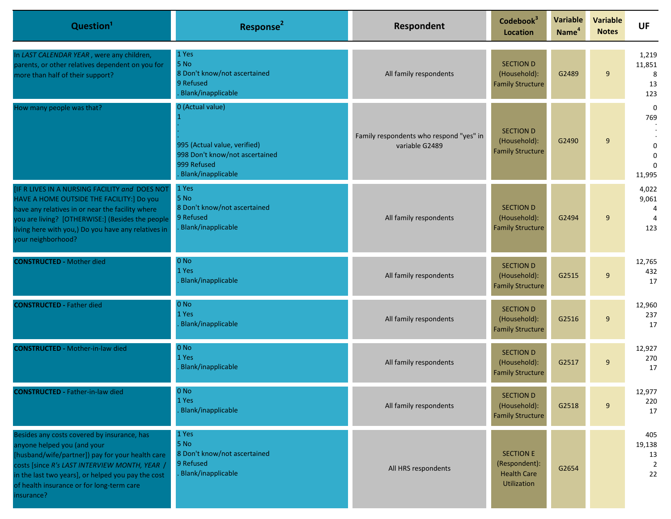| Question <sup>1</sup>                                                                                                                                                                                                                                                                            | Response <sup>2</sup>                                                                                                   | Respondent                                                | Codebook <sup>3</sup><br><b>Location</b>                               | <b>Variable</b><br>Name <sup>4</sup> | <b>Variable</b><br><b>Notes</b> | <b>UF</b>                                                                   |
|--------------------------------------------------------------------------------------------------------------------------------------------------------------------------------------------------------------------------------------------------------------------------------------------------|-------------------------------------------------------------------------------------------------------------------------|-----------------------------------------------------------|------------------------------------------------------------------------|--------------------------------------|---------------------------------|-----------------------------------------------------------------------------|
| In LAST CALENDAR YEAR, were any children,<br>parents, or other relatives dependent on you for<br>more than half of their support?                                                                                                                                                                | 1 Yes<br>5 No<br>8 Don't know/not ascertained<br>9 Refused<br>Blank/inapplicable                                        | All family respondents                                    | <b>SECTION D</b><br>(Household):<br><b>Family Structure</b>            | G2489                                | 9                               | 1,219<br>11,851<br>8<br>13<br>123                                           |
| How many people was that?                                                                                                                                                                                                                                                                        | 0 (Actual value)<br>995 (Actual value, verified)<br>998 Don't know/not ascertained<br>999 Refused<br>Blank/inapplicable | Family respondents who respond "yes" in<br>variable G2489 | <b>SECTION D</b><br>(Household):<br><b>Family Structure</b>            | G2490                                | 9                               | $\mathbf 0$<br>769<br>$\boldsymbol{0}$<br>$\mathbf 0$<br>$\Omega$<br>11,995 |
| IF R LIVES IN A NURSING FACILITY and DOES NOT<br>HAVE A HOME OUTSIDE THE FACILITY:] Do you<br>have any relatives in or near the facility where<br>you are living? [OTHERWISE:] (Besides the people<br>living here with you,) Do you have any relatives in<br>your neighborhood?                  | 1 Yes<br>5 No<br>8 Don't know/not ascertained<br>9 Refused<br>Blank/inapplicable                                        | All family respondents                                    | <b>SECTION D</b><br>(Household):<br><b>Family Structure</b>            | G2494                                | 9                               | 4,022<br>9,061<br>4<br>$\overline{4}$<br>123                                |
| <b>CONSTRUCTED - Mother died</b>                                                                                                                                                                                                                                                                 | $0$ No<br>1 Yes<br>Blank/inapplicable                                                                                   | All family respondents                                    | <b>SECTION D</b><br>(Household):<br><b>Family Structure</b>            | G2515                                | 9                               | 12,765<br>432<br>17                                                         |
| <b>CONSTRUCTED - Father died</b>                                                                                                                                                                                                                                                                 | 0 <sub>No</sub><br>1 Yes<br>Blank/inapplicable                                                                          | All family respondents                                    | <b>SECTION D</b><br>(Household):<br><b>Family Structure</b>            | G2516                                | 9                               | 12,960<br>237<br>17                                                         |
| <b>CONSTRUCTED - Mother-in-law died</b>                                                                                                                                                                                                                                                          | $0$ No<br>1 Yes<br>Blank/inapplicable                                                                                   | All family respondents                                    | <b>SECTION D</b><br>(Household):<br><b>Family Structure</b>            | G2517                                | 9                               | 12,927<br>270<br>17                                                         |
| <b>CONSTRUCTED - Father-in-law died</b>                                                                                                                                                                                                                                                          | $0$ No<br>1 Yes<br>Blank/inapplicable                                                                                   | All family respondents                                    | <b>SECTION D</b><br>(Household):<br><b>Family Structure</b>            | G2518                                | 9                               | 12,977<br>220<br>17                                                         |
| Besides any costs covered by insurance, has<br>anyone helped you (and your<br>[husband/wife/partner]) pay for your health care<br>costs [since R's LAST INTERVIEW MONTH, YEAR /<br>in the last two years], or helped you pay the cost<br>of health insurance or for long-term care<br>insurance? | 1 Yes<br>5 No<br>8 Don't know/not ascertained<br>9 Refused<br>Blank/inapplicable                                        | All HRS respondents                                       | <b>SECTION E</b><br>(Respondent):<br><b>Health Care</b><br>Utilization | G2654                                |                                 | 405<br>19,138<br>13<br>22                                                   |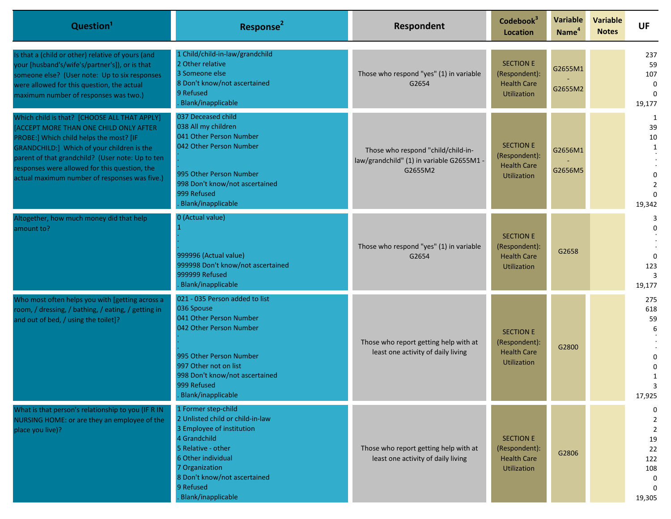| Question <sup>1</sup>                                                                                                                                                                                                                                                                                                                | Response <sup>2</sup>                                                                                                                                                                                                                 | Respondent                                                                                 | Codebook <sup>3</sup><br><b>Location</b>                                      | Variable<br>Name <sup>4</sup> | <b>Variable</b><br><b>Notes</b> | <b>UF</b>                                                                                         |
|--------------------------------------------------------------------------------------------------------------------------------------------------------------------------------------------------------------------------------------------------------------------------------------------------------------------------------------|---------------------------------------------------------------------------------------------------------------------------------------------------------------------------------------------------------------------------------------|--------------------------------------------------------------------------------------------|-------------------------------------------------------------------------------|-------------------------------|---------------------------------|---------------------------------------------------------------------------------------------------|
| Is that a (child or other) relative of yours (and<br>your [husband's/wife's/partner's]), or is that<br>someone else? (User note: Up to six responses<br>were allowed for this question, the actual<br>maximum number of responses was two.)                                                                                          | 1 Child/child-in-law/grandchild<br>2 Other relative<br>3 Someone else<br>8 Don't know/not ascertained<br>9 Refused<br>Blank/inapplicable                                                                                              | Those who respond "yes" (1) in variable<br>G2654                                           | <b>SECTION E</b><br>(Respondent):<br><b>Health Care</b><br><b>Utilization</b> | G2655M1<br>G2655M2            |                                 | 237<br>59<br>107<br>0<br>$\Omega$<br>19,177                                                       |
| Which child is that? [CHOOSE ALL THAT APPLY]<br>ACCEPT MORE THAN ONE CHILD ONLY AFTER<br>PROBE:] Which child helps the most? [IF<br>GRANDCHILD:] Which of your children is the<br>parent of that grandchild? (User note: Up to ten<br>responses were allowed for this question, the<br>actual maximum number of responses was five.) | 037 Deceased child<br>038 All my children<br>041 Other Person Number<br>042 Other Person Number<br>995 Other Person Number<br>998 Don't know/not ascertained<br>999 Refused<br>Blank/inapplicable                                     | Those who respond "child/child-in-<br>law/grandchild" (1) in variable G2655M1 -<br>G2655M2 | <b>SECTION E</b><br>(Respondent):<br><b>Health Care</b><br><b>Utilization</b> | G2656M1<br>G2656M5            |                                 | 1<br>39<br>10<br>1<br>$\overline{2}$<br>19,342                                                    |
| Altogether, how much money did that help<br>amount to?                                                                                                                                                                                                                                                                               | 0 (Actual value)<br>999996 (Actual value)<br>999998 Don't know/not ascertained<br>999999 Refused<br>Blank/inapplicable                                                                                                                | Those who respond "yes" (1) in variable<br>G2654                                           | <b>SECTION E</b><br>(Respondent):<br><b>Health Care</b><br><b>Utilization</b> | G2658                         |                                 | $\Omega$<br>123<br>19,177                                                                         |
| Who most often helps you with [getting across a<br>room, / dressing, / bathing, / eating, / getting in<br>and out of bed, / using the toilet]?                                                                                                                                                                                       | 021 - 035 Person added to list<br>036 Spouse<br>041 Other Person Number<br>042 Other Person Number<br>995 Other Person Number<br>997 Other not on list<br>998 Don't know/not ascertained<br>999 Refused<br>Blank/inapplicable         | Those who report getting help with at<br>least one activity of daily living                | <b>SECTION E</b><br>(Respondent):<br><b>Health Care</b><br>Utilization        | G2800                         |                                 | 275<br>618<br>59<br>6<br>17,925                                                                   |
| What is that person's relationship to you (IF R IN<br>NURSING HOME: or are they an employee of the<br>place you live)?                                                                                                                                                                                                               | 1 Former step-child<br>2 Unlisted child or child-in-law<br>3 Employee of institution<br>4 Grandchild<br>5 Relative - other<br>6 Other individual<br>7 Organization<br>8 Don't know/not ascertained<br>9 Refused<br>Blank/inapplicable | Those who report getting help with at<br>least one activity of daily living                | <b>SECTION E</b><br>(Respondent):<br><b>Health Care</b><br>Utilization        | G2806                         |                                 | 0<br>$\overline{2}$<br>$\overline{2}$<br>19<br>22<br>122<br>108<br>$\Omega$<br>$\Omega$<br>19,305 |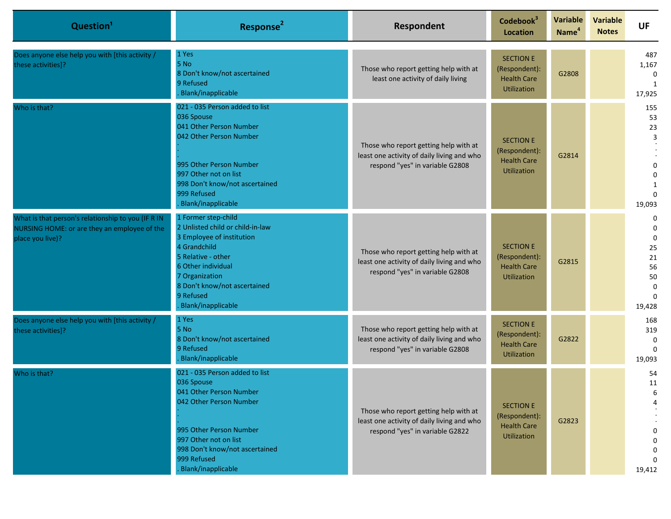| Question <sup>1</sup>                                                                                                  | Response <sup>2</sup>                                                                                                                                                                                                                 | Respondent                                                                                                             | Codebook <sup>3</sup><br><b>Location</b>                                      | Variable<br>Name <sup>4</sup> | <b>Variable</b><br><b>Notes</b> | <b>UF</b>                                                                       |
|------------------------------------------------------------------------------------------------------------------------|---------------------------------------------------------------------------------------------------------------------------------------------------------------------------------------------------------------------------------------|------------------------------------------------------------------------------------------------------------------------|-------------------------------------------------------------------------------|-------------------------------|---------------------------------|---------------------------------------------------------------------------------|
| Does anyone else help you with [this activity /<br>these activities]?                                                  | 1 Yes<br>5 No<br>8 Don't know/not ascertained<br>9 Refused<br>Blank/inapplicable                                                                                                                                                      | Those who report getting help with at<br>least one activity of daily living                                            | <b>SECTION E</b><br>(Respondent):<br><b>Health Care</b><br><b>Utilization</b> | G2808                         |                                 | 487<br>1,167<br>$\mathbf 0$<br>1<br>17,925                                      |
| Who is that?                                                                                                           | 021 - 035 Person added to list<br>036 Spouse<br>041 Other Person Number<br>042 Other Person Number<br>995 Other Person Number<br>997 Other not on list<br>998 Don't know/not ascertained<br>999 Refused<br>Blank/inapplicable         | Those who report getting help with at<br>least one activity of daily living and who<br>respond "yes" in variable G2808 | <b>SECTION E</b><br>(Respondent):<br><b>Health Care</b><br><b>Utilization</b> | G2814                         |                                 | 155<br>53<br>23<br>3<br>0<br>0<br>$\Omega$<br>19,093                            |
| What is that person's relationship to you (IF R IN<br>NURSING HOME: or are they an employee of the<br>place you live)? | 1 Former step-child<br>2 Unlisted child or child-in-law<br>3 Employee of institution<br>4 Grandchild<br>5 Relative - other<br>6 Other individual<br>7 Organization<br>8 Don't know/not ascertained<br>9 Refused<br>Blank/inapplicable | Those who report getting help with at<br>least one activity of daily living and who<br>respond "yes" in variable G2808 | <b>SECTION E</b><br>(Respondent):<br><b>Health Care</b><br><b>Utilization</b> | G2815                         |                                 | 0<br>0<br>$\mathbf 0$<br>25<br>21<br>56<br>50<br>$\Omega$<br>$\Omega$<br>19,428 |
| Does anyone else help you with [this activity /<br>these activities]?                                                  | 1 Yes<br>5 No<br>8 Don't know/not ascertained<br>9 Refused<br>Blank/inapplicable                                                                                                                                                      | Those who report getting help with at<br>least one activity of daily living and who<br>respond "yes" in variable G2808 | <b>SECTION E</b><br>(Respondent):<br><b>Health Care</b><br><b>Utilization</b> | G2822                         |                                 | 168<br>319<br>0<br>$\Omega$<br>19,093                                           |
| Who is that?                                                                                                           | 021 - 035 Person added to list<br>036 Spouse<br>041 Other Person Number<br>042 Other Person Number<br>995 Other Person Number<br>997 Other not on list<br>998 Don't know/not ascertained<br>999 Refused<br>Blank/inapplicable         | Those who report getting help with at<br>least one activity of daily living and who<br>respond "yes" in variable G2822 | <b>SECTION E</b><br>(Respondent):<br><b>Health Care</b><br><b>Utilization</b> | G2823                         |                                 | 54<br>11<br>0<br>0<br>0<br>$\Omega$<br>19,412                                   |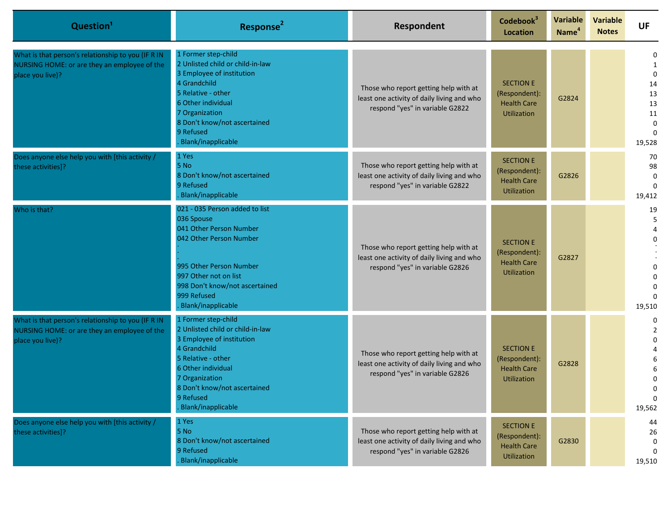| Question <sup>1</sup>                                                                                                  | Response <sup>2</sup>                                                                                                                                                                                                                 | Respondent                                                                                                             | Codebook <sup>3</sup><br><b>Location</b>                                      | Variable<br>Name <sup>4</sup> | <b>Variable</b><br><b>Notes</b> | <b>UF</b>                                                                       |
|------------------------------------------------------------------------------------------------------------------------|---------------------------------------------------------------------------------------------------------------------------------------------------------------------------------------------------------------------------------------|------------------------------------------------------------------------------------------------------------------------|-------------------------------------------------------------------------------|-------------------------------|---------------------------------|---------------------------------------------------------------------------------|
| What is that person's relationship to you (IF R IN<br>NURSING HOME: or are they an employee of the<br>place you live)? | 1 Former step-child<br>2 Unlisted child or child-in-law<br>3 Employee of institution<br>4 Grandchild<br>5 Relative - other<br>6 Other individual<br>7 Organization<br>8 Don't know/not ascertained<br>9 Refused<br>Blank/inapplicable | Those who report getting help with at<br>least one activity of daily living and who<br>respond "yes" in variable G2822 | <b>SECTION E</b><br>(Respondent):<br><b>Health Care</b><br><b>Utilization</b> | G2824                         |                                 | 0<br>1<br>$\mathbf 0$<br>14<br>13<br>13<br>11<br>$\Omega$<br>$\Omega$<br>19,528 |
| Does anyone else help you with [this activity /<br>these activities]?                                                  | 1 Yes<br>5 No<br>8 Don't know/not ascertained<br>9 Refused<br>Blank/inapplicable                                                                                                                                                      | Those who report getting help with at<br>least one activity of daily living and who<br>respond "yes" in variable G2822 | <b>SECTION E</b><br>(Respondent):<br><b>Health Care</b><br>Utilization        | G2826                         |                                 | 70<br>98<br>0<br>$\Omega$<br>19,412                                             |
| Who is that?                                                                                                           | 021 - 035 Person added to list<br>036 Spouse<br>041 Other Person Number<br>042 Other Person Number<br>995 Other Person Number<br>997 Other not on list<br>998 Don't know/not ascertained<br>999 Refused<br>Blank/inapplicable         | Those who report getting help with at<br>least one activity of daily living and who<br>respond "yes" in variable G2826 | <b>SECTION E</b><br>(Respondent):<br><b>Health Care</b><br><b>Utilization</b> | G2827                         |                                 | 19<br>5<br>4<br>0<br>0<br>19,510                                                |
| What is that person's relationship to you (IF R IN<br>NURSING HOME: or are they an employee of the<br>place you live)? | 1 Former step-child<br>2 Unlisted child or child-in-law<br>3 Employee of institution<br>4 Grandchild<br>5 Relative - other<br>6 Other individual<br>7 Organization<br>8 Don't know/not ascertained<br>9 Refused<br>Blank/inapplicable | Those who report getting help with at<br>least one activity of daily living and who<br>respond "yes" in variable G2826 | <b>SECTION E</b><br>(Respondent):<br><b>Health Care</b><br>Utilization        | G2828                         |                                 | 0<br>2<br>0<br>6<br>$\Omega$<br>U<br>0<br>19,562                                |
| Does anyone else help you with [this activity /<br>these activities]?                                                  | 1 Yes<br>5 No<br>8 Don't know/not ascertained<br>9 Refused<br>Blank/inapplicable                                                                                                                                                      | Those who report getting help with at<br>least one activity of daily living and who<br>respond "yes" in variable G2826 | <b>SECTION E</b><br>(Respondent):<br><b>Health Care</b><br><b>Utilization</b> | G2830                         |                                 | 44<br>26<br>0<br>0<br>19,510                                                    |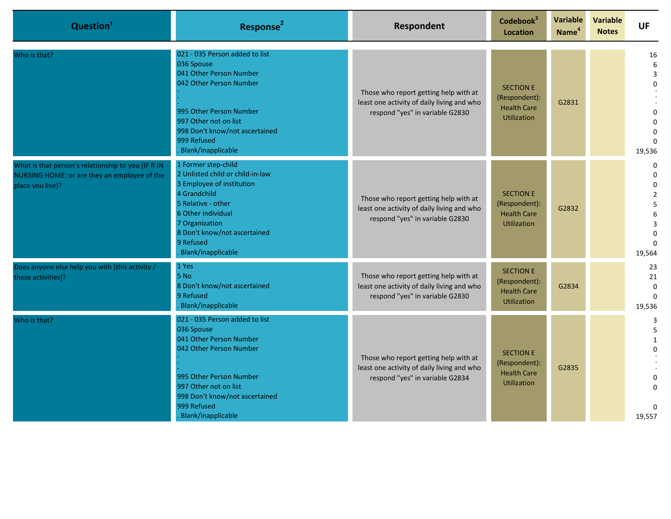| Question <sup>1</sup>                                                                                                  | Response <sup>2</sup>                                                                                                                                                                                                                 | Respondent                                                                                                             | Codebook <sup>3</sup><br><b>Location</b>                                      | Variable<br>Name <sup>4</sup> | <b>Variable</b><br><b>Notes</b> | <b>UF</b>                                                                               |
|------------------------------------------------------------------------------------------------------------------------|---------------------------------------------------------------------------------------------------------------------------------------------------------------------------------------------------------------------------------------|------------------------------------------------------------------------------------------------------------------------|-------------------------------------------------------------------------------|-------------------------------|---------------------------------|-----------------------------------------------------------------------------------------|
| Who is that?                                                                                                           | 021 - 035 Person added to list<br>036 Spouse<br>041 Other Person Number<br>042 Other Person Number<br>995 Other Person Number<br>997 Other not on list<br>998 Don't know/not ascertained<br>999 Refused<br>Blank/inapplicable         | Those who report getting help with at<br>least one activity of daily living and who<br>respond "yes" in variable G2830 | <b>SECTION E</b><br>(Respondent):<br><b>Health Care</b><br><b>Utilization</b> | G2831                         |                                 | 16<br>6<br>3<br>U<br>$\Omega$<br>$\Omega$<br>19,536                                     |
| What is that person's relationship to you (IF R IN<br>NURSING HOME: or are they an employee of the<br>place you live)? | 1 Former step-child<br>2 Unlisted child or child-in-law<br>3 Employee of institution<br>4 Grandchild<br>5 Relative - other<br>6 Other individual<br>7 Organization<br>8 Don't know/not ascertained<br>9 Refused<br>Blank/inapplicable | Those who report getting help with at<br>least one activity of daily living and who<br>respond "yes" in variable G2830 | <b>SECTION E</b><br>(Respondent):<br><b>Health Care</b><br><b>Utilization</b> | G2832                         |                                 | $\Omega$<br>$\Omega$<br>$\Omega$<br>$\overline{2}$<br>5<br>6<br>3<br>$\Omega$<br>19,564 |
| Does anyone else help you with [this activity /<br>these activities]?                                                  | 1 Yes<br>5 No<br>8 Don't know/not ascertained<br>9 Refused<br>Blank/inapplicable                                                                                                                                                      | Those who report getting help with at<br>least one activity of daily living and who<br>respond "yes" in variable G2830 | <b>SECTION E</b><br>(Respondent):<br><b>Health Care</b><br><b>Utilization</b> | G2834                         |                                 | 23<br>21<br>$\Omega$<br>$\Omega$<br>19,536                                              |
| Who is that?                                                                                                           | 021 - 035 Person added to list<br>036 Spouse<br>041 Other Person Number<br>042 Other Person Number<br>995 Other Person Number<br>997 Other not on list<br>998 Don't know/not ascertained<br>999 Refused<br>Blank/inapplicable         | Those who report getting help with at<br>least one activity of daily living and who<br>respond "yes" in variable G2834 | <b>SECTION E</b><br>(Respondent):<br><b>Health Care</b><br><b>Utilization</b> | G2835                         |                                 | 3<br>5<br>$\mathbf{1}$<br>$\Omega$<br>0<br>19,557                                       |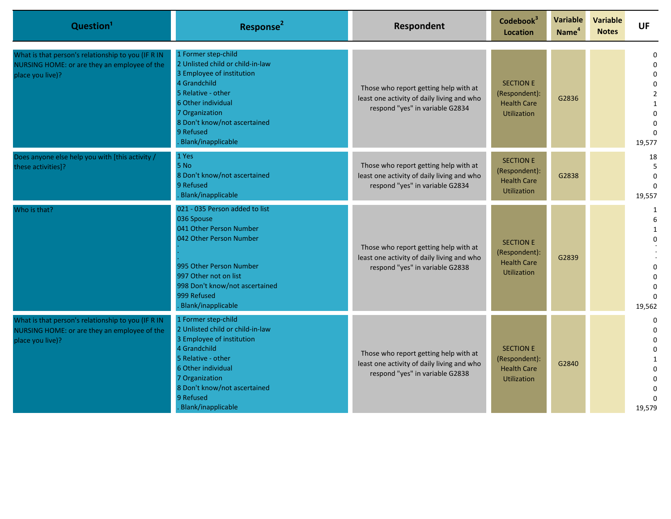| Question <sup>1</sup>                                                                                                  | Response <sup>2</sup>                                                                                                                                                                                                                 | Respondent                                                                                                             | Codebook <sup>3</sup><br><b>Location</b>                                      | Variable<br>Name <sup>4</sup> | <b>Variable</b><br><b>Notes</b> | <b>UF</b>                                                                                                                |
|------------------------------------------------------------------------------------------------------------------------|---------------------------------------------------------------------------------------------------------------------------------------------------------------------------------------------------------------------------------------|------------------------------------------------------------------------------------------------------------------------|-------------------------------------------------------------------------------|-------------------------------|---------------------------------|--------------------------------------------------------------------------------------------------------------------------|
| What is that person's relationship to you (IF R IN<br>NURSING HOME: or are they an employee of the<br>place you live)? | 1 Former step-child<br>2 Unlisted child or child-in-law<br>3 Employee of institution<br>4 Grandchild<br>5 Relative - other<br>6 Other individual<br>7 Organization<br>8 Don't know/not ascertained<br>9 Refused<br>Blank/inapplicable | Those who report getting help with at<br>least one activity of daily living and who<br>respond "yes" in variable G2834 | <b>SECTION E</b><br>(Respondent):<br><b>Health Care</b><br><b>Utilization</b> | G2836                         |                                 | 0<br>$\Omega$<br>$\mathbf 0$<br>$\Omega$<br>$\overline{2}$<br>$\mathbf{1}$<br>$\Omega$<br>$\Omega$<br>$\Omega$<br>19,577 |
| Does anyone else help you with [this activity /<br>these activities]?                                                  | 1 Yes<br>5 No<br>8 Don't know/not ascertained<br>9 Refused<br>Blank/inapplicable                                                                                                                                                      | Those who report getting help with at<br>least one activity of daily living and who<br>respond "yes" in variable G2834 | <b>SECTION E</b><br>(Respondent):<br><b>Health Care</b><br><b>Utilization</b> | G2838                         |                                 | 18<br>5<br>$\mathbf 0$<br>$\Omega$<br>19,557                                                                             |
| Who is that?                                                                                                           | 021 - 035 Person added to list<br>036 Spouse<br>041 Other Person Number<br>042 Other Person Number<br>995 Other Person Number<br>997 Other not on list<br>998 Don't know/not ascertained<br>999 Refused<br>Blank/inapplicable         | Those who report getting help with at<br>least one activity of daily living and who<br>respond "yes" in variable G2838 | <b>SECTION E</b><br>(Respondent):<br><b>Health Care</b><br><b>Utilization</b> | G2839                         |                                 | $\mathbf{1}$<br>6<br>$\mathbf{1}$<br>$\Omega$<br>$\Omega$<br>$\Omega$<br>$\Omega$<br>$\Omega$<br>19,562                  |
| What is that person's relationship to you (IF R IN<br>NURSING HOME: or are they an employee of the<br>place you live)? | 1 Former step-child<br>2 Unlisted child or child-in-law<br>3 Employee of institution<br>4 Grandchild<br>5 Relative - other<br>6 Other individual<br>7 Organization<br>8 Don't know/not ascertained<br>9 Refused<br>Blank/inapplicable | Those who report getting help with at<br>least one activity of daily living and who<br>respond "yes" in variable G2838 | <b>SECTION E</b><br>(Respondent):<br><b>Health Care</b><br><b>Utilization</b> | G2840                         |                                 | $\mathbf 0$<br>$\Omega$<br>$\Omega$<br>$\mathbf 0$<br>$\Omega$<br>$\Omega$<br>$\Omega$<br>19,579                         |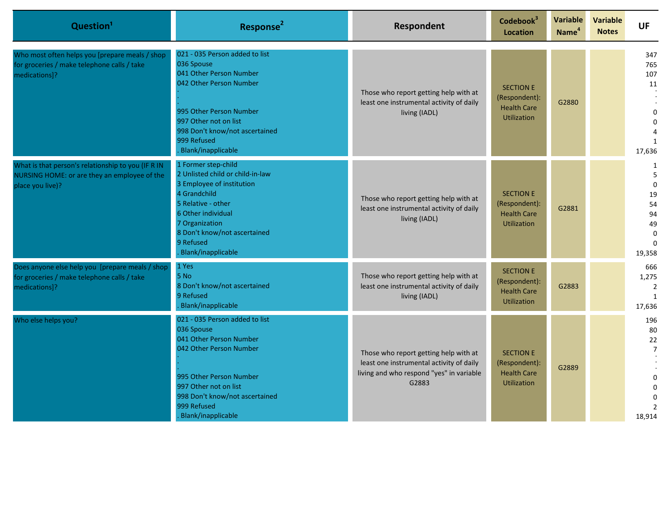| Question <sup>1</sup>                                                                                                  | Response <sup>2</sup>                                                                                                                                                                                                                 | Respondent                                                                                                                             | Codebook <sup>3</sup><br><b>Location</b>                                      | Variable<br>Name <sup>4</sup> | <b>Variable</b><br><b>Notes</b> | <b>UF</b>                                                                    |
|------------------------------------------------------------------------------------------------------------------------|---------------------------------------------------------------------------------------------------------------------------------------------------------------------------------------------------------------------------------------|----------------------------------------------------------------------------------------------------------------------------------------|-------------------------------------------------------------------------------|-------------------------------|---------------------------------|------------------------------------------------------------------------------|
| Who most often helps you [prepare meals / shop<br>for groceries / make telephone calls / take<br>medications]?         | 021 - 035 Person added to list<br>036 Spouse<br>041 Other Person Number<br>042 Other Person Number<br>995 Other Person Number<br>997 Other not on list<br>998 Don't know/not ascertained<br>999 Refused<br>Blank/inapplicable         | Those who report getting help with at<br>least one instrumental activity of daily<br>living (IADL)                                     | <b>SECTION E</b><br>(Respondent):<br><b>Health Care</b><br><b>Utilization</b> | G2880                         |                                 | 347<br>765<br>107<br>11<br>$\Omega$<br>$\Omega$<br>$\mathbf{1}$<br>17,636    |
| What is that person's relationship to you (IF R IN<br>NURSING HOME: or are they an employee of the<br>place you live)? | 1 Former step-child<br>2 Unlisted child or child-in-law<br>3 Employee of institution<br>4 Grandchild<br>5 Relative - other<br>6 Other individual<br>7 Organization<br>8 Don't know/not ascertained<br>9 Refused<br>Blank/inapplicable | Those who report getting help with at<br>least one instrumental activity of daily<br>living (IADL)                                     | <b>SECTION E</b><br>(Respondent):<br><b>Health Care</b><br><b>Utilization</b> | G2881                         |                                 | 1<br>5<br>$\Omega$<br>19<br>54<br>94<br>49<br>$\Omega$<br>$\Omega$<br>19,358 |
| Does anyone else help you [prepare meals / shop<br>for groceries / make telephone calls / take<br>medications]?        | 1 Yes<br>5 No<br>8 Don't know/not ascertained<br>9 Refused<br>Blank/inapplicable                                                                                                                                                      | Those who report getting help with at<br>least one instrumental activity of daily<br>living (IADL)                                     | <b>SECTION E</b><br>(Respondent):<br><b>Health Care</b><br><b>Utilization</b> | G2883                         |                                 | 666<br>1,275<br>$\overline{2}$<br>$\mathbf{1}$<br>17,636                     |
| Who else helps you?                                                                                                    | 021 - 035 Person added to list<br>036 Spouse<br>041 Other Person Number<br>042 Other Person Number<br>995 Other Person Number<br>997 Other not on list<br>998 Don't know/not ascertained<br>999 Refused<br>Blank/inapplicable         | Those who report getting help with at<br>least one instrumental activity of daily<br>living and who respond "yes" in variable<br>G2883 | <b>SECTION E</b><br>(Respondent):<br><b>Health Care</b><br><b>Utilization</b> | G2889                         |                                 | 196<br>80<br>22<br>$\overline{7}$<br>18,914                                  |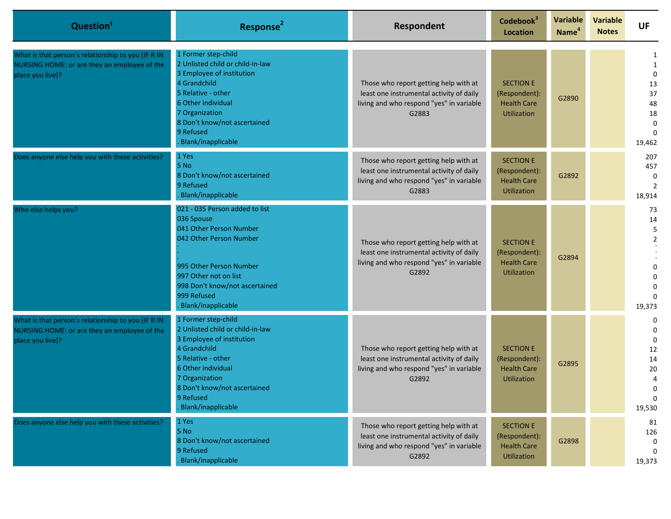| Question <sup>1</sup>                                                                                                  | Response <sup>2</sup>                                                                                                                                                                                                                 | Respondent                                                                                                                             | Codebook <sup>3</sup><br><b>Location</b>                                      | Variable<br>Name <sup>4</sup> | <b>Variable</b><br><b>Notes</b> | <b>UF</b>                                                                       |
|------------------------------------------------------------------------------------------------------------------------|---------------------------------------------------------------------------------------------------------------------------------------------------------------------------------------------------------------------------------------|----------------------------------------------------------------------------------------------------------------------------------------|-------------------------------------------------------------------------------|-------------------------------|---------------------------------|---------------------------------------------------------------------------------|
| What is that person's relationship to you (IF R IN<br>NURSING HOME: or are they an employee of the<br>place you live)? | 1 Former step-child<br>2 Unlisted child or child-in-law<br>3 Employee of institution<br>4 Grandchild<br>5 Relative - other<br>6 Other individual<br>7 Organization<br>8 Don't know/not ascertained<br>9 Refused<br>Blank/inapplicable | Those who report getting help with at<br>least one instrumental activity of daily<br>living and who respond "yes" in variable<br>G2883 | <b>SECTION E</b><br>(Respondent):<br><b>Health Care</b><br><b>Utilization</b> | G2890                         |                                 | 1<br>1<br>$\mathbf 0$<br>13<br>37<br>48<br>18<br>$\Omega$<br>$\Omega$<br>19,462 |
| Does anyone else help you with these activities?                                                                       | 1 Yes<br>5 No<br>8 Don't know/not ascertained<br>9 Refused<br>Blank/inapplicable                                                                                                                                                      | Those who report getting help with at<br>least one instrumental activity of daily<br>living and who respond "yes" in variable<br>G2883 | <b>SECTION E</b><br>(Respondent):<br><b>Health Care</b><br><b>Utilization</b> | G2892                         |                                 | 207<br>457<br>0<br>$\overline{2}$<br>18,914                                     |
| Who else helps you?                                                                                                    | 021 - 035 Person added to list<br>036 Spouse<br>041 Other Person Number<br>042 Other Person Number<br>995 Other Person Number<br>997 Other not on list<br>998 Don't know/not ascertained<br>999 Refused<br>Blank/inapplicable         | Those who report getting help with at<br>least one instrumental activity of daily<br>living and who respond "yes" in variable<br>G2892 | <b>SECTION E</b><br>(Respondent):<br><b>Health Care</b><br><b>Utilization</b> | G2894                         |                                 | 73<br>14<br>5<br>$\overline{2}$<br>19,373                                       |
| What is that person's relationship to you (IF R IN<br>NURSING HOME: or are they an employee of the<br>place you live)? | 1 Former step-child<br>2 Unlisted child or child-in-law<br>3 Employee of institution<br>4 Grandchild<br>5 Relative - other<br>6 Other individual<br>7 Organization<br>8 Don't know/not ascertained<br>9 Refused<br>Blank/inapplicable | Those who report getting help with at<br>least one instrumental activity of daily<br>living and who respond "yes" in variable<br>G2892 | <b>SECTION E</b><br>(Respondent):<br><b>Health Care</b><br><b>Utilization</b> | G2895                         |                                 | 0<br>0<br>$\mathbf 0$<br>12<br>14<br>20<br>4<br>0<br>0<br>19,530                |
| Does anyone else help you with these activities?                                                                       | 1 Yes<br>5 No<br>8 Don't know/not ascertained<br>9 Refused<br>Blank/inapplicable                                                                                                                                                      | Those who report getting help with at<br>least one instrumental activity of daily<br>living and who respond "yes" in variable<br>G2892 | <b>SECTION E</b><br>(Respondent):<br><b>Health Care</b><br>Utilization        | G2898                         |                                 | 81<br>126<br>0<br>0<br>19,373                                                   |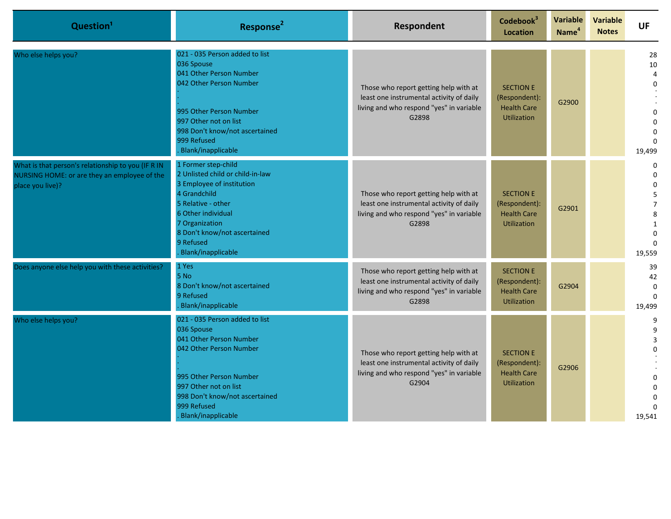| Question <sup>1</sup>                                                                                                  | Response <sup>2</sup>                                                                                                                                                                                                                        | Respondent                                                                                                                             | Codebook <sup>3</sup><br><b>Location</b>                                      | Variable<br>Name <sup>4</sup> | <b>Variable</b><br><b>Notes</b> | <b>UF</b>                                                                                           |
|------------------------------------------------------------------------------------------------------------------------|----------------------------------------------------------------------------------------------------------------------------------------------------------------------------------------------------------------------------------------------|----------------------------------------------------------------------------------------------------------------------------------------|-------------------------------------------------------------------------------|-------------------------------|---------------------------------|-----------------------------------------------------------------------------------------------------|
| Who else helps you?                                                                                                    | 021 - 035 Person added to list<br>036 Spouse<br>041 Other Person Number<br>042 Other Person Number<br>995 Other Person Number<br>997 Other not on list<br>998 Don't know/not ascertained<br>999 Refused<br>Blank/inapplicable                | Those who report getting help with at<br>least one instrumental activity of daily<br>living and who respond "yes" in variable<br>G2898 | <b>SECTION E</b><br>(Respondent):<br><b>Health Care</b><br><b>Utilization</b> | G2900                         |                                 | 28<br>10<br>$\overline{4}$<br>$\Omega$<br>$\Omega$<br>19,499                                        |
| What is that person's relationship to you (IF R IN<br>NURSING HOME: or are they an employee of the<br>place you live)? | 1 Former step-child<br>2 Unlisted child or child-in-law<br>3 Employee of institution<br>4 Grandchild<br>5 Relative - other<br>6 Other individual<br>7 Organization<br>8 Don't know/not ascertained<br>9 Refused<br><b>Blank/inapplicable</b> | Those who report getting help with at<br>least one instrumental activity of daily<br>living and who respond "yes" in variable<br>G2898 | <b>SECTION E</b><br>(Respondent):<br><b>Health Care</b><br><b>Utilization</b> | G2901                         |                                 | $\Omega$<br>$\Omega$<br>$\Omega$<br>5<br>$\overline{7}$<br>8<br>1<br>$\Omega$<br>$\Omega$<br>19,559 |
| Does anyone else help you with these activities?                                                                       | 1 Yes<br>5 No<br>8 Don't know/not ascertained<br>9 Refused<br>Blank/inapplicable                                                                                                                                                             | Those who report getting help with at<br>least one instrumental activity of daily<br>living and who respond "yes" in variable<br>G2898 | <b>SECTION E</b><br>(Respondent):<br><b>Health Care</b><br><b>Utilization</b> | G2904                         |                                 | 39<br>42<br>$\Omega$<br>$\Omega$<br>19,499                                                          |
| Who else helps you?                                                                                                    | 021 - 035 Person added to list<br>036 Spouse<br>041 Other Person Number<br>042 Other Person Number<br>995 Other Person Number<br>997 Other not on list<br>998 Don't know/not ascertained<br>999 Refused<br>Blank/inapplicable                | Those who report getting help with at<br>least one instrumental activity of daily<br>living and who respond "yes" in variable<br>G2904 | <b>SECTION E</b><br>(Respondent):<br><b>Health Care</b><br><b>Utilization</b> | G2906                         |                                 | 9<br>9<br>3<br>19,541                                                                               |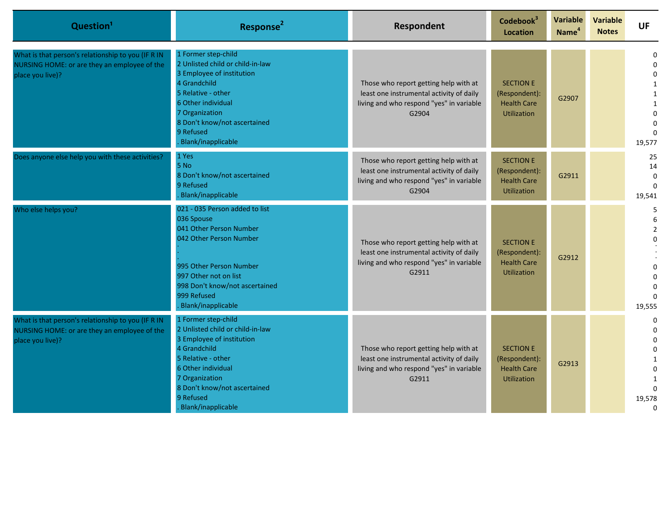| Question <sup>1</sup>                                                                                                  | Response <sup>2</sup>                                                                                                                                                                                                                 | Respondent                                                                                                                             | Codebook <sup>3</sup><br><b>Location</b>                                      | Variable<br>Name <sup>4</sup> | <b>Variable</b><br><b>Notes</b> | <b>UF</b>                                                                                                          |
|------------------------------------------------------------------------------------------------------------------------|---------------------------------------------------------------------------------------------------------------------------------------------------------------------------------------------------------------------------------------|----------------------------------------------------------------------------------------------------------------------------------------|-------------------------------------------------------------------------------|-------------------------------|---------------------------------|--------------------------------------------------------------------------------------------------------------------|
| What is that person's relationship to you (IF R IN<br>NURSING HOME: or are they an employee of the<br>place you live)? | 1 Former step-child<br>2 Unlisted child or child-in-law<br>3 Employee of institution<br>4 Grandchild<br>5 Relative - other<br>6 Other individual<br>7 Organization<br>8 Don't know/not ascertained<br>9 Refused<br>Blank/inapplicable | Those who report getting help with at<br>least one instrumental activity of daily<br>living and who respond "yes" in variable<br>G2904 | <b>SECTION E</b><br>(Respondent):<br><b>Health Care</b><br><b>Utilization</b> | G2907                         |                                 | 0<br>$\mathbf 0$<br>$\mathbf 0$<br>1<br>$\mathbf{1}$<br>$\mathbf{1}$<br>$\Omega$<br>$\Omega$<br>$\Omega$<br>19,577 |
| Does anyone else help you with these activities?                                                                       | 1 Yes<br>5 No<br>8 Don't know/not ascertained<br>9 Refused<br>Blank/inapplicable                                                                                                                                                      | Those who report getting help with at<br>least one instrumental activity of daily<br>living and who respond "yes" in variable<br>G2904 | <b>SECTION E</b><br>(Respondent):<br><b>Health Care</b><br><b>Utilization</b> | G2911                         |                                 | 25<br>14<br>$\mathbf 0$<br>$\Omega$<br>19,541                                                                      |
| Who else helps you?                                                                                                    | 021 - 035 Person added to list<br>036 Spouse<br>041 Other Person Number<br>042 Other Person Number<br>995 Other Person Number<br>997 Other not on list<br>998 Don't know/not ascertained<br>999 Refused<br>Blank/inapplicable         | Those who report getting help with at<br>least one instrumental activity of daily<br>living and who respond "yes" in variable<br>G2911 | <b>SECTION E</b><br>(Respondent):<br><b>Health Care</b><br><b>Utilization</b> | G2912                         |                                 | 5<br>6<br>$\overline{2}$<br>$\Omega$<br>$\Omega$<br>$\Omega$<br>$\Omega$<br>$\Omega$<br>19,555                     |
| What is that person's relationship to you (IF R IN<br>NURSING HOME: or are they an employee of the<br>place you live)? | 1 Former step-child<br>2 Unlisted child or child-in-law<br>3 Employee of institution<br>4 Grandchild<br>5 Relative - other<br>6 Other individual<br>7 Organization<br>8 Don't know/not ascertained<br>9 Refused<br>Blank/inapplicable | Those who report getting help with at<br>least one instrumental activity of daily<br>living and who respond "yes" in variable<br>G2911 | <b>SECTION E</b><br>(Respondent):<br><b>Health Care</b><br><b>Utilization</b> | G2913                         |                                 | 0<br>$\Omega$<br>$\Omega$<br>$\mathbf 0$<br>$\mathbf{1}$<br>$\Omega$<br>$\Omega$<br>19,578<br>$\mathbf 0$          |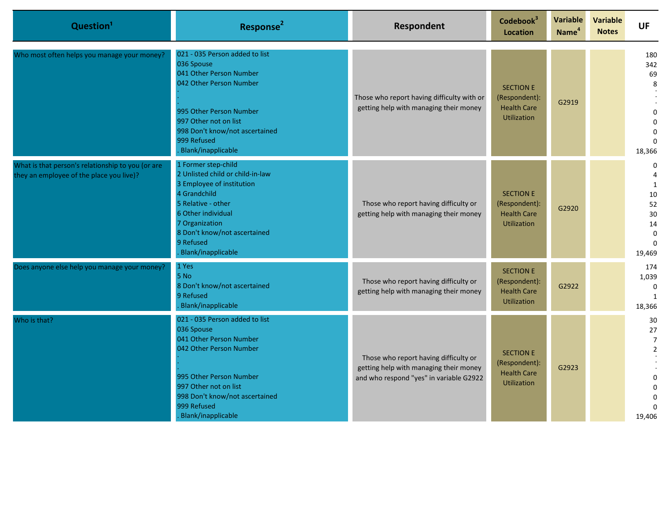| Question <sup>1</sup>                                                                         | Response <sup>2</sup>                                                                                                                                                                                                                 | Respondent                                                                                                                 | Codebook <sup>3</sup><br><b>Location</b>                                      | Variable<br>Name <sup>4</sup> | <b>Variable</b><br><b>Notes</b> | <b>UF</b>                                                                                       |
|-----------------------------------------------------------------------------------------------|---------------------------------------------------------------------------------------------------------------------------------------------------------------------------------------------------------------------------------------|----------------------------------------------------------------------------------------------------------------------------|-------------------------------------------------------------------------------|-------------------------------|---------------------------------|-------------------------------------------------------------------------------------------------|
| Who most often helps you manage your money?                                                   | 021 - 035 Person added to list<br>036 Spouse<br>041 Other Person Number<br>042 Other Person Number<br>995 Other Person Number<br>997 Other not on list<br>998 Don't know/not ascertained<br>999 Refused<br>Blank/inapplicable         | Those who report having difficulty with or<br>getting help with managing their money                                       | <b>SECTION E</b><br>(Respondent):<br><b>Health Care</b><br><b>Utilization</b> | G2919                         |                                 | 180<br>342<br>69<br>8<br>$\Omega$<br>$\Omega$<br>$\Omega$<br>$\Omega$<br>18,366                 |
| What is that person's relationship to you (or are<br>they an employee of the place you live)? | 1 Former step-child<br>2 Unlisted child or child-in-law<br>3 Employee of institution<br>4 Grandchild<br>5 Relative - other<br>6 Other individual<br>7 Organization<br>8 Don't know/not ascertained<br>9 Refused<br>Blank/inapplicable | Those who report having difficulty or<br>getting help with managing their money                                            | <b>SECTION E</b><br>(Respondent):<br><b>Health Care</b><br><b>Utilization</b> | G2920                         |                                 | $\mathbf 0$<br>4<br>$\mathbf{1}$<br>10<br>52<br>30<br>14<br>$\Omega$<br>$\Omega$<br>19,469      |
| Does anyone else help you manage your money?                                                  | 1 Yes<br>5 No<br>8 Don't know/not ascertained<br>9 Refused<br>Blank/inapplicable                                                                                                                                                      | Those who report having difficulty or<br>getting help with managing their money                                            | <b>SECTION E</b><br>(Respondent):<br><b>Health Care</b><br><b>Utilization</b> | G2922                         |                                 | 174<br>1,039<br>$\boldsymbol{0}$<br>$\mathbf{1}$<br>18,366                                      |
| Who is that?                                                                                  | 021 - 035 Person added to list<br>036 Spouse<br>041 Other Person Number<br>042 Other Person Number<br>995 Other Person Number<br>997 Other not on list<br>998 Don't know/not ascertained<br>999 Refused<br>Blank/inapplicable         | Those who report having difficulty or<br>getting help with managing their money<br>and who respond "yes" in variable G2922 | <b>SECTION E</b><br>(Respondent):<br><b>Health Care</b><br><b>Utilization</b> | G2923                         |                                 | 30<br>27<br>$\overline{7}$<br>$\overline{2}$<br>$\Omega$<br>$\Omega$<br>$\Omega$<br>0<br>19,406 |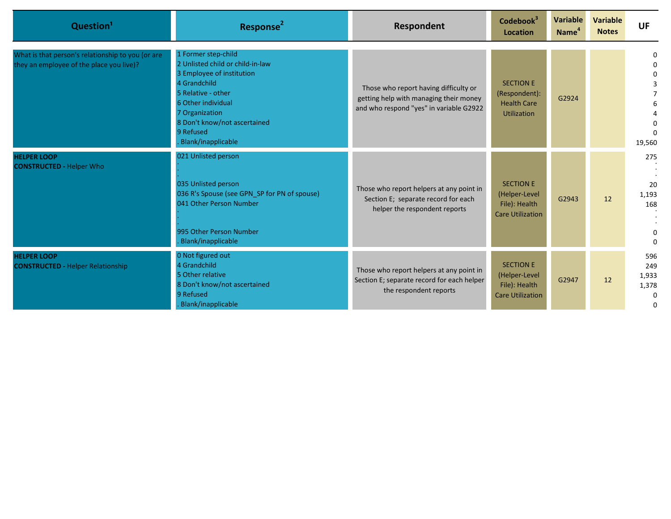| Question <sup>1</sup>                                                                         | Response <sup>2</sup>                                                                                                                                                                                                                 | Respondent                                                                                                                 | Codebook <sup>3</sup><br>Location                                             | <b>Variable</b><br>Name <sup>4</sup> | <b>Variable</b><br><b>Notes</b> | <b>UF</b>                                     |
|-----------------------------------------------------------------------------------------------|---------------------------------------------------------------------------------------------------------------------------------------------------------------------------------------------------------------------------------------|----------------------------------------------------------------------------------------------------------------------------|-------------------------------------------------------------------------------|--------------------------------------|---------------------------------|-----------------------------------------------|
| What is that person's relationship to you (or are<br>they an employee of the place you live)? | 1 Former step-child<br>2 Unlisted child or child-in-law<br>3 Employee of institution<br>4 Grandchild<br>5 Relative - other<br>6 Other individual<br>7 Organization<br>8 Don't know/not ascertained<br>9 Refused<br>Blank/inapplicable | Those who report having difficulty or<br>getting help with managing their money<br>and who respond "yes" in variable G2922 | <b>SECTION E</b><br>(Respondent):<br><b>Health Care</b><br><b>Utilization</b> | G2924                                |                                 | 0<br>19,560                                   |
| <b>HELPER LOOP</b><br><b>CONSTRUCTED - Helper Who</b>                                         | 021 Unlisted person<br>035 Unlisted person<br>036 R's Spouse (see GPN SP for PN of spouse)<br>041 Other Person Number<br>995 Other Person Number<br>Blank/inapplicable                                                                | Those who report helpers at any point in<br>Section E; separate record for each<br>helper the respondent reports           | <b>SECTION E</b><br>(Helper-Level<br>File): Health<br><b>Care Utilization</b> | G2943                                | 12                              | 275<br>20<br>1,193<br>168<br>$\Omega$         |
| <b>HELPER LOOP</b><br><b>CONSTRUCTED - Helper Relationship</b>                                | 0 Not figured out<br>4 Grandchild<br>5 Other relative<br>8 Don't know/not ascertained<br>9 Refused<br>Blank/inapplicable                                                                                                              | Those who report helpers at any point in<br>Section E; separate record for each helper<br>the respondent reports           | <b>SECTION E</b><br>(Helper-Level<br>File): Health<br><b>Care Utilization</b> | G2947                                | 12                              | 596<br>249<br>1,933<br>1,378<br>$\Omega$<br>0 |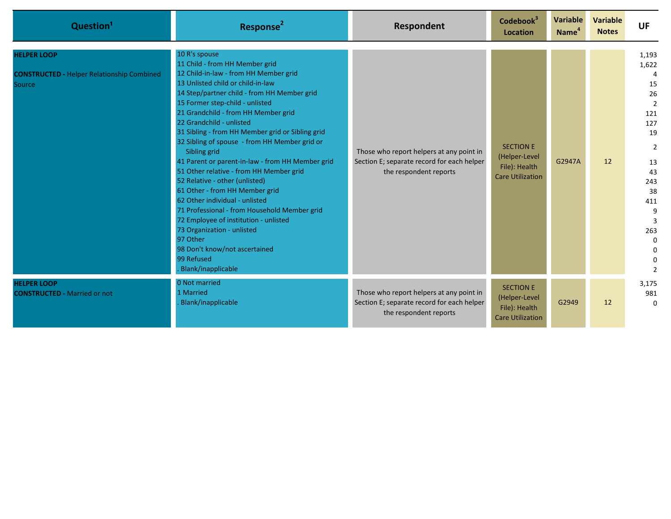| Question <sup>1</sup>                                                             | Response <sup>2</sup>                                                                                                                                                                                                                                                                                                                                                                                                                                                                                                                                                                                                                                                                                                                                                                                                | Respondent                                                                                                       | Codebook <sup>3</sup><br><b>Location</b>                                      | Variable<br>Name <sup>4</sup> | <b>Variable</b><br><b>Notes</b> | <b>UF</b>                                                                                                                                                               |
|-----------------------------------------------------------------------------------|----------------------------------------------------------------------------------------------------------------------------------------------------------------------------------------------------------------------------------------------------------------------------------------------------------------------------------------------------------------------------------------------------------------------------------------------------------------------------------------------------------------------------------------------------------------------------------------------------------------------------------------------------------------------------------------------------------------------------------------------------------------------------------------------------------------------|------------------------------------------------------------------------------------------------------------------|-------------------------------------------------------------------------------|-------------------------------|---------------------------------|-------------------------------------------------------------------------------------------------------------------------------------------------------------------------|
| <b>HELPER LOOP</b><br><b>CONSTRUCTED - Helper Relationship Combined</b><br>Source | 10 R's spouse<br>11 Child - from HH Member grid<br>12 Child-in-law - from HH Member grid<br>13 Unlisted child or child-in-law<br>14 Step/partner child - from HH Member grid<br>15 Former step-child - unlisted<br>21 Grandchild - from HH Member grid<br>22 Grandchild - unlisted<br>31 Sibling - from HH Member grid or Sibling grid<br>32 Sibling of spouse - from HH Member grid or<br>Sibling grid<br>41 Parent or parent-in-law - from HH Member grid<br>51 Other relative - from HH Member grid<br>52 Relative - other (unlisted)<br>61 Other - from HH Member grid<br>62 Other individual - unlisted<br>71 Professional - from Household Member grid<br>72 Employee of institution - unlisted<br>73 Organization - unlisted<br>97 Other<br>98 Don't know/not ascertained<br>99 Refused<br>Blank/inapplicable | Those who report helpers at any point in<br>Section E; separate record for each helper<br>the respondent reports | <b>SECTION E</b><br>(Helper-Level<br>File): Health<br><b>Care Utilization</b> | G2947A                        | 12                              | 1,193<br>1,622<br>15<br>26<br>$\overline{2}$<br>121<br>127<br>19<br>$\overline{2}$<br>13<br>43<br>243<br>38<br>411<br>9<br>3<br>263<br>$\Omega$<br>$\Omega$<br>$\Omega$ |
| <b>HELPER LOOP</b><br><b>CONSTRUCTED - Married or not</b>                         | 0 Not married<br>1 Married<br>Blank/inapplicable                                                                                                                                                                                                                                                                                                                                                                                                                                                                                                                                                                                                                                                                                                                                                                     | Those who report helpers at any point in<br>Section E; separate record for each helper<br>the respondent reports | <b>SECTION E</b><br>(Helper-Level<br>File): Health<br><b>Care Utilization</b> | G2949                         | 12                              | 3,175<br>981<br>$\Omega$                                                                                                                                                |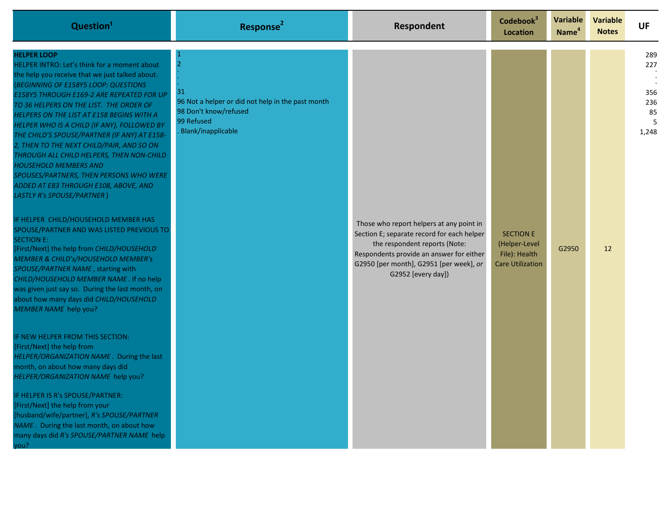| Question <sup>1</sup>                                                                                                                                                                                                                                                                                                                                                                                                                                                                                                                                                                                                                                                                                                                                                                                                                                                                                                                                                                                                                                                                                                                                                                                                                                                                                                                                                                                                                                                                  | Response <sup>2</sup>                                                                                                                  | Respondent                                                                                                                                                                                                                           | Codebook <sup>3</sup><br>Location                                             | <b>Variable</b><br>Name <sup>4</sup> | <b>Variable</b><br><b>Notes</b> | <b>UF</b>                               |
|----------------------------------------------------------------------------------------------------------------------------------------------------------------------------------------------------------------------------------------------------------------------------------------------------------------------------------------------------------------------------------------------------------------------------------------------------------------------------------------------------------------------------------------------------------------------------------------------------------------------------------------------------------------------------------------------------------------------------------------------------------------------------------------------------------------------------------------------------------------------------------------------------------------------------------------------------------------------------------------------------------------------------------------------------------------------------------------------------------------------------------------------------------------------------------------------------------------------------------------------------------------------------------------------------------------------------------------------------------------------------------------------------------------------------------------------------------------------------------------|----------------------------------------------------------------------------------------------------------------------------------------|--------------------------------------------------------------------------------------------------------------------------------------------------------------------------------------------------------------------------------------|-------------------------------------------------------------------------------|--------------------------------------|---------------------------------|-----------------------------------------|
| <b>HELPER LOOP</b><br>HELPER INTRO: Let's think for a moment about<br>the help you receive that we just talked about.<br><b>(BEGINNING OF E158Y5 LOOP: QUESTIONS</b><br>E158Y5 THROUGH E169-2 ARE REPEATED FOR UP<br>TO 36 HELPERS ON THE LIST. THE ORDER OF<br>HELPERS ON THE LIST AT E158 BEGINS WITH A<br>HELPER WHO IS A CHILD (IF ANY), FOLLOWED BY<br>THE CHILD'S SPOUSE/PARTNER (IF ANY) AT E158-<br>2, THEN TO THE NEXT CHILD/PAIR, AND SO ON<br>THROUGH ALL CHILD HELPERS, THEN NON-CHILD<br><b>HOUSEHOLD MEMBERS AND</b><br>SPOUSES/PARTNERS, THEN PERSONS WHO WERE<br>ADDED AT E83 THROUGH E108, ABOVE, AND<br><b>LASTLY R's SPOUSE/PARTNER)</b><br>IF HELPER CHILD/HOUSEHOLD MEMBER HAS<br>SPOUSE/PARTNER AND WAS LISTED PREVIOUS TO<br><b>SECTION E:</b><br>[First/Next] the help from CHILD/HOUSEHOLD<br>MEMBER & CHILD's/HOUSEHOLD MEMBER's<br>SPOUSE/PARTNER NAME, starting with<br>CHILD/HOUSEHOLD MEMBER NAME . If no help<br>was given just say so. During the last month, on<br>about how many days did CHILD/HOUSEHOLD<br>MEMBER NAME help you?<br>IF NEW HELPER FROM THIS SECTION:<br>[First/Next] the help from<br>HELPER/ORGANIZATION NAME. During the last<br>month, on about how many days did<br>HELPER/ORGANIZATION NAME help you?<br>IF HELPER IS R's SPOUSE/PARTNER:<br>[First/Next] the help from your<br>[husband/wife/partner], R's SPOUSE/PARTNER<br>NAME. During the last month, on about how<br>many days did R's SPOUSE/PARTNER NAME help<br>vou? | $\overline{2}$<br>31<br>96 Not a helper or did not help in the past month<br>98 Don't know/refused<br>99 Refused<br>Blank/inapplicable | Those who report helpers at any point in<br>Section E; separate record for each helper<br>the respondent reports (Note:<br>Respondents provide an answer for either<br>G2950 [per month], G2951 [per week], or<br>G2952 [every day]) | <b>SECTION E</b><br>(Helper-Level<br>File): Health<br><b>Care Utilization</b> | G2950                                | $12 \overline{ }$               | 289<br>227<br>356<br>236<br>85<br>1,248 |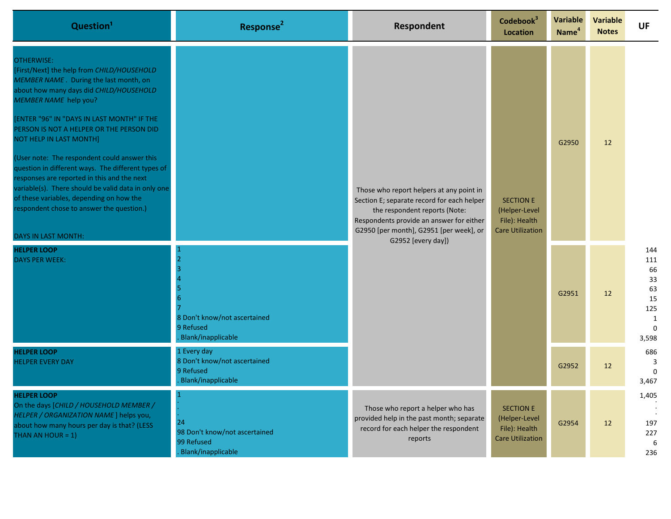| Question <sup>1</sup>                                                                                                                                                                                                                                                                                                                                                                                                                                                                                                                                                                                                          | Response <sup>2</sup>                                                          | Respondent                                                                                                                                                                                                                           | Codebook <sup>3</sup><br><b>Location</b>                                      | Variable<br>Name <sup>4</sup> | Variable<br><b>Notes</b> | <b>UF</b>                                                                      |
|--------------------------------------------------------------------------------------------------------------------------------------------------------------------------------------------------------------------------------------------------------------------------------------------------------------------------------------------------------------------------------------------------------------------------------------------------------------------------------------------------------------------------------------------------------------------------------------------------------------------------------|--------------------------------------------------------------------------------|--------------------------------------------------------------------------------------------------------------------------------------------------------------------------------------------------------------------------------------|-------------------------------------------------------------------------------|-------------------------------|--------------------------|--------------------------------------------------------------------------------|
| <b>OTHERWISE:</b><br>[First/Next] the help from CHILD/HOUSEHOLD<br>MEMBER NAME. During the last month, on<br>about how many days did CHILD/HOUSEHOLD<br>MEMBER NAME help you?<br>[ENTER "96" IN "DAYS IN LAST MONTH" IF THE<br>PERSON IS NOT A HELPER OR THE PERSON DID<br>NOT HELP IN LAST MONTH]<br>(User note: The respondent could answer this<br>question in different ways. The different types of<br>responses are reported in this and the next<br>variable(s). There should be valid data in only one<br>of these variables, depending on how the<br>respondent chose to answer the question.)<br>DAYS IN LAST MONTH: |                                                                                | Those who report helpers at any point in<br>Section E; separate record for each helper<br>the respondent reports (Note:<br>Respondents provide an answer for either<br>G2950 [per month], G2951 [per week], or<br>G2952 [every day]) | <b>SECTION E</b><br>(Helper-Level<br>File): Health<br><b>Care Utilization</b> | G2950                         | 12                       |                                                                                |
| <b>HELPER LOOP</b><br><b>DAYS PER WEEK:</b>                                                                                                                                                                                                                                                                                                                                                                                                                                                                                                                                                                                    | 8 Don't know/not ascertained<br>9 Refused<br>Blank/inapplicable                |                                                                                                                                                                                                                                      |                                                                               | G2951                         | 12                       | 144<br>111<br>66<br>33<br>63<br>15<br>125<br>$\mathbf{1}$<br>$\Omega$<br>3,598 |
| <b>HELPER LOOP</b><br><b>HELPER EVERY DAY</b>                                                                                                                                                                                                                                                                                                                                                                                                                                                                                                                                                                                  | 1 Every day<br>8 Don't know/not ascertained<br>9 Refused<br>Blank/inapplicable |                                                                                                                                                                                                                                      |                                                                               | G2952                         | 12                       | 686<br>3<br>$\mathbf 0$<br>3,467                                               |
| <b>HELPER LOOP</b><br>On the days [CHILD / HOUSEHOLD MEMBER /<br>HELPER / ORGANIZATION NAME ] helps you,<br>about how many hours per day is that? (LESS<br>THAN AN HOUR = $1$ )                                                                                                                                                                                                                                                                                                                                                                                                                                                | 24<br>98 Don't know/not ascertained<br>99 Refused<br>Blank/inapplicable        | Those who report a helper who has<br>provided help in the past month; separate<br>record for each helper the respondent<br>reports                                                                                                   | <b>SECTION E</b><br>(Helper-Level<br>File): Health<br><b>Care Utilization</b> | G2954                         | 12                       | 1,405<br>197<br>227<br>6<br>236                                                |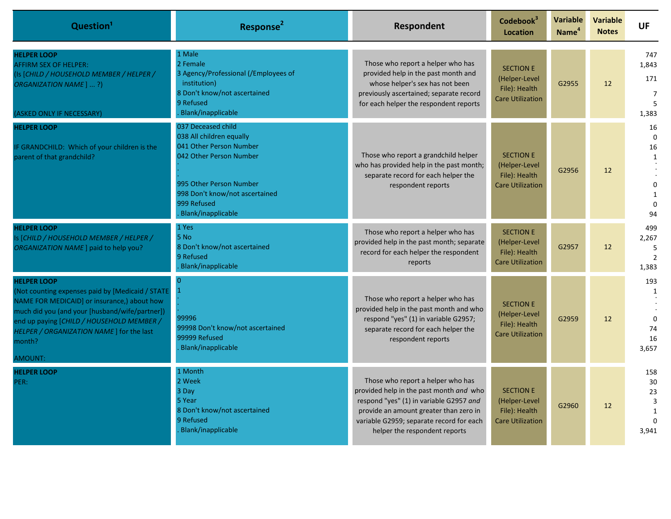| Question <sup>1</sup>                                                                                                                                                                                                                                                                         | Response <sup>2</sup>                                                                                                                                                                                  | Respondent                                                                                                                                                                                                                                     | Codebook <sup>3</sup><br><b>Location</b>                                      | <b>Variable</b><br>Name <sup>4</sup> | <b>Variable</b><br><b>Notes</b> | <b>UF</b>                                                                                |
|-----------------------------------------------------------------------------------------------------------------------------------------------------------------------------------------------------------------------------------------------------------------------------------------------|--------------------------------------------------------------------------------------------------------------------------------------------------------------------------------------------------------|------------------------------------------------------------------------------------------------------------------------------------------------------------------------------------------------------------------------------------------------|-------------------------------------------------------------------------------|--------------------------------------|---------------------------------|------------------------------------------------------------------------------------------|
| <b>HELPER LOOP</b><br><b>AFFIRM SEX OF HELPER:</b><br>(Is [CHILD / HOUSEHOLD MEMBER / HELPER /<br>ORGANIZATION NAME] ?)<br>(ASKED ONLY IF NECESSARY)                                                                                                                                          | 1 Male<br>2 Female<br>3 Agency/Professional (/Employees of<br>institution)<br>8 Don't know/not ascertained<br>9 Refused<br>Blank/inapplicable                                                          | Those who report a helper who has<br>provided help in the past month and<br>whose helper's sex has not been<br>previously ascertained; separate record<br>for each helper the respondent reports                                               | <b>SECTION E</b><br>(Helper-Level<br>File): Health<br><b>Care Utilization</b> | G2955                                | 12                              | 747<br>1,843<br>171<br>7<br>5<br>1,383                                                   |
| <b>HELPER LOOP</b><br>IF GRANDCHILD: Which of your children is the<br>parent of that grandchild?                                                                                                                                                                                              | 037 Deceased child<br>038 All children equally<br>041 Other Person Number<br>042 Other Person Number<br>995 Other Person Number<br>998 Don't know/not ascertained<br>999 Refused<br>Blank/inapplicable | Those who report a grandchild helper<br>who has provided help in the past month;<br>separate record for each helper the<br>respondent reports                                                                                                  | <b>SECTION E</b><br>(Helper-Level<br>File): Health<br><b>Care Utilization</b> | G2956                                | 12                              | 16<br>$\mathbf 0$<br>16<br>$\mathbf{1}$<br>$\mathbf 0$<br>$\mathbf{1}$<br>$\Omega$<br>94 |
| <b>HELPER LOOP</b><br>Is [CHILD / HOUSEHOLD MEMBER / HELPER /<br>ORGANIZATION NAME ] paid to help you?                                                                                                                                                                                        | 1 Yes<br>5 No<br>8 Don't know/not ascertained<br>9 Refused<br>Blank/inapplicable                                                                                                                       | Those who report a helper who has<br>provided help in the past month; separate<br>record for each helper the respondent<br>reports                                                                                                             | <b>SECTION E</b><br>(Helper-Level<br>File): Health<br><b>Care Utilization</b> | G2957                                | 12                              | 499<br>2,267<br>5<br>$\overline{2}$<br>1,383                                             |
| <b>HELPER LOOP</b><br>(Not counting expenses paid by [Medicaid / STATE<br>NAME FOR MEDICAID] or insurance,) about how<br>much did you (and your [husband/wife/partner])<br>end up paying [CHILD / HOUSEHOLD MEMBER /<br>HELPER / ORGANIZATION NAME ] for the last<br>month?<br><b>AMOUNT:</b> | 99996<br>99998 Don't know/not ascertained<br>99999 Refused<br>Blank/inapplicable                                                                                                                       | Those who report a helper who has<br>provided help in the past month and who<br>respond "yes" (1) in variable G2957;<br>separate record for each helper the<br>respondent reports                                                              | <b>SECTION E</b><br>(Helper-Level<br>File): Health<br><b>Care Utilization</b> | G2959                                | 12                              | 193<br>$\mathbf{1}$<br>$\Omega$<br>74<br>16<br>3,657                                     |
| <b>HELPER LOOP</b><br>PER:                                                                                                                                                                                                                                                                    | 1 Month<br>2 Week<br>3 Day<br>5 Year<br>8 Don't know/not ascertained<br>9 Refused<br>Blank/inapplicable                                                                                                | Those who report a helper who has<br>provided help in the past month and who<br>respond "yes" (1) in variable G2957 and<br>provide an amount greater than zero in<br>variable G2959; separate record for each<br>helper the respondent reports | <b>SECTION E</b><br>(Helper-Level<br>File): Health<br><b>Care Utilization</b> | G2960                                | 12                              | 158<br>30<br>23<br>$\overline{3}$<br>$\mathbf{1}$<br>$\Omega$<br>3.941                   |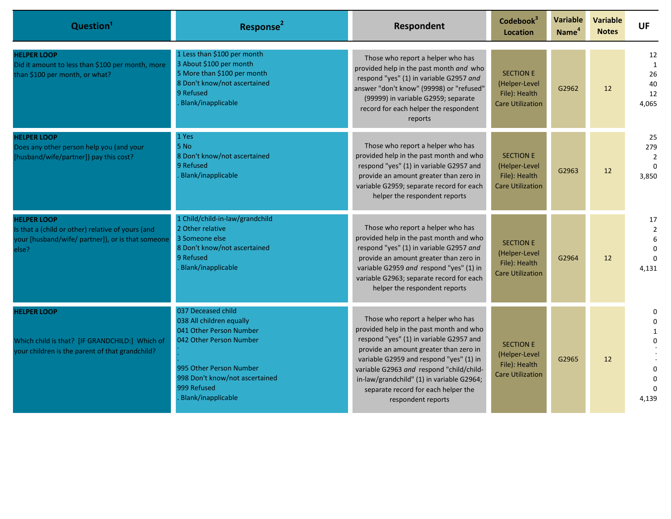| Question <sup>1</sup>                                                                                                                 | Response <sup>2</sup>                                                                                                                                                                                  | Respondent                                                                                                                                                                                                                                                                                                                                                         | Codebook <sup>3</sup><br><b>Location</b>                                      | Variable<br>Name <sup>4</sup> | <b>Variable</b><br><b>Notes</b> | <b>UF</b>                                        |
|---------------------------------------------------------------------------------------------------------------------------------------|--------------------------------------------------------------------------------------------------------------------------------------------------------------------------------------------------------|--------------------------------------------------------------------------------------------------------------------------------------------------------------------------------------------------------------------------------------------------------------------------------------------------------------------------------------------------------------------|-------------------------------------------------------------------------------|-------------------------------|---------------------------------|--------------------------------------------------|
| <b>HELPER LOOP</b><br>Did it amount to less than \$100 per month, more<br>than \$100 per month, or what?                              | 1 Less than \$100 per month<br>3 About \$100 per month<br>5 More than \$100 per month<br>8 Don't know/not ascertained<br>9 Refused<br>Blank/inapplicable                                               | Those who report a helper who has<br>provided help in the past month and who<br>respond "yes" (1) in variable G2957 and<br>answer "don't know" (99998) or "refused"<br>(99999) in variable G2959; separate<br>record for each helper the respondent<br>reports                                                                                                     | <b>SECTION E</b><br>(Helper-Level<br>File): Health<br><b>Care Utilization</b> | G2962                         | 12                              | 12<br>1<br>26<br>40<br>12<br>4,065               |
| <b>HELPER LOOP</b><br>Does any other person help you (and your<br>[husband/wife/partner]) pay this cost?                              | 1 Yes<br>5 No<br>8 Don't know/not ascertained<br>9 Refused<br>Blank/inapplicable                                                                                                                       | Those who report a helper who has<br>provided help in the past month and who<br>respond "yes" (1) in variable G2957 and<br>provide an amount greater than zero in<br>variable G2959; separate record for each<br>helper the respondent reports                                                                                                                     | <b>SECTION E</b><br>(Helper-Level<br>File): Health<br><b>Care Utilization</b> | G2963                         | 12                              | 25<br>279<br>$\overline{2}$<br>$\Omega$<br>3,850 |
| <b>HELPER LOOP</b><br>Is that a (child or other) relative of yours (and<br>your [husband/wife/ partner]), or is that someone<br>else? | 1 Child/child-in-law/grandchild<br>2 Other relative<br>3 Someone else<br>8 Don't know/not ascertained<br>9 Refused<br>Blank/inapplicable                                                               | Those who report a helper who has<br>provided help in the past month and who<br>respond "yes" (1) in variable G2957 and<br>provide an amount greater than zero in<br>variable G2959 and respond "yes" (1) in<br>variable G2963; separate record for each<br>helper the respondent reports                                                                          | <b>SECTION E</b><br>(Helper-Level<br>File): Health<br><b>Care Utilization</b> | G2964                         | 12                              | 17<br>$\overline{2}$<br>$\Omega$<br>4,131        |
| <b>HELPER LOOP</b><br>Which child is that? [IF GRANDCHILD:] Which of<br>your children is the parent of that grandchild?               | 037 Deceased child<br>038 All children equally<br>041 Other Person Number<br>042 Other Person Number<br>995 Other Person Number<br>998 Don't know/not ascertained<br>999 Refused<br>Blank/inapplicable | Those who report a helper who has<br>provided help in the past month and who<br>respond "yes" (1) in variable G2957 and<br>provide an amount greater than zero in<br>variable G2959 and respond "yes" (1) in<br>variable G2963 and respond "child/child-<br>in-law/grandchild" (1) in variable G2964;<br>separate record for each helper the<br>respondent reports | <b>SECTION E</b><br>(Helper-Level<br>File): Health<br><b>Care Utilization</b> | G2965                         | 12                              | 0<br>$\Omega$<br>$\Omega$<br>4,139               |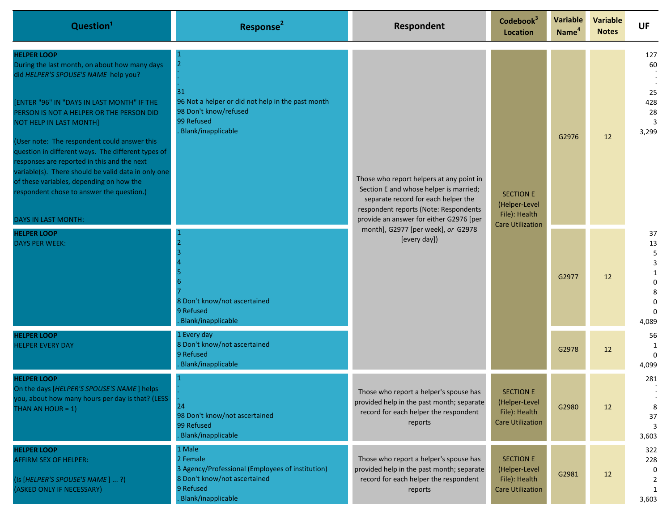| Question <sup>1</sup>                                                                                                                                                                                                                                                                                                                                                                                                                                                                                                                                               | Response <sup>2</sup>                                                                                                                     | Respondent                                                                                                                                                                                                                                                          | Codebook <sup>3</sup><br><b>Location</b>                                      | <b>Variable</b><br>Name <sup>4</sup> | <b>Variable</b><br><b>Notes</b> | <b>UF</b>                                              |
|---------------------------------------------------------------------------------------------------------------------------------------------------------------------------------------------------------------------------------------------------------------------------------------------------------------------------------------------------------------------------------------------------------------------------------------------------------------------------------------------------------------------------------------------------------------------|-------------------------------------------------------------------------------------------------------------------------------------------|---------------------------------------------------------------------------------------------------------------------------------------------------------------------------------------------------------------------------------------------------------------------|-------------------------------------------------------------------------------|--------------------------------------|---------------------------------|--------------------------------------------------------|
| <b>HELPER LOOP</b><br>During the last month, on about how many days<br>did HELPER'S SPOUSE'S NAME help you?<br>[ENTER "96" IN "DAYS IN LAST MONTH" IF THE<br>PERSON IS NOT A HELPER OR THE PERSON DID<br><b>NOT HELP IN LAST MONTH]</b><br>(User note: The respondent could answer this<br>question in different ways. The different types of<br>responses are reported in this and the next<br>variable(s). There should be valid data in only one<br>of these variables, depending on how the<br>respondent chose to answer the question.)<br>DAYS IN LAST MONTH: | $\overline{2}$<br>31<br>96 Not a helper or did not help in the past month<br>98 Don't know/refused<br>99 Refused<br>Blank/inapplicable    | Those who report helpers at any point in<br>Section E and whose helper is married;<br>separate record for each helper the<br>respondent reports (Note: Respondents<br>provide an answer for either G2976 [per<br>month], G2977 [per week], or G2978<br>[every day]) | <b>SECTION E</b><br>(Helper-Level<br>File): Health                            | G2976                                | 12                              | 127<br>60<br>25<br>428<br>28<br>3<br>3,299             |
| <b>HELPER LOOP</b><br><b>DAYS PER WEEK:</b>                                                                                                                                                                                                                                                                                                                                                                                                                                                                                                                         | 8 Don't know/not ascertained<br>9 Refused<br>Blank/inapplicable                                                                           |                                                                                                                                                                                                                                                                     | <b>Care Utilization</b>                                                       | G2977                                | 12                              | 37<br>13<br>5<br>3<br>0<br>8<br>0<br>$\Omega$<br>4,089 |
| <b>HELPER LOOP</b><br><b>HELPER EVERY DAY</b>                                                                                                                                                                                                                                                                                                                                                                                                                                                                                                                       | 1 Every day<br>8 Don't know/not ascertained<br>9 Refused<br>Blank/inapplicable                                                            |                                                                                                                                                                                                                                                                     |                                                                               | G2978                                | 12                              | 56<br>1<br>4,099                                       |
| <b>HELPER LOOP</b><br>On the days [HELPER'S SPOUSE'S NAME] helps<br>you, about how many hours per day is that? (LESS<br>THAN AN HOUR = $1$ )                                                                                                                                                                                                                                                                                                                                                                                                                        | 24<br>98 Don't know/not ascertained<br>99 Refused<br>Blank/inapplicable                                                                   | Those who report a helper's spouse has<br>provided help in the past month; separate<br>record for each helper the respondent<br>reports                                                                                                                             | <b>SECTION E</b><br>(Helper-Level<br>File): Health<br><b>Care Utilization</b> | G2980                                | 12                              | 281<br>8<br>37<br>3<br>3,603                           |
| <b>HELPER LOOP</b><br>AFFIRM SEX OF HELPER:<br>(Is [HELPER'S SPOUSE'S NAME] ?)<br>(ASKED ONLY IF NECESSARY)                                                                                                                                                                                                                                                                                                                                                                                                                                                         | 1 Male<br>2 Female<br>3 Agency/Professional (Employees of institution)<br>8 Don't know/not ascertained<br>9 Refused<br>Blank/inapplicable | Those who report a helper's spouse has<br>provided help in the past month; separate<br>record for each helper the respondent<br>reports                                                                                                                             | <b>SECTION E</b><br>(Helper-Level<br>File): Health<br><b>Care Utilization</b> | G2981                                | 12                              | 322<br>228<br>0<br>2<br>3,603                          |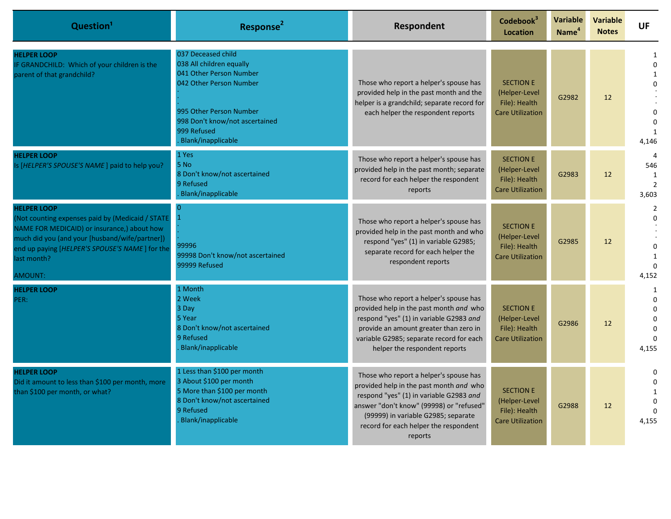| Question <sup>1</sup>                                                                                                                                                                                                                               | Response <sup>2</sup>                                                                                                                                                                                  | <b>Respondent</b>                                                                                                                                                                                                                                                   | Codebook <sup>3</sup><br>Location                                             | Variable<br>Name <sup>4</sup> | <b>Variable</b><br><b>Notes</b> | <b>UF</b>                                                      |
|-----------------------------------------------------------------------------------------------------------------------------------------------------------------------------------------------------------------------------------------------------|--------------------------------------------------------------------------------------------------------------------------------------------------------------------------------------------------------|---------------------------------------------------------------------------------------------------------------------------------------------------------------------------------------------------------------------------------------------------------------------|-------------------------------------------------------------------------------|-------------------------------|---------------------------------|----------------------------------------------------------------|
| <b>HELPER LOOP</b><br>IF GRANDCHILD: Which of your children is the<br>parent of that grandchild?                                                                                                                                                    | 037 Deceased child<br>038 All children equally<br>041 Other Person Number<br>042 Other Person Number<br>995 Other Person Number<br>998 Don't know/not ascertained<br>999 Refused<br>Blank/inapplicable | Those who report a helper's spouse has<br>provided help in the past month and the<br>helper is a grandchild; separate record for<br>each helper the respondent reports                                                                                              | <b>SECTION E</b><br>(Helper-Level<br>File): Health<br><b>Care Utilization</b> | G2982                         | 12                              | $\Omega$<br>$\mathbf{1}$<br>$\Omega$<br>$\Omega$<br>1<br>4,146 |
| <b>HELPER LOOP</b><br>Is [HELPER'S SPOUSE'S NAME] paid to help you?                                                                                                                                                                                 | 1 Yes<br>5 No<br>8 Don't know/not ascertained<br>9 Refused<br>Blank/inapplicable                                                                                                                       | Those who report a helper's spouse has<br>provided help in the past month; separate<br>record for each helper the respondent<br>reports                                                                                                                             | <b>SECTION E</b><br>(Helper-Level<br>File): Health<br><b>Care Utilization</b> | G2983                         | 12                              | $\overline{a}$<br>546<br>1<br>$\overline{2}$<br>3,603          |
| <b>HELPER LOOP</b><br>(Not counting expenses paid by (Medicaid / STATE<br>NAME FOR MEDICAID) or insurance,) about how<br>much did you (and your [husband/wife/partner])<br>end up paying [HELPER'S SPOUSE'S NAME] for the<br>last month?<br>AMOUNT: | $\overline{1}$<br>99996<br>99998 Don't know/not ascertained<br>99999 Refused                                                                                                                           | Those who report a helper's spouse has<br>provided help in the past month and who<br>respond "yes" (1) in variable G2985;<br>separate record for each helper the<br>respondent reports                                                                              | <b>SECTION E</b><br>(Helper-Level<br>File): Health<br><b>Care Utilization</b> | G2985                         | $12 \overline{ }$               | 2<br>$\Omega$<br>$\Omega$<br>$\mathbf{1}$<br>4,152             |
| <b>HELPER LOOP</b><br>PER:                                                                                                                                                                                                                          | 1 Month<br>2 Week<br>3 Day<br>5 Year<br>8 Don't know/not ascertained<br>9 Refused<br>Blank/inapplicable                                                                                                | Those who report a helper's spouse has<br>provided help in the past month and who<br>respond "yes" (1) in variable G2983 and<br>provide an amount greater than zero in<br>variable G2985; separate record for each<br>helper the respondent reports                 | <b>SECTION E</b><br>(Helper-Level<br>File): Health<br><b>Care Utilization</b> | G2986                         | 12                              | -1<br>$\Omega$<br>$\Omega$<br>$\mathbf 0$<br>$\Omega$<br>4,155 |
| <b>HELPER LOOP</b><br>Did it amount to less than \$100 per month, more<br>than \$100 per month, or what?                                                                                                                                            | 1 Less than \$100 per month<br>3 About \$100 per month<br>5 More than \$100 per month<br>8 Don't know/not ascertained<br>9 Refused<br>Blank/inapplicable                                               | Those who report a helper's spouse has<br>provided help in the past month and who<br>respond "yes" (1) in variable G2983 and<br>answer "don't know" (99998) or "refused"<br>(99999) in variable G2985; separate<br>record for each helper the respondent<br>reports | <b>SECTION E</b><br>(Helper-Level<br>File): Health<br><b>Care Utilization</b> | G2988                         | 12                              | $\Omega$<br>$\Omega$<br>1<br>$\Omega$<br>$\Omega$<br>4,155     |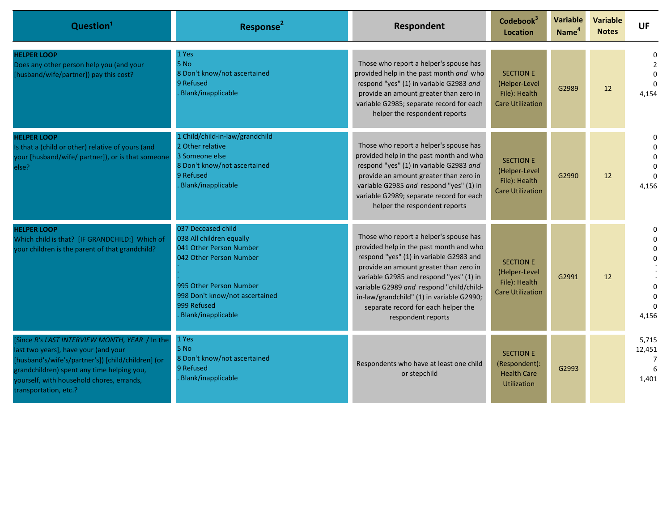| Question <sup>1</sup>                                                                                                                                                                                                                                            | Response <sup>2</sup>                                                                                                                                                                                  | Respondent                                                                                                                                                                                                                                                                                                                                                              | Codebook <sup>3</sup><br><b>Location</b>                                      | Variable<br>Name <sup>4</sup> | <b>Variable</b><br><b>Notes</b> | <b>UF</b>                          |
|------------------------------------------------------------------------------------------------------------------------------------------------------------------------------------------------------------------------------------------------------------------|--------------------------------------------------------------------------------------------------------------------------------------------------------------------------------------------------------|-------------------------------------------------------------------------------------------------------------------------------------------------------------------------------------------------------------------------------------------------------------------------------------------------------------------------------------------------------------------------|-------------------------------------------------------------------------------|-------------------------------|---------------------------------|------------------------------------|
| <b>HELPER LOOP</b><br>Does any other person help you (and your<br>[husband/wife/partner]) pay this cost?                                                                                                                                                         | 1 Yes<br>5 No<br>8 Don't know/not ascertained<br>9 Refused<br>Blank/inapplicable                                                                                                                       | Those who report a helper's spouse has<br>provided help in the past month and who<br>respond "yes" (1) in variable G2983 and<br>provide an amount greater than zero in<br>variable G2985; separate record for each<br>helper the respondent reports                                                                                                                     | <b>SECTION E</b><br>(Helper-Level<br>File): Health<br><b>Care Utilization</b> | G2989                         | 12                              | $\Omega$<br>$\mathcal{P}$<br>4,154 |
| <b>HELPER LOOP</b><br>Is that a (child or other) relative of yours (and<br>your [husband/wife/ partner]), or is that someone<br>else?                                                                                                                            | 1 Child/child-in-law/grandchild<br>2 Other relative<br>3 Someone else<br>8 Don't know/not ascertained<br>9 Refused<br>Blank/inapplicable                                                               | Those who report a helper's spouse has<br>provided help in the past month and who<br>respond "yes" (1) in variable G2983 and<br>provide an amount greater than zero in<br>variable G2985 and respond "yes" (1) in<br>variable G2989; separate record for each<br>helper the respondent reports                                                                          | <b>SECTION E</b><br>(Helper-Level<br>File): Health<br><b>Care Utilization</b> | G2990                         | 12                              | $\Omega$<br>4,156                  |
| <b>HELPER LOOP</b><br>Which child is that? [IF GRANDCHILD:] Which of<br>your children is the parent of that grandchild?                                                                                                                                          | 037 Deceased child<br>038 All children equally<br>041 Other Person Number<br>042 Other Person Number<br>995 Other Person Number<br>998 Don't know/not ascertained<br>999 Refused<br>Blank/inapplicable | Those who report a helper's spouse has<br>provided help in the past month and who<br>respond "yes" (1) in variable G2983 and<br>provide an amount greater than zero in<br>variable G2985 and respond "yes" (1) in<br>variable G2989 and respond "child/child-<br>in-law/grandchild" (1) in variable G2990;<br>separate record for each helper the<br>respondent reports | <b>SECTION E</b><br>(Helper-Level<br>File): Health<br><b>Care Utilization</b> | G2991                         | 12                              | 0<br>U<br>4,156                    |
| [Since R's LAST INTERVIEW MONTH, YEAR / In the<br>last two years], have your (and your<br>[husband's/wife's/partner's]) [child/children] (or<br>grandchildren) spent any time helping you,<br>yourself, with household chores, errands,<br>transportation, etc.? | 1 Yes<br>5 No<br>8 Don't know/not ascertained<br>9 Refused<br>Blank/inapplicable                                                                                                                       | Respondents who have at least one child<br>or stepchild                                                                                                                                                                                                                                                                                                                 | <b>SECTION E</b><br>(Respondent):<br><b>Health Care</b><br><b>Utilization</b> | G2993                         |                                 | 5.715<br>12,451<br>1.401           |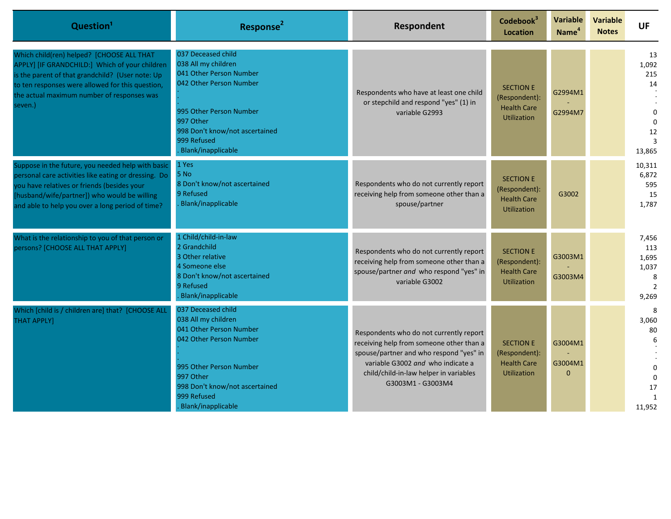| Question <sup>1</sup>                                                                                                                                                                                                                                        | Response <sup>2</sup>                                                                                                                                                                                          | Respondent                                                                                                                                                                                                                         | Codebook <sup>3</sup><br><b>Location</b>                                      | <b>Variable</b><br>Name <sup>4</sup> | <b>Variable</b><br><b>Notes</b> | <b>UF</b>                                                                        |
|--------------------------------------------------------------------------------------------------------------------------------------------------------------------------------------------------------------------------------------------------------------|----------------------------------------------------------------------------------------------------------------------------------------------------------------------------------------------------------------|------------------------------------------------------------------------------------------------------------------------------------------------------------------------------------------------------------------------------------|-------------------------------------------------------------------------------|--------------------------------------|---------------------------------|----------------------------------------------------------------------------------|
| Which child(ren) helped? [CHOOSE ALL THAT<br>APPLY] [IF GRANDCHILD:] Which of your children<br>is the parent of that grandchild? (User note: Up<br>to ten responses were allowed for this question,<br>the actual maximum number of responses was<br>seven.) | 037 Deceased child<br>038 All my children<br>041 Other Person Number<br>042 Other Person Number<br>995 Other Person Number<br>997 Other<br>998 Don't know/not ascertained<br>999 Refused<br>Blank/inapplicable | Respondents who have at least one child<br>or stepchild and respond "yes" (1) in<br>variable G2993                                                                                                                                 | <b>SECTION E</b><br>(Respondent):<br><b>Health Care</b><br><b>Utilization</b> | G2994M1<br>G2994M7                   |                                 | 13<br>1,092<br>215<br>14<br>$\Omega$<br>$\Omega$<br>12<br>13,865                 |
| Suppose in the future, you needed help with basic<br>personal care activities like eating or dressing. Do<br>you have relatives or friends (besides your<br>[husband/wife/partner]) who would be willing<br>and able to help you over a long period of time? | 1 Yes<br>5 No<br>8 Don't know/not ascertained<br>9 Refused<br>Blank/inapplicable                                                                                                                               | Respondents who do not currently report<br>receiving help from someone other than a<br>spouse/partner                                                                                                                              | <b>SECTION E</b><br>(Respondent):<br><b>Health Care</b><br><b>Utilization</b> | G3002                                |                                 | 10,311<br>6,872<br>595<br>15<br>1,787                                            |
| What is the relationship to you of that person or<br>persons? [CHOOSE ALL THAT APPLY]                                                                                                                                                                        | 1 Child/child-in-law<br>2 Grandchild<br>3 Other relative<br>4 Someone else<br>8 Don't know/not ascertained<br>9 Refused<br>Blank/inapplicable                                                                  | Respondents who do not currently report<br>receiving help from someone other than a<br>spouse/partner and who respond "yes" in<br>variable G3002                                                                                   | <b>SECTION E</b><br>(Respondent):<br><b>Health Care</b><br><b>Utilization</b> | G3003M1<br>G3003M4                   |                                 | 7,456<br>113<br>1,695<br>1,037<br>8<br>$\overline{2}$<br>9,269                   |
| Which [child is / children are] that? [CHOOSE ALL<br><b>THAT APPLY]</b>                                                                                                                                                                                      | 037 Deceased child<br>038 All my children<br>041 Other Person Number<br>042 Other Person Number<br>995 Other Person Number<br>997 Other<br>998 Don't know/not ascertained<br>999 Refused<br>Blank/inapplicable | Respondents who do not currently report<br>receiving help from someone other than a<br>spouse/partner and who respond "yes" in<br>variable G3002 and who indicate a<br>child/child-in-law helper in variables<br>G3003M1 - G3003M4 | <b>SECTION E</b><br>(Respondent):<br><b>Health Care</b><br><b>Utilization</b> | G3004M1<br>G3004M1<br>$\Omega$       |                                 | 8<br>3,060<br>80<br>6<br>$\mathbf 0$<br>$\Omega$<br>17<br>$\mathbf{1}$<br>11,952 |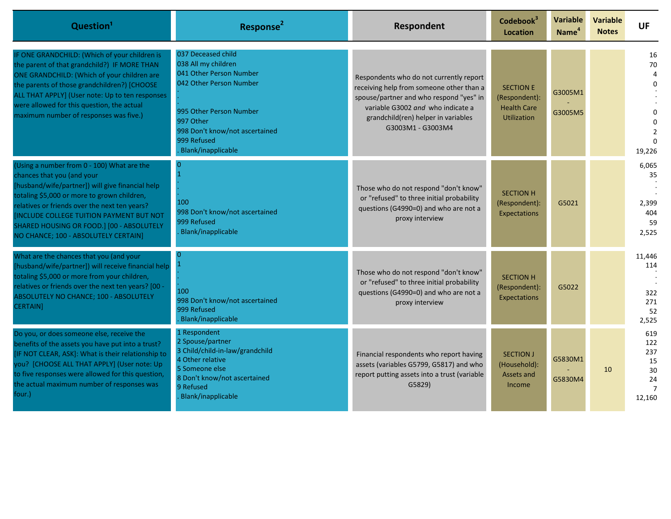| Question <sup>1</sup>                                                                                                                                                                                                                                                                                                                                                | Response <sup>2</sup>                                                                                                                                                                                          | Respondent                                                                                                                                                                                                                      | Codebook <sup>3</sup><br><b>Location</b>                                      | Variable<br>Name <sup>4</sup> | <b>Variable</b><br><b>Notes</b> | <b>UF</b>                                                       |
|----------------------------------------------------------------------------------------------------------------------------------------------------------------------------------------------------------------------------------------------------------------------------------------------------------------------------------------------------------------------|----------------------------------------------------------------------------------------------------------------------------------------------------------------------------------------------------------------|---------------------------------------------------------------------------------------------------------------------------------------------------------------------------------------------------------------------------------|-------------------------------------------------------------------------------|-------------------------------|---------------------------------|-----------------------------------------------------------------|
| IF ONE GRANDCHILD: (Which of your children is<br>the parent of that grandchild?) IF MORE THAN<br>ONE GRANDCHILD: (Which of your children are<br>the parents of those grandchildren?) [CHOOSE<br>ALL THAT APPLY] (User note: Up to ten responses<br>were allowed for this question, the actual<br>maximum number of responses was five.)                              | 037 Deceased child<br>038 All my children<br>041 Other Person Number<br>042 Other Person Number<br>995 Other Person Number<br>997 Other<br>998 Don't know/not ascertained<br>999 Refused<br>Blank/inapplicable | Respondents who do not currently report<br>receiving help from someone other than a<br>spouse/partner and who respond "yes" in<br>variable G3002 and who indicate a<br>grandchild(ren) helper in variables<br>G3003M1 - G3003M4 | <b>SECTION E</b><br>(Respondent):<br><b>Health Care</b><br><b>Utilization</b> | G3005M1<br>G3005M5            |                                 | 16<br>70<br>Δ<br>19,226                                         |
| (Using a number from 0 - 100) What are the<br>chances that you (and your<br>[husband/wife/partner]) will give financial help<br>totaling \$5,000 or more to grown children,<br>relatives or friends over the next ten years?<br><b>[INCLUDE COLLEGE TUITION PAYMENT BUT NOT</b><br>SHARED HOUSING OR FOOD.] [00 - ABSOLUTELY<br>NO CHANCE; 100 - ABSOLUTELY CERTAIN] | 100<br>998 Don't know/not ascertained<br>999 Refused<br>Blank/inapplicable                                                                                                                                     | Those who do not respond "don't know"<br>or "refused" to three initial probability<br>questions (G4990=0) and who are not a<br>proxy interview                                                                                  | <b>SECTION H</b><br>(Respondent):<br>Expectations                             | G5021                         |                                 | 6,065<br>35<br>2,399<br>404<br>59<br>2,525                      |
| What are the chances that you (and your<br>[husband/wife/partner]) will receive financial help<br>totaling \$5,000 or more from your children,<br>relatives or friends over the next ten years? [00 -<br>ABSOLUTELY NO CHANCE; 100 - ABSOLUTELY<br><b>CERTAIN]</b>                                                                                                   | 100<br>998 Don't know/not ascertained<br>999 Refused<br>Blank/inapplicable                                                                                                                                     | Those who do not respond "don't know"<br>or "refused" to three initial probability<br>questions (G4990=0) and who are not a<br>proxy interview                                                                                  | <b>SECTION H</b><br>(Respondent):<br>Expectations                             | G5022                         |                                 | 11,446<br>114<br>322<br>271<br>52<br>2,525                      |
| Do you, or does someone else, receive the<br>benefits of the assets you have put into a trust?<br>[IF NOT CLEAR, ASK]: What is their relationship to<br>you? [CHOOSE ALL THAT APPLY] (User note: Up<br>to five responses were allowed for this question,<br>the actual maximum number of responses was<br>four.)                                                     | 1 Respondent<br>2 Spouse/partner<br>3 Child/child-in-law/grandchild<br>4 Other relative<br>5 Someone else<br>8 Don't know/not ascertained<br>9 Refused<br>Blank/inapplicable                                   | Financial respondents who report having<br>assets (variables G5799, G5817) and who<br>report putting assets into a trust (variable<br>G5829                                                                                     | <b>SECTION J</b><br>(Household):<br>Assets and<br>Income                      | G5830M1<br>G5830M4            | 10                              | 619<br>122<br>237<br>15<br>30<br>24<br>$\overline{7}$<br>12,160 |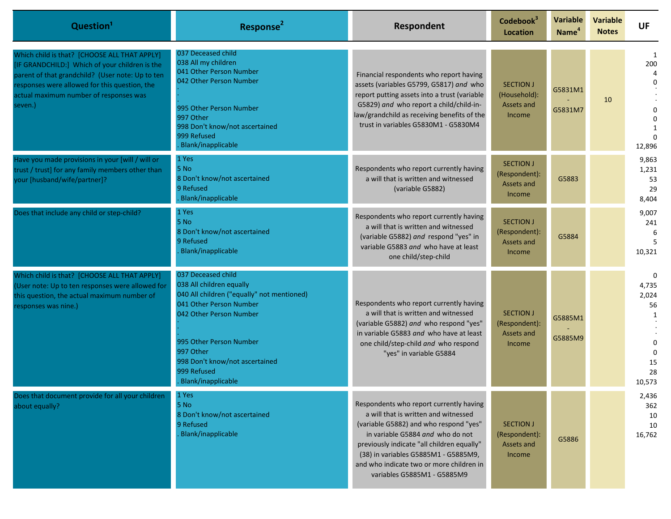| Question <sup>1</sup>                                                                                                                                                                                                                                    | Response <sup>2</sup>                                                                                                                                                                                                                                             | Respondent                                                                                                                                                                                                                                                                                                                     | Codebook <sup>3</sup><br>Location                                | <b>Variable</b><br>Name <sup>4</sup> | <b>Variable</b><br><b>Notes</b> | <b>UF</b>                                                                      |
|----------------------------------------------------------------------------------------------------------------------------------------------------------------------------------------------------------------------------------------------------------|-------------------------------------------------------------------------------------------------------------------------------------------------------------------------------------------------------------------------------------------------------------------|--------------------------------------------------------------------------------------------------------------------------------------------------------------------------------------------------------------------------------------------------------------------------------------------------------------------------------|------------------------------------------------------------------|--------------------------------------|---------------------------------|--------------------------------------------------------------------------------|
| Which child is that? [CHOOSE ALL THAT APPLY]<br>[IF GRANDCHILD:] Which of your children is the<br>parent of that grandchild? (User note: Up to ten<br>responses were allowed for this question, the<br>actual maximum number of responses was<br>seven.) | 037 Deceased child<br>038 All my children<br>041 Other Person Number<br>042 Other Person Number<br>995 Other Person Number<br>997 Other<br>998 Don't know/not ascertained<br>999 Refused<br>Blank/inapplicable                                                    | Financial respondents who report having<br>assets (variables G5799, G5817) and who<br>report putting assets into a trust (variable<br>G5829) and who report a child/child-in-<br>law/grandchild as receiving benefits of the<br>trust in variables G5830M1 - G5830M4                                                           | <b>SECTION J</b><br>(Household):<br>Assets and<br><b>Income</b>  | G5831M1<br>G5831M7                   | 10                              | 1<br>200<br>12,896                                                             |
| Have you made provisions in your [will / will or<br>trust / trust] for any family members other than<br>your [husband/wife/partner]?                                                                                                                     | 1 Yes<br>5 No<br>8 Don't know/not ascertained<br>9 Refused<br>Blank/inapplicable                                                                                                                                                                                  | Respondents who report currently having<br>a will that is written and witnessed<br>(variable G5882)                                                                                                                                                                                                                            | <b>SECTION J</b><br>(Respondent):<br>Assets and<br><b>Income</b> | G5883                                |                                 | 9,863<br>1,231<br>53<br>29<br>8,404                                            |
| Does that include any child or step-child?                                                                                                                                                                                                               | 1 Yes<br>5 No<br>8 Don't know/not ascertained<br>9 Refused<br>Blank/inapplicable                                                                                                                                                                                  | Respondents who report currently having<br>a will that is written and witnessed<br>(variable G5882) and respond "yes" in<br>variable G5883 and who have at least<br>one child/step-child                                                                                                                                       | <b>SECTION J</b><br>(Respondent):<br>Assets and<br><b>Income</b> | G5884                                |                                 | 9,007<br>241<br>6<br>-5<br>10,321                                              |
| Which child is that? [CHOOSE ALL THAT APPLY]<br>(User note: Up to ten responses were allowed for<br>this question, the actual maximum number of<br>responses was nine.)                                                                                  | 037 Deceased child<br>038 All children equally<br>040 All children ("equally" not mentioned)<br>041 Other Person Number<br>042 Other Person Number<br>995 Other Person Number<br>997 Other<br>998 Don't know/not ascertained<br>999 Refused<br>Blank/inapplicable | Respondents who report currently having<br>a will that is written and witnessed<br>(variable G5882) and who respond "yes"<br>in variable G5883 and who have at least<br>one child/step-child and who respond<br>"yes" in variable G5884                                                                                        | <b>SECTION J</b><br>(Respondent):<br>Assets and<br><b>Income</b> | G5885M1<br>G5885M9                   |                                 | $\Omega$<br>4,735<br>2,024<br>56<br>$\Omega$<br>$\Omega$<br>15<br>28<br>10,573 |
| Does that document provide for all your children<br>about equally?                                                                                                                                                                                       | 1 Yes<br>5 No<br>8 Don't know/not ascertained<br>9 Refused<br>Blank/inapplicable                                                                                                                                                                                  | Respondents who report currently having<br>a will that is written and witnessed<br>(variable G5882) and who respond "yes"<br>in variable G5884 and who do not<br>previously indicate "all children equally"<br>(38) in variables G5885M1 - G5885M9,<br>and who indicate two or more children in<br>variables G5885M1 - G5885M9 | <b>SECTION J</b><br>(Respondent):<br>Assets and<br>Income        | G5886                                |                                 | 2,436<br>362<br>10<br>10<br>16,762                                             |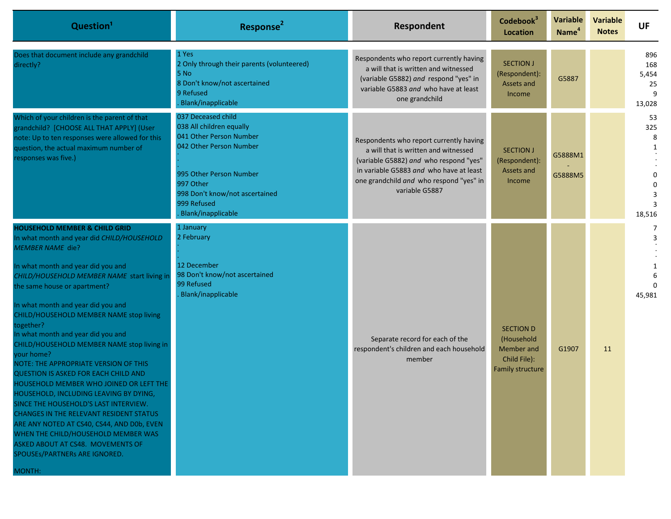| Question <sup>1</sup>                                                                                                                                                                                                                                                                                                                                                                                                                                                                                                                                                                                                                                                                                                                                                                                                                                                               | Response <sup>2</sup>                                                                                                                                                                                               | Respondent                                                                                                                                                                                                                        | Codebook <sup>3</sup><br><b>Location</b>                                         | <b>Variable</b><br>Name <sup>4</sup> | <b>Variable</b><br><b>Notes</b> | <b>UF</b>                                 |
|-------------------------------------------------------------------------------------------------------------------------------------------------------------------------------------------------------------------------------------------------------------------------------------------------------------------------------------------------------------------------------------------------------------------------------------------------------------------------------------------------------------------------------------------------------------------------------------------------------------------------------------------------------------------------------------------------------------------------------------------------------------------------------------------------------------------------------------------------------------------------------------|---------------------------------------------------------------------------------------------------------------------------------------------------------------------------------------------------------------------|-----------------------------------------------------------------------------------------------------------------------------------------------------------------------------------------------------------------------------------|----------------------------------------------------------------------------------|--------------------------------------|---------------------------------|-------------------------------------------|
| Does that document include any grandchild<br>directly?                                                                                                                                                                                                                                                                                                                                                                                                                                                                                                                                                                                                                                                                                                                                                                                                                              | 1 Yes<br>2 Only through their parents (volunteered)<br>5 No<br>8 Don't know/not ascertained<br>9 Refused<br>Blank/inapplicable                                                                                      | Respondents who report currently having<br>a will that is written and witnessed<br>(variable G5882) and respond "yes" in<br>variable G5883 and who have at least<br>one grandchild                                                | <b>SECTION J</b><br>(Respondent):<br>Assets and<br>Income                        | G5887                                |                                 | 896<br>168<br>5,454<br>25<br>13,028       |
| Which of your children is the parent of that<br>grandchild? [CHOOSE ALL THAT APPLY] (User<br>note: Up to ten responses were allowed for this<br>question, the actual maximum number of<br>responses was five.)                                                                                                                                                                                                                                                                                                                                                                                                                                                                                                                                                                                                                                                                      | 037 Deceased child<br>038 All children equally<br>041 Other Person Number<br>042 Other Person Number<br>995 Other Person Number<br>997 Other<br>998 Don't know/not ascertained<br>999 Refused<br>Blank/inapplicable | Respondents who report currently having<br>a will that is written and witnessed<br>(variable G5882) and who respond "yes"<br>in variable G5883 and who have at least<br>one grandchild and who respond "yes" in<br>variable G5887 | <b>SECTION J</b><br>(Respondent):<br>Assets and<br>Income                        | G5888M1<br>G5888M5                   |                                 | 53<br>325<br>8<br>1<br>$\Omega$<br>18,516 |
| <b>HOUSEHOLD MEMBER &amp; CHILD GRID</b><br>In what month and year did CHILD/HOUSEHOLD<br><b>MEMBER NAME die?</b><br>In what month and year did you and<br>CHILD/HOUSEHOLD MEMBER NAME start living in<br>the same house or apartment?<br>In what month and year did you and<br>CHILD/HOUSEHOLD MEMBER NAME stop living<br>together?<br>In what month and year did you and<br>CHILD/HOUSEHOLD MEMBER NAME stop living in<br>your home?<br><b>NOTE: THE APPROPRIATE VERSION OF THIS</b><br>QUESTION IS ASKED FOR EACH CHILD AND<br>HOUSEHOLD MEMBER WHO JOINED OR LEFT THE<br>HOUSEHOLD, INCLUDING LEAVING BY DYING,<br>SINCE THE HOUSEHOLD'S LAST INTERVIEW.<br><b>CHANGES IN THE RELEVANT RESIDENT STATUS</b><br>ARE ANY NOTED AT CS40, CS44, AND D0b, EVEN<br>WHEN THE CHILD/HOUSEHOLD MEMBER WAS<br>ASKED ABOUT AT CS48. MOVEMENTS OF<br>SPOUSEs/PARTNERs ARE IGNORED.<br>MONTH: | 1 January<br>2 February<br>12 December<br>98 Don't know/not ascertained<br>99 Refused<br><b>Blank/inapplicable</b>                                                                                                  | Separate record for each of the<br>respondent's children and each household<br>member                                                                                                                                             | <b>SECTION D</b><br>(Household<br>Member and<br>Child File):<br>Family structure | G1907                                | 11                              | $\overline{7}$<br>3<br>45,981             |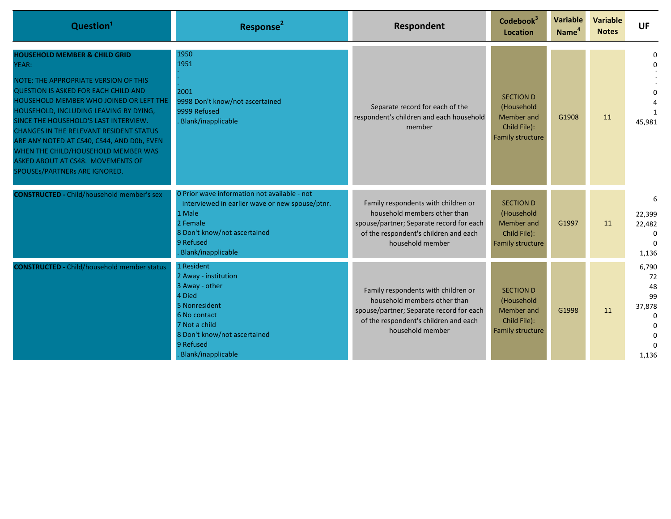| Question <sup>1</sup>                                                                                                                                                                                                                                                                                                                                                                                                                                                                | Response <sup>2</sup>                                                                                                                                                                    | Respondent                                                                                                                                                                   | Codebook <sup>3</sup><br><b>Location</b>                                         | <b>Variable</b><br>Name <sup>4</sup> | <b>Variable</b><br><b>Notes</b> | <b>UF</b>                                                                      |
|--------------------------------------------------------------------------------------------------------------------------------------------------------------------------------------------------------------------------------------------------------------------------------------------------------------------------------------------------------------------------------------------------------------------------------------------------------------------------------------|------------------------------------------------------------------------------------------------------------------------------------------------------------------------------------------|------------------------------------------------------------------------------------------------------------------------------------------------------------------------------|----------------------------------------------------------------------------------|--------------------------------------|---------------------------------|--------------------------------------------------------------------------------|
| <b>HOUSEHOLD MEMBER &amp; CHILD GRID</b><br>YEAR:<br>NOTE: THE APPROPRIATE VERSION OF THIS<br><b>QUESTION IS ASKED FOR EACH CHILD AND</b><br>HOUSEHOLD MEMBER WHO JOINED OR LEFT THE<br>HOUSEHOLD, INCLUDING LEAVING BY DYING,<br>SINCE THE HOUSEHOLD'S LAST INTERVIEW.<br><b>CHANGES IN THE RELEVANT RESIDENT STATUS</b><br>ARE ANY NOTED AT CS40, CS44, AND D0b, EVEN<br>WHEN THE CHILD/HOUSEHOLD MEMBER WAS<br>ASKED ABOUT AT CS48. MOVEMENTS OF<br>SPOUSEs/PARTNERs ARE IGNORED. | 1950<br>1951<br>2001<br>9998 Don't know/not ascertained<br>9999 Refused<br>Blank/inapplicable                                                                                            | Separate record for each of the<br>respondent's children and each household<br>member                                                                                        | <b>SECTION D</b><br>(Household<br>Member and<br>Child File):<br>Family structure | G1908                                | 11                              | $\Omega$<br>45,981                                                             |
| <b>CONSTRUCTED - Child/household member's sex</b>                                                                                                                                                                                                                                                                                                                                                                                                                                    | 0 Prior wave information not available - not<br>interviewed in earlier wave or new spouse/ptnr.<br>1 Male<br>2 Female<br>8 Don't know/not ascertained<br>9 Refused<br>Blank/inapplicable | Family respondents with children or<br>household members other than<br>spouse/partner; Separate record for each<br>of the respondent's children and each<br>household member | <b>SECTION D</b><br>(Household<br>Member and<br>Child File):<br>Family structure | G1997                                | 11                              | 6<br>22,399<br>22,482<br>$\Omega$<br>$\Omega$<br>1,136                         |
| <b>CONSTRUCTED - Child/household member status</b>                                                                                                                                                                                                                                                                                                                                                                                                                                   | 1 Resident<br>2 Away - institution<br>3 Away - other<br>4 Died<br>5 Nonresident<br>6 No contact<br>7 Not a child<br>8 Don't know/not ascertained<br>9 Refused<br>Blank/inapplicable      | Family respondents with children or<br>household members other than<br>spouse/partner; Separate record for each<br>of the respondent's children and each<br>household member | <b>SECTION D</b><br>(Household<br>Member and<br>Child File):<br>Family structure | G1998                                | 11                              | 6,790<br>72<br>48<br>99<br>37,878<br>$\Omega$<br>$\Omega$<br>$\Omega$<br>1,136 |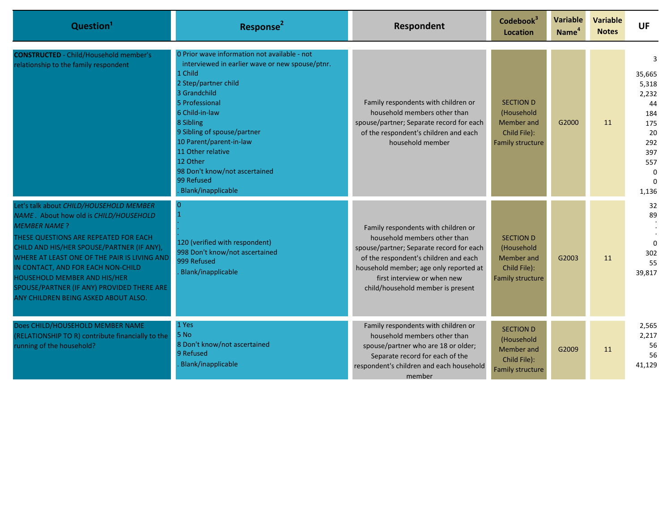| Question <sup>1</sup>                                                                                                                                                                                                                                                                                                                                                                                       | Response <sup>2</sup>                                                                                                                                                                                                                                                                                                                                               | Respondent                                                                                                                                                                                                                                                             | Codebook <sup>3</sup><br><b>Location</b>                                         | Variable<br>Name <sup>4</sup> | <b>Variable</b><br><b>Notes</b> | <b>UF</b>                                                                                  |
|-------------------------------------------------------------------------------------------------------------------------------------------------------------------------------------------------------------------------------------------------------------------------------------------------------------------------------------------------------------------------------------------------------------|---------------------------------------------------------------------------------------------------------------------------------------------------------------------------------------------------------------------------------------------------------------------------------------------------------------------------------------------------------------------|------------------------------------------------------------------------------------------------------------------------------------------------------------------------------------------------------------------------------------------------------------------------|----------------------------------------------------------------------------------|-------------------------------|---------------------------------|--------------------------------------------------------------------------------------------|
| <b>CONSTRUCTED</b> - Child/Household member's<br>relationship to the family respondent                                                                                                                                                                                                                                                                                                                      | 0 Prior wave information not available - not<br>interviewed in earlier wave or new spouse/ptnr.<br>1 Child<br>2 Step/partner child<br>3 Grandchild<br>5 Professional<br>6 Child-in-law<br>8 Sibling<br>9 Sibling of spouse/partner<br>10 Parent/parent-in-law<br>11 Other relative<br>12 Other<br>98 Don't know/not ascertained<br>99 Refused<br>Blank/inapplicable | Family respondents with children or<br>household members other than<br>spouse/partner; Separate record for each<br>of the respondent's children and each<br>household member                                                                                           | <b>SECTION D</b><br>(Household<br>Member and<br>Child File):<br>Family structure | G2000                         | 11                              | 3<br>35,665<br>5,318<br>2,232<br>44<br>184<br>175<br>20<br>292<br>397<br>557<br>0<br>1,136 |
| Let's talk about CHILD/HOUSEHOLD MEMBER<br>NAME. About how old is CHILD/HOUSEHOLD<br><b>MEMBER NAME?</b><br>THESE QUESTIONS ARE REPEATED FOR EACH<br>CHILD AND HIS/HER SPOUSE/PARTNER (IF ANY),<br>WHERE AT LEAST ONE OF THE PAIR IS LIVING AND<br>IN CONTACT, AND FOR EACH NON-CHILD<br>HOUSEHOLD MEMBER AND HIS/HER<br>SPOUSE/PARTNER (IF ANY) PROVIDED THERE ARE<br>ANY CHILDREN BEING ASKED ABOUT ALSO. | 120 (verified with respondent)<br>998 Don't know/not ascertained<br>999 Refused<br>Blank/inapplicable                                                                                                                                                                                                                                                               | Family respondents with children or<br>household members other than<br>spouse/partner; Separate record for each<br>of the respondent's children and each<br>household member; age only reported at<br>first interview or when new<br>child/household member is present | <b>SECTION D</b><br>(Household<br>Member and<br>Child File):<br>Family structure | G2003                         | 11                              | 32<br>89<br>$\Omega$<br>302<br>55<br>39,817                                                |
| Does CHILD/HOUSEHOLD MEMBER NAME<br>(RELATIONSHIP TO R) contribute financially to the<br>running of the household?                                                                                                                                                                                                                                                                                          | 1 Yes<br>5 No<br>8 Don't know/not ascertained<br>9 Refused<br>Blank/inapplicable                                                                                                                                                                                                                                                                                    | Family respondents with children or<br>household members other than<br>spouse/partner who are 18 or older;<br>Separate record for each of the<br>respondent's children and each household<br>member                                                                    | <b>SECTION D</b><br>(Household<br>Member and<br>Child File):<br>Family structure | G2009                         | 11                              | 2,565<br>2,217<br>56<br>56<br>41,129                                                       |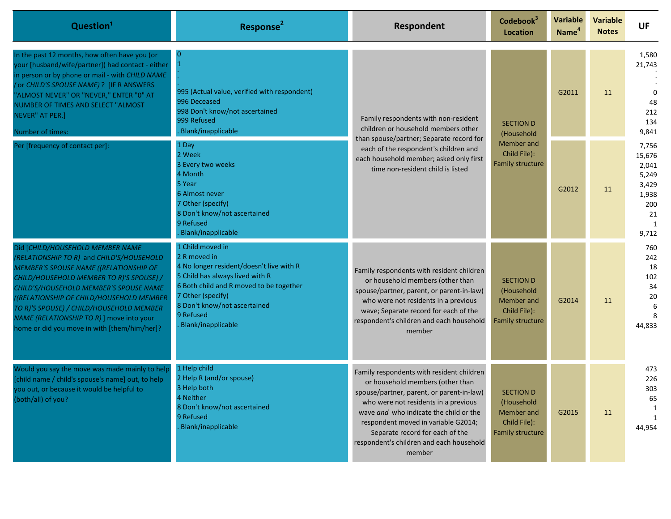| Question <sup>1</sup>                                                                                                                                                                                                                                                                                                                                                                                    | Response <sup>2</sup>                                                                                                                                                                                                                              | Respondent                                                                                                                                                                                                                                                                                                                                   | Codebook <sup>3</sup><br><b>Location</b>                                         | <b>Variable</b><br>Name <sup>4</sup> | <b>Variable</b><br><b>Notes</b> | <b>UF</b>                                                                       |
|----------------------------------------------------------------------------------------------------------------------------------------------------------------------------------------------------------------------------------------------------------------------------------------------------------------------------------------------------------------------------------------------------------|----------------------------------------------------------------------------------------------------------------------------------------------------------------------------------------------------------------------------------------------------|----------------------------------------------------------------------------------------------------------------------------------------------------------------------------------------------------------------------------------------------------------------------------------------------------------------------------------------------|----------------------------------------------------------------------------------|--------------------------------------|---------------------------------|---------------------------------------------------------------------------------|
| In the past 12 months, how often have you (or<br>your [husband/wife/partner]) had contact - either<br>in person or by phone or mail - with CHILD NAME<br>( or CHILD'S SPOUSE NAME) ? [IF R ANSWERS<br>'ALMOST NEVER" OR "NEVER," ENTER "0" AT<br>NUMBER OF TIMES AND SELECT "ALMOST<br>NEVER" AT PER.]<br>Number of times:                                                                               | $\mathbf 1$<br>995 (Actual value, verified with respondent)<br>996 Deceased<br>998 Don't know/not ascertained<br>999 Refused<br>Blank/inapplicable                                                                                                 | Family respondents with non-resident<br>children or household members other<br>than spouse/partner; Separate record for<br>each of the respondent's children and<br>each household member; asked only first<br>time non-resident child is listed                                                                                             | <b>SECTION D</b><br>(Household                                                   | G2011                                | 11                              | 1,580<br>21,743<br>48<br>212<br>134<br>9,841                                    |
| Per [frequency of contact per]:                                                                                                                                                                                                                                                                                                                                                                          | 1 Day<br>2 Week<br>3 Every two weeks<br>4 Month<br>5 Year<br>6 Almost never<br>7 Other (specify)<br>8 Don't know/not ascertained<br>9 Refused<br>Blank/inapplicable                                                                                |                                                                                                                                                                                                                                                                                                                                              | Member and<br>Child File):<br>Family structure                                   | G2012                                | 11                              | 7,756<br>15,676<br>2,041<br>5,249<br>3,429<br>1,938<br>200<br>21<br>-1<br>9,712 |
| Did [CHILD/HOUSEHOLD MEMBER NAME<br>(RELATIONSHIP TO R) and CHILD'S/HOUSEHOLD<br><b>MEMBER'S SPOUSE NAME ((RELATIONSHIP OF</b><br>CHILD/HOUSEHOLD MEMBER TO R)'S SPOUSE) /<br>CHILD'S/HOUSEHOLD MEMBER'S SPOUSE NAME<br>(RELATIONSHIP OF CHILD/HOUSEHOLD MEMBER<br>TO R)'S SPOUSE) / CHILD/HOUSEHOLD MEMBER<br>NAME (RELATIONSHIP TO R) ] move into your<br>home or did you move in with [them/him/her]? | 1 Child moved in<br>2 R moved in<br>4 No longer resident/doesn't live with R<br>5 Child has always lived with R<br>6 Both child and R moved to be together<br>7 Other (specify)<br>8 Don't know/not ascertained<br>9 Refused<br>Blank/inapplicable | Family respondents with resident children<br>or household members (other than<br>spouse/partner, parent, or parent-in-law)<br>who were not residents in a previous<br>wave; Separate record for each of the<br>respondent's children and each household<br>member                                                                            | <b>SECTION D</b><br>(Household<br>Member and<br>Child File):<br>Family structure | G2014                                | 11                              | 760<br>242<br>18<br>102<br>34<br>20<br>6<br>8<br>44,833                         |
| Would you say the move was made mainly to help<br>[child name / child's spouse's name] out, to help<br>you out, or because it would be helpful to<br>(both/all) of you?                                                                                                                                                                                                                                  | 1 Help child<br>2 Help R (and/or spouse)<br>3 Help both<br>4 Neither<br>8 Don't know/not ascertained<br>9 Refused<br>Blank/inapplicable                                                                                                            | Family respondents with resident children<br>or household members (other than<br>spouse/partner, parent, or parent-in-law)<br>who were not residents in a previous<br>wave and who indicate the child or the<br>respondent moved in variable G2014;<br>Separate record for each of the<br>respondent's children and each household<br>member | <b>SECTION D</b><br>(Household<br>Member and<br>Child File):<br>Family structure | G2015                                | 11                              | 473<br>226<br>303<br>65<br>-1<br>1<br>44,954                                    |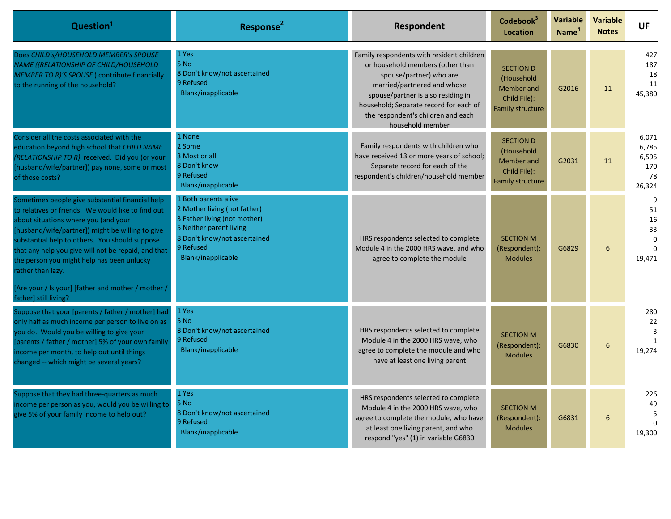| Question <sup>1</sup>                                                                                                                                                                                                                                                                                                                                                                                                                | Response <sup>2</sup>                                                                                                                                                              | Respondent                                                                                                                                                                                                                                                                        | Codebook <sup>3</sup><br>Location                                                | Variable<br>Name <sup>4</sup> | <b>Variable</b><br><b>Notes</b> | <b>UF</b>                                             |
|--------------------------------------------------------------------------------------------------------------------------------------------------------------------------------------------------------------------------------------------------------------------------------------------------------------------------------------------------------------------------------------------------------------------------------------|------------------------------------------------------------------------------------------------------------------------------------------------------------------------------------|-----------------------------------------------------------------------------------------------------------------------------------------------------------------------------------------------------------------------------------------------------------------------------------|----------------------------------------------------------------------------------|-------------------------------|---------------------------------|-------------------------------------------------------|
| Does CHILD's/HOUSEHOLD MEMBER's SPOUSE<br>NAME ((RELATIONSHIP OF CHILD/HOUSEHOLD<br>MEMBER TO R)'S SPOUSE) contribute financially<br>to the running of the household?                                                                                                                                                                                                                                                                | 1 Yes<br>5 No<br>8 Don't know/not ascertained<br>9 Refused<br>Blank/inapplicable                                                                                                   | Family respondents with resident children<br>or household members (other than<br>spouse/partner) who are<br>married/partnered and whose<br>spouse/partner is also residing in<br>household; Separate record for each of<br>the respondent's children and each<br>household member | <b>SECTION D</b><br>(Household<br>Member and<br>Child File):<br>Family structure | G2016                         | 11                              | 427<br>187<br>18<br>11<br>45,380                      |
| Consider all the costs associated with the<br>education beyond high school that CHILD NAME<br>(RELATIONSHIP TO R) received. Did you (or your<br>[husband/wife/partner]) pay none, some or most<br>of those costs?                                                                                                                                                                                                                    | 1 None<br>2 Some<br>3 Most or all<br>8 Don't know<br>9 Refused<br>Blank/inapplicable                                                                                               | Family respondents with children who<br>have received 13 or more years of school;<br>Separate record for each of the<br>respondent's children/household member                                                                                                                    | <b>SECTION D</b><br>(Household<br>Member and<br>Child File):<br>Family structure | G2031                         | 11                              | 6,071<br>6,785<br>6,595<br>170<br>78<br>26,324        |
| Sometimes people give substantial financial help<br>to relatives or friends. We would like to find out<br>about situations where you (and your<br>[husband/wife/partner]) might be willing to give<br>substantial help to others. You should suppose<br>that any help you give will not be repaid, and that<br>the person you might help has been unlucky<br>rather than lazy.<br>[Are your / Is your] [father and mother / mother / | 1 Both parents alive<br>2 Mother living (not father)<br>3 Father living (not mother)<br>5 Neither parent living<br>8 Don't know/not ascertained<br>9 Refused<br>Blank/inapplicable | HRS respondents selected to complete<br>Module 4 in the 2000 HRS wave, and who<br>agree to complete the module                                                                                                                                                                    | <b>SECTION M</b><br>(Respondent):<br><b>Modules</b>                              | G6829                         | 6                               | 9<br>51<br>16<br>33<br>$\Omega$<br>$\Omega$<br>19,471 |
| father] still living?<br>Suppose that your [parents / father / mother] had<br>only half as much income per person to live on as<br>you do. Would you be willing to give your<br>[parents / father / mother] 5% of your own family<br>ncome per month, to help out until things<br>changed -- which might be several years?                                                                                                           | 1 Yes<br>5 No<br>8 Don't know/not ascertained<br>9 Refused<br>Blank/inapplicable                                                                                                   | HRS respondents selected to complete<br>Module 4 in the 2000 HRS wave, who<br>agree to complete the module and who<br>have at least one living parent                                                                                                                             | <b>SECTION M</b><br>(Respondent):<br><b>Modules</b>                              | G6830                         | 6                               | 280<br>22<br>3<br>1<br>19,274                         |
| Suppose that they had three-quarters as much<br>income per person as you, would you be willing to<br>give 5% of your family income to help out?                                                                                                                                                                                                                                                                                      | 1 Yes<br>5 No<br>8 Don't know/not ascertained<br>9 Refused<br>Blank/inapplicable                                                                                                   | HRS respondents selected to complete<br>Module 4 in the 2000 HRS wave, who<br>agree to complete the module, who have<br>at least one living parent, and who<br>respond "yes" (1) in variable G6830                                                                                | <b>SECTION M</b><br>(Respondent):<br><b>Modules</b>                              | G6831                         | 6                               | 226<br>49<br>5<br>19,300                              |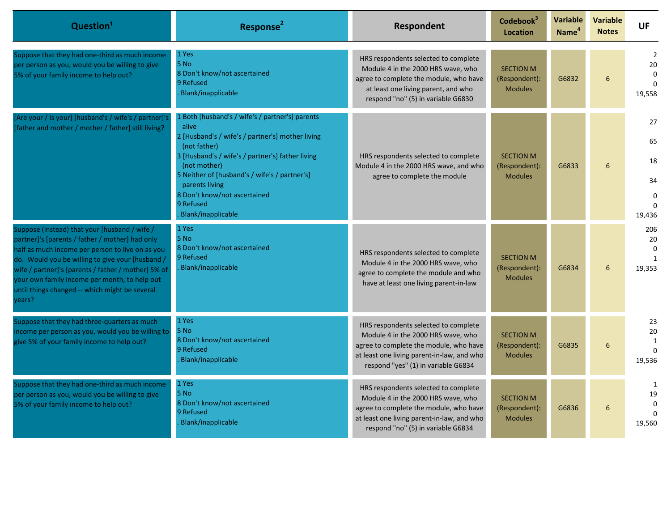| Question <sup>1</sup>                                                                                                                                                                                                                                                                                                                                                        | Response <sup>2</sup>                                                                                                              | Respondent                                                                                                                                                                                                | Codebook <sup>3</sup><br><b>Location</b>            | Variable<br>Name <sup>4</sup> | <b>Variable</b><br><b>Notes</b> | <b>UF</b>                                              |
|------------------------------------------------------------------------------------------------------------------------------------------------------------------------------------------------------------------------------------------------------------------------------------------------------------------------------------------------------------------------------|------------------------------------------------------------------------------------------------------------------------------------|-----------------------------------------------------------------------------------------------------------------------------------------------------------------------------------------------------------|-----------------------------------------------------|-------------------------------|---------------------------------|--------------------------------------------------------|
| Suppose that they had one-third as much income<br>per person as you, would you be willing to give<br>5% of your family income to help out?                                                                                                                                                                                                                                   | 1 Yes<br>5 No<br>8 Don't know/not ascertained<br>9 Refused<br>Blank/inapplicable                                                   | HRS respondents selected to complete<br>Module 4 in the 2000 HRS wave, who<br>agree to complete the module, who have<br>at least one living parent, and who<br>respond "no" (5) in variable G6830         | <b>SECTION M</b><br>(Respondent):<br><b>Modules</b> | G6832                         | $6\overline{6}$                 | $\overline{2}$<br>20<br>$\Omega$<br>$\Omega$<br>19,558 |
| [Are your / Is your] [husband's / wife's / partner]'s<br>[father and mother / mother / father] still living?                                                                                                                                                                                                                                                                 | 1 Both [husband's / wife's / partner's] parents<br>alive<br>2 [Husband's / wife's / partner's] mother living<br>(not father)       |                                                                                                                                                                                                           |                                                     |                               |                                 | 27<br>65                                               |
|                                                                                                                                                                                                                                                                                                                                                                              | 3 [Husband's / wife's / partner's] father living<br>(not mother)                                                                   | HRS respondents selected to complete<br>Module 4 in the 2000 HRS wave, and who                                                                                                                            | <b>SECTION M</b><br>(Respondent):                   | G6833                         | 6                               | 18                                                     |
|                                                                                                                                                                                                                                                                                                                                                                              | 5 Neither of [husband's / wife's / partner's]<br>parents living<br>8 Don't know/not ascertained<br>9 Refused<br>Blank/inapplicable | agree to complete the module<br><b>Modules</b>                                                                                                                                                            |                                                     |                               | 34<br>0<br>19,436               |                                                        |
| Suppose (instead) that your [husband / wife /<br>partner]'s [parents / father / mother] had only<br>half as much income per person to live on as you<br>do. Would you be willing to give your [husband /<br>wife / partner]'s [parents / father / mother] 5% of<br>your own family income per month, to help out<br>until things changed -- which might be several<br>/ears? | 1 Yes<br>5 No<br>8 Don't know/not ascertained<br>9 Refused<br>Blank/inapplicable                                                   | HRS respondents selected to complete<br>Module 4 in the 2000 HRS wave, who<br>agree to complete the module and who<br>have at least one living parent-in-law                                              | <b>SECTION M</b><br>(Respondent):<br><b>Modules</b> | G6834                         | $\sqrt{6}$                      | 206<br>20<br>$\Omega$<br>$\mathbf{1}$<br>19,353        |
| Suppose that they had three-quarters as much<br>income per person as you, would you be willing to<br>give 5% of your family income to help out?                                                                                                                                                                                                                              | 1 Yes<br>5 No<br>8 Don't know/not ascertained<br>9 Refused<br>Blank/inapplicable                                                   | HRS respondents selected to complete<br>Module 4 in the 2000 HRS wave, who<br>agree to complete the module, who have<br>at least one living parent-in-law, and who<br>respond "yes" (1) in variable G6834 | <b>SECTION M</b><br>(Respondent):<br><b>Modules</b> | G6835                         | 6                               | 23<br>20<br>1<br>$\Omega$<br>19,536                    |
| Suppose that they had one-third as much income<br>per person as you, would you be willing to give<br>5% of your family income to help out?                                                                                                                                                                                                                                   | 1 Yes<br>5 No<br>8 Don't know/not ascertained<br>9 Refused<br>Blank/inapplicable                                                   | HRS respondents selected to complete<br>Module 4 in the 2000 HRS wave, who<br>agree to complete the module, who have<br>at least one living parent-in-law, and who<br>respond "no" (5) in variable G6834  | <b>SECTION M</b><br>(Respondent):<br><b>Modules</b> | G6836                         | 6                               | 1<br>19<br>$\Omega$<br>$\Omega$<br>19,560              |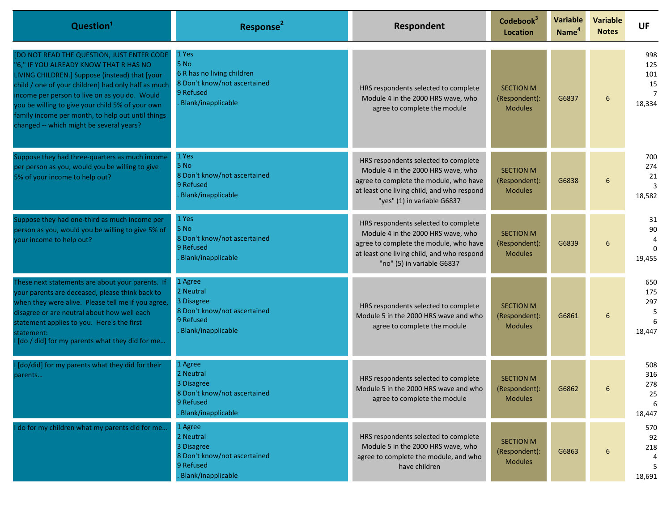| Question <sup>1</sup>                                                                                                                                                                                                                                                                                                                                                                               | Response <sup>2</sup>                                                                                          | Respondent                                                                                                                                                                                        | Codebook <sup>3</sup><br><b>Location</b>            | <b>Variable</b><br>Name <sup>4</sup> | <b>Variable</b><br><b>Notes</b> | <b>UF</b>                              |
|-----------------------------------------------------------------------------------------------------------------------------------------------------------------------------------------------------------------------------------------------------------------------------------------------------------------------------------------------------------------------------------------------------|----------------------------------------------------------------------------------------------------------------|---------------------------------------------------------------------------------------------------------------------------------------------------------------------------------------------------|-----------------------------------------------------|--------------------------------------|---------------------------------|----------------------------------------|
| [DO NOT READ THE QUESTION, JUST ENTER CODE<br>"6," IF YOU ALREADY KNOW THAT R HAS NO<br>LIVING CHILDREN.] Suppose (instead) that [your<br>child / one of your children] had only half as much<br>income per person to live on as you do. Would<br>you be willing to give your child 5% of your own<br>family income per month, to help out until things<br>changed -- which might be several years? | 1 Yes<br>5 No<br>6 R has no living children<br>8 Don't know/not ascertained<br>9 Refused<br>Blank/inapplicable | HRS respondents selected to complete<br>Module 4 in the 2000 HRS wave, who<br>agree to complete the module                                                                                        | <b>SECTION M</b><br>(Respondent):<br><b>Modules</b> | G6837                                | 6                               | 998<br>125<br>101<br>15<br>7<br>18,334 |
| Suppose they had three-quarters as much income<br>per person as you, would you be willing to give<br>5% of your income to help out?                                                                                                                                                                                                                                                                 | 1 Yes<br>5 No<br>8 Don't know/not ascertained<br>9 Refused<br>Blank/inapplicable                               | HRS respondents selected to complete<br>Module 4 in the 2000 HRS wave, who<br>agree to complete the module, who have<br>at least one living child, and who respond<br>"yes" (1) in variable G6837 | <b>SECTION M</b><br>(Respondent):<br><b>Modules</b> | G6838                                | 6                               | 700<br>274<br>21<br>3<br>18,582        |
| Suppose they had one-third as much income per<br>person as you, would you be willing to give 5% of<br>your income to help out?                                                                                                                                                                                                                                                                      | 1 Yes<br>5 No<br>8 Don't know/not ascertained<br>9 Refused<br>Blank/inapplicable                               | HRS respondents selected to complete<br>Module 4 in the 2000 HRS wave, who<br>agree to complete the module, who have<br>at least one living child, and who respond<br>"no" (5) in variable G6837  | <b>SECTION M</b><br>(Respondent):<br><b>Modules</b> | G6839                                | 6                               | 31<br>90<br>$\Omega$<br>19,455         |
| These next statements are about your parents. If<br>your parents are deceased, please think back to<br>when they were alive. Please tell me if you agree,<br>disagree or are neutral about how well each<br>statement applies to you. Here's the first<br>statement:<br>[do / did] for my parents what they did for me                                                                              | 1 Agree<br>2 Neutral<br>3 Disagree<br>8 Don't know/not ascertained<br>9 Refused<br>Blank/inapplicable          | HRS respondents selected to complete<br>Module 5 in the 2000 HRS wave and who<br>agree to complete the module                                                                                     | <b>SECTION M</b><br>(Respondent):<br><b>Modules</b> | G6861                                | 6                               | 650<br>175<br>297<br>18,447            |
| [do/did] for my parents what they did for their<br>parents                                                                                                                                                                                                                                                                                                                                          | 1 Agree<br>2 Neutral<br>3 Disagree<br>8 Don't know/not ascertained<br>9 Refused<br>Blank/inapplicable          | HRS respondents selected to complete<br>Module 5 in the 2000 HRS wave and who<br>agree to complete the module                                                                                     | <b>SECTION M</b><br>(Respondent):<br><b>Modules</b> | G6862                                | 6                               | 508<br>316<br>278<br>25<br>6<br>18,447 |
| I do for my children what my parents did for me                                                                                                                                                                                                                                                                                                                                                     | 1 Agree<br>2 Neutral<br>3 Disagree<br>8 Don't know/not ascertained<br>9 Refused<br>Blank/inapplicable          | HRS respondents selected to complete<br>Module 5 in the 2000 HRS wave, who<br>agree to complete the module, and who<br>have children                                                              | <b>SECTION M</b><br>(Respondent):<br><b>Modules</b> | G6863                                | 6                               | 570<br>92<br>218<br>5.<br>18,691       |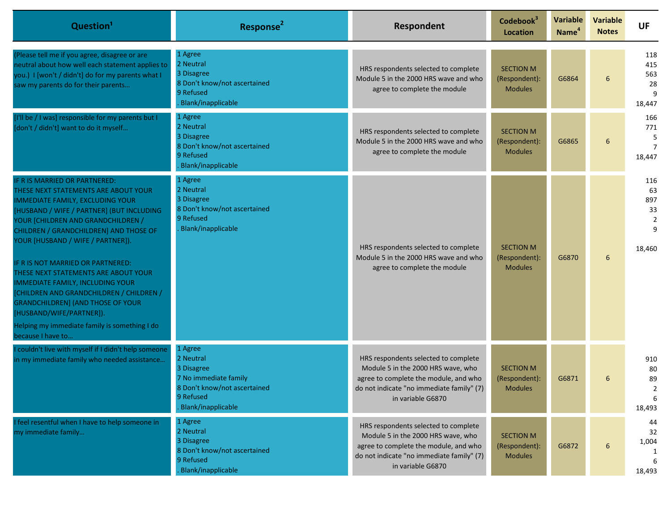| Question <sup>1</sup>                                                                                                                                                                                                                                                                                                                                                                                                                                                                                                                                                                              | Response <sup>2</sup>                                                                                                          | <b>Respondent</b>                                                                                                                                                                     | Codebook <sup>3</sup><br><b>Location</b>            | Variable<br>Name <sup>4</sup> | <b>Variable</b><br><b>Notes</b> | <b>UF</b>                                               |
|----------------------------------------------------------------------------------------------------------------------------------------------------------------------------------------------------------------------------------------------------------------------------------------------------------------------------------------------------------------------------------------------------------------------------------------------------------------------------------------------------------------------------------------------------------------------------------------------------|--------------------------------------------------------------------------------------------------------------------------------|---------------------------------------------------------------------------------------------------------------------------------------------------------------------------------------|-----------------------------------------------------|-------------------------------|---------------------------------|---------------------------------------------------------|
| Please tell me if you agree, disagree or are<br>neutral about how well each statement applies to<br>you.) I [won't / didn't] do for my parents what I<br>saw my parents do for their parents                                                                                                                                                                                                                                                                                                                                                                                                       | 1 Agree<br>2 Neutral<br>3 Disagree<br>8 Don't know/not ascertained<br>9 Refused<br>Blank/inapplicable                          | HRS respondents selected to complete<br>Module 5 in the 2000 HRS wave and who<br>agree to complete the module                                                                         | <b>SECTION M</b><br>(Respondent):<br><b>Modules</b> | G6864                         | 6                               | 118<br>415<br>563<br>28<br>18,447                       |
| [I'll be / I was] responsible for my parents but I<br>[don't / didn't] want to do it myself                                                                                                                                                                                                                                                                                                                                                                                                                                                                                                        | 1 Agree<br>2 Neutral<br>3 Disagree<br>8 Don't know/not ascertained<br>9 Refused<br>Blank/inapplicable                          | HRS respondents selected to complete<br>Module 5 in the 2000 HRS wave and who<br>agree to complete the module                                                                         | <b>SECTION M</b><br>(Respondent):<br><b>Modules</b> | G6865                         | 6                               | 166<br>771<br>5<br>$\overline{7}$<br>18,447             |
| F R IS MARRIED OR PARTNERED:<br>THESE NEXT STATEMENTS ARE ABOUT YOUR<br><b>IMMEDIATE FAMILY, EXCLUDING YOUR</b><br>HUSBAND / WIFE / PARTNER] (BUT INCLUDING<br>YOUR [CHILDREN AND GRANDCHILDREN /<br>CHILDREN / GRANDCHILDREN] AND THOSE OF<br>YOUR [HUSBAND / WIFE / PARTNER]).<br>IF R IS NOT MARRIED OR PARTNERED:<br>THESE NEXT STATEMENTS ARE ABOUT YOUR<br><b>IMMEDIATE FAMILY, INCLUDING YOUR</b><br>[CHILDREN AND GRANDCHILDREN / CHILDREN /<br><b>GRANDCHILDREN] (AND THOSE OF YOUR</b><br>[HUSBAND/WIFE/PARTNER]).<br>Helping my immediate family is something I do<br>because I have to | 1 Agree<br>2 Neutral<br>3 Disagree<br>8 Don't know/not ascertained<br>9 Refused<br>Blank/inapplicable                          | HRS respondents selected to complete<br>Module 5 in the 2000 HRS wave and who<br>agree to complete the module                                                                         | <b>SECTION M</b><br>(Respondent):<br><b>Modules</b> | G6870                         | 6                               | 116<br>63<br>897<br>33<br>$\overline{2}$<br>9<br>18,460 |
| couldn't live with myself if I didn't help someone<br>in my immediate family who needed assistance                                                                                                                                                                                                                                                                                                                                                                                                                                                                                                 | 1 Agree<br>2 Neutral<br>3 Disagree<br>7 No immediate family<br>8 Don't know/not ascertained<br>9 Refused<br>Blank/inapplicable | HRS respondents selected to complete<br>Module 5 in the 2000 HRS wave, who<br>agree to complete the module, and who<br>do not indicate "no immediate family" (7)<br>in variable G6870 | <b>SECTION M</b><br>(Respondent):<br><b>Modules</b> | G6871                         | 6                               | 910<br>80<br>89<br>2<br>18,493                          |
| feel resentful when I have to help someone in<br>my immediate family                                                                                                                                                                                                                                                                                                                                                                                                                                                                                                                               | 1 Agree<br>2 Neutral<br>3 Disagree<br>8 Don't know/not ascertained<br>9 Refused<br>Blank/inapplicable                          | HRS respondents selected to complete<br>Module 5 in the 2000 HRS wave, who<br>agree to complete the module, and who<br>do not indicate "no immediate family" (7)<br>in variable G6870 | <b>SECTION M</b><br>(Respondent):<br><b>Modules</b> | G6872                         | 6                               | 44<br>32<br>1,004<br>18,493                             |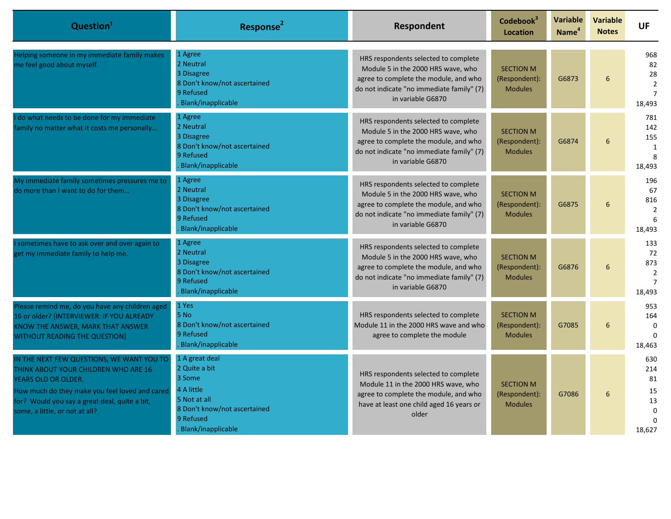| Question <sup>1</sup>                                                                                                                                                                                                                                | Response <sup>2</sup>                                                                                                                      | <b>Respondent</b>                                                                                                                                                                     | Codebook <sup>3</sup><br><b>Location</b>            | <b>Variable</b><br>Name <sup>4</sup> | <b>Variable</b><br><b>Notes</b> | <b>UF</b>                                                     |
|------------------------------------------------------------------------------------------------------------------------------------------------------------------------------------------------------------------------------------------------------|--------------------------------------------------------------------------------------------------------------------------------------------|---------------------------------------------------------------------------------------------------------------------------------------------------------------------------------------|-----------------------------------------------------|--------------------------------------|---------------------------------|---------------------------------------------------------------|
| Helping someone in my immediate family makes<br>me feel good about myself.                                                                                                                                                                           | 1 Agree<br>2 Neutral<br>3 Disagree<br>8 Don't know/not ascertained<br>9 Refused<br>Blank/inapplicable                                      | HRS respondents selected to complete<br>Module 5 in the 2000 HRS wave, who<br>agree to complete the module, and who<br>do not indicate "no immediate family" (7)<br>in variable G6870 | <b>SECTION M</b><br>(Respondent):<br><b>Modules</b> | G6873                                | $6\overline{6}$                 | 968<br>82<br>28<br>$\overline{2}$<br>$\overline{7}$<br>18,493 |
| I do what needs to be done for my immediate<br>family no matter what it costs me personally                                                                                                                                                          | 1 Agree<br>2 Neutral<br>3 Disagree<br>8 Don't know/not ascertained<br>9 Refused<br>Blank/inapplicable                                      | HRS respondents selected to complete<br>Module 5 in the 2000 HRS wave, who<br>agree to complete the module, and who<br>do not indicate "no immediate family" (7)<br>in variable G6870 | <b>SECTION M</b><br>(Respondent):<br><b>Modules</b> | G6874                                | $6\overline{6}$                 | 781<br>142<br>155<br>$\mathbf{1}$<br>8<br>18,493              |
| My immediate family sometimes pressures me to<br>do more than I want to do for them                                                                                                                                                                  | 1 Agree<br>2 Neutral<br>3 Disagree<br>8 Don't know/not ascertained<br>9 Refused<br>Blank/inapplicable                                      | HRS respondents selected to complete<br>Module 5 in the 2000 HRS wave, who<br>agree to complete the module, and who<br>do not indicate "no immediate family" (7)<br>in variable G6870 | <b>SECTION M</b><br>(Respondent):<br><b>Modules</b> | G6875                                | 6                               | 196<br>67<br>816<br>$\overline{2}$<br>6<br>18,493             |
| sometimes have to ask over and over again to<br>get my immediate family to help me.                                                                                                                                                                  | 1 Agree<br>2 Neutral<br>3 Disagree<br>8 Don't know/not ascertained<br>9 Refused<br>Blank/inapplicable                                      | HRS respondents selected to complete<br>Module 5 in the 2000 HRS wave, who<br>agree to complete the module, and who<br>do not indicate "no immediate family" (7)<br>in variable G6870 | <b>SECTION M</b><br>(Respondent):<br><b>Modules</b> | G6876                                | 6                               | 133<br>72<br>873<br>2<br>$\overline{7}$<br>18,493             |
| Please remind me, do you have any children aged<br>16 or older? [INTERVIEWER: IF YOU ALREADY<br>KNOW THE ANSWER, MARK THAT ANSWER<br><b>WITHOUT READING THE QUESTION]</b>                                                                            | 1 Yes<br>5 No<br>8 Don't know/not ascertained<br>9 Refused<br>Blank/inapplicable                                                           | HRS respondents selected to complete<br>Module 11 in the 2000 HRS wave and who<br>agree to complete the module                                                                        | <b>SECTION M</b><br>(Respondent):<br><b>Modules</b> | G7085                                | 6                               | 953<br>164<br>$\mathbf 0$<br>18,463                           |
| IN THE NEXT FEW QUESTIONS, WE WANT YOU TO<br>THINK ABOUT YOUR CHILDREN WHO ARE 16<br><b>YEARS OLD OR OLDER.</b><br>How much do they make you feel loved and cared<br>for? Would you say a great deal, quite a bit,<br>some, a little, or not at all? | 1 A great deal<br>2 Quite a bit<br>3 Some<br>4 A little<br>5 Not at all<br>8 Don't know/not ascertained<br>9 Refused<br>Blank/inapplicable | HRS respondents selected to complete<br>Module 11 in the 2000 HRS wave, who<br>agree to complete the module, and who<br>have at least one child aged 16 years or<br>older             | <b>SECTION M</b><br>(Respondent):<br><b>Modules</b> | G7086                                | 6                               | 630<br>214<br>81<br>15<br>13<br>$\mathbf 0$<br>18.627         |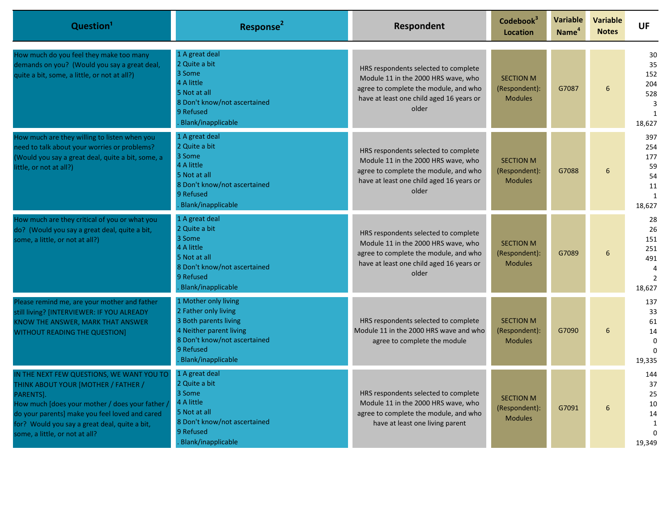| Question <sup>1</sup>                                                                                                                                                                                                                                                                 | Response <sup>2</sup>                                                                                                                                               | Respondent                                                                                                                                                                | Codebook <sup>3</sup><br><b>Location</b>            | <b>Variable</b><br>Name <sup>4</sup> | <b>Variable</b><br><b>Notes</b> | <b>UF</b>                                                 |
|---------------------------------------------------------------------------------------------------------------------------------------------------------------------------------------------------------------------------------------------------------------------------------------|---------------------------------------------------------------------------------------------------------------------------------------------------------------------|---------------------------------------------------------------------------------------------------------------------------------------------------------------------------|-----------------------------------------------------|--------------------------------------|---------------------------------|-----------------------------------------------------------|
| How much do you feel they make too many<br>demands on you? (Would you say a great deal,<br>quite a bit, some, a little, or not at all?)                                                                                                                                               | 1 A great deal<br>2 Quite a bit<br>3 Some<br>4 A little<br>5 Not at all<br>8 Don't know/not ascertained<br>9 Refused<br>Blank/inapplicable                          | HRS respondents selected to complete<br>Module 11 in the 2000 HRS wave, who<br>agree to complete the module, and who<br>have at least one child aged 16 years or<br>older | <b>SECTION M</b><br>(Respondent):<br><b>Modules</b> | G7087                                | 6                               | 30<br>35<br>152<br>204<br>528<br>3<br>1<br>18,627         |
| How much are they willing to listen when you<br>need to talk about your worries or problems?<br>(Would you say a great deal, quite a bit, some, a<br>little, or not at all?)                                                                                                          | 1 A great deal<br>2 Quite a bit<br>3 Some<br>4 A little<br>5 Not at all<br>8 Don't know/not ascertained<br>9 Refused<br>Blank/inapplicable                          | HRS respondents selected to complete<br>Module 11 in the 2000 HRS wave, who<br>agree to complete the module, and who<br>have at least one child aged 16 years or<br>older | <b>SECTION M</b><br>(Respondent):<br><b>Modules</b> | G7088                                | 6                               | 397<br>254<br>177<br>59<br>54<br>11<br>1<br>18,627        |
| How much are they critical of you or what you<br>do? (Would you say a great deal, quite a bit,<br>some, a little, or not at all?)                                                                                                                                                     | 1 A great deal<br>2 Quite a bit<br>3 Some<br>4 A little<br>5 Not at all<br>8 Don't know/not ascertained<br>9 Refused<br>Blank/inapplicable                          | HRS respondents selected to complete<br>Module 11 in the 2000 HRS wave, who<br>agree to complete the module, and who<br>have at least one child aged 16 years or<br>older | <b>SECTION M</b><br>(Respondent):<br><b>Modules</b> | G7089                                | 6                               | 28<br>26<br>151<br>251<br>491<br>$\overline{2}$<br>18,627 |
| Please remind me, are your mother and father<br>still living? [INTERVIEWER: IF YOU ALREADY<br>KNOW THE ANSWER, MARK THAT ANSWER<br><b>WITHOUT READING THE QUESTION]</b>                                                                                                               | 1 Mother only living<br>2 Father only living<br>3 Both parents living<br>4 Neither parent living<br>8 Don't know/not ascertained<br>9 Refused<br>Blank/inapplicable | HRS respondents selected to complete<br>Module 11 in the 2000 HRS wave and who<br>agree to complete the module                                                            | <b>SECTION M</b><br>(Respondent):<br><b>Modules</b> | G7090                                | 6                               | 137<br>33<br>61<br>14<br>$\Omega$<br>19,335               |
| IN THE NEXT FEW QUESTIONS, WE WANT YOU TO<br>THINK ABOUT YOUR [MOTHER / FATHER /<br>PARENTS].<br>How much [does your mother / does your father /<br>do your parents] make you feel loved and cared<br>for? Would you say a great deal, quite a bit,<br>some, a little, or not at all? | 1 A great deal<br>2 Quite a bit<br>3 Some<br>4 A little<br>5 Not at all<br>8 Don't know/not ascertained<br>9 Refused<br>Blank/inapplicable                          | HRS respondents selected to complete<br>Module 11 in the 2000 HRS wave, who<br>agree to complete the module, and who<br>have at least one living parent                   | <b>SECTION M</b><br>(Respondent):<br><b>Modules</b> | G7091                                | 6                               | 144<br>37<br>25<br>10<br>14<br>1<br>$\Omega$<br>19,349    |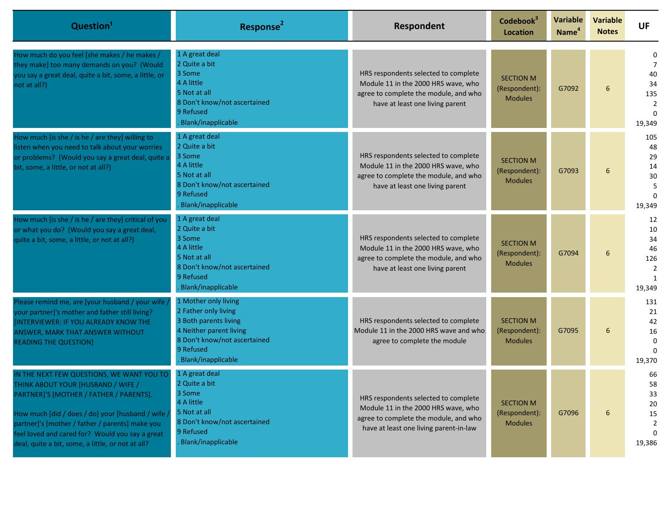| Question <sup>1</sup>                                                                                                                                                                                                                                                                                                                      | Response <sup>2</sup>                                                                                                                                               | Respondent                                                                                                                                                     | Codebook <sup>3</sup><br><b>Location</b>            | Variable<br>Name <sup>4</sup> | <b>Variable</b><br><b>Notes</b> | <b>UF</b>                                                    |
|--------------------------------------------------------------------------------------------------------------------------------------------------------------------------------------------------------------------------------------------------------------------------------------------------------------------------------------------|---------------------------------------------------------------------------------------------------------------------------------------------------------------------|----------------------------------------------------------------------------------------------------------------------------------------------------------------|-----------------------------------------------------|-------------------------------|---------------------------------|--------------------------------------------------------------|
| How much do you feel [she makes / he makes /<br>they make] too many demands on you? (Would<br>you say a great deal, quite a bit, some, a little, or<br>not at all?)                                                                                                                                                                        | 1 A great deal<br>2 Quite a bit<br>3 Some<br>4 A little<br>5 Not at all<br>8 Don't know/not ascertained<br>9 Refused<br>Blank/inapplicable                          | HRS respondents selected to complete<br>Module 11 in the 2000 HRS wave, who<br>agree to complete the module, and who<br>have at least one living parent        | <b>SECTION M</b><br>(Respondent):<br><b>Modules</b> | G7092                         | 6                               | 0<br>7<br>40<br>34<br>135<br>2<br>$\Omega$<br>19,349         |
| How much [is she / is he / are they] willing to<br>listen when you need to talk about your worries<br>or problems? (Would you say a great deal, quite a<br>bit, some, a little, or not at all?)                                                                                                                                            | 1 A great deal<br>2 Quite a bit<br>3 Some<br>4 A little<br>5 Not at all<br>8 Don't know/not ascertained<br>9 Refused<br>Blank/inapplicable                          | HRS respondents selected to complete<br>Module 11 in the 2000 HRS wave, who<br>agree to complete the module, and who<br>have at least one living parent        | <b>SECTION M</b><br>(Respondent):<br><b>Modules</b> | G7093                         | 6                               | 105<br>48<br>29<br>14<br>30<br>5<br>$\Omega$<br>19,349       |
| How much [is she / is he / are they] critical of you<br>or what you do? (Would you say a great deal,<br>quite a bit, some, a little, or not at all?)                                                                                                                                                                                       | 1 A great deal<br>2 Quite a bit<br>3 Some<br>4 A little<br>5 Not at all<br>8 Don't know/not ascertained<br>9 Refused<br>Blank/inapplicable                          | HRS respondents selected to complete<br>Module 11 in the 2000 HRS wave, who<br>agree to complete the module, and who<br>have at least one living parent        | <b>SECTION M</b><br>(Respondent):<br><b>Modules</b> | G7094                         | 6                               | 12<br>10<br>34<br>46<br>126<br>$\overline{2}$<br>1<br>19,349 |
| Please remind me, are [your husband / your wife /<br>your partner]'s mother and father still living?<br><b>INTERVIEWER: IF YOU ALREADY KNOW THE</b><br>ANSWER, MARK THAT ANSWER WITHOUT<br><b>READING THE QUESTION]</b>                                                                                                                    | 1 Mother only living<br>2 Father only living<br>3 Both parents living<br>4 Neither parent living<br>8 Don't know/not ascertained<br>9 Refused<br>Blank/inapplicable | HRS respondents selected to complete<br>Module 11 in the 2000 HRS wave and who<br>agree to complete the module                                                 | <b>SECTION M</b><br>(Respondent):<br><b>Modules</b> | G7095                         | 6                               | 131<br>21<br>42<br>16<br>$\Omega$<br>$\Omega$<br>19,370      |
| IN THE NEXT FEW QUESTIONS, WE WANT YOU TO<br>THINK ABOUT YOUR [HUSBAND / WIFE /<br>PARTNER]'S [MOTHER / FATHER / PARENTS].<br>How much [did / does / do] your [husband / wife /<br>partner]'s [mother / father / parents] make you<br>feel loved and cared for? Would you say a great<br>deal, quite a bit, some, a little, or not at all? | 1 A great deal<br>2 Quite a bit<br>3 Some<br>4 A little<br>5 Not at all<br>8 Don't know/not ascertained<br>9 Refused<br>Blank/inapplicable                          | HRS respondents selected to complete<br>Module 11 in the 2000 HRS wave, who<br>agree to complete the module, and who<br>have at least one living parent-in-law | <b>SECTION M</b><br>(Respondent):<br><b>Modules</b> | G7096                         | 6                               | 66<br>58<br>33<br>20<br>15<br>2<br>19,386                    |